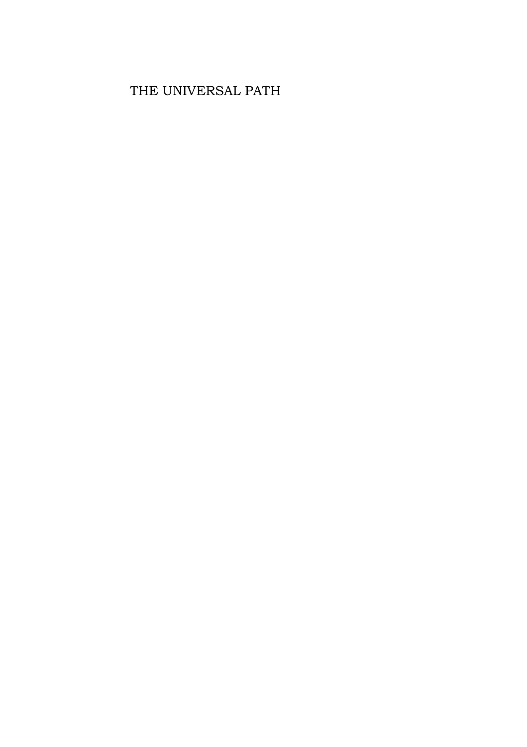## THE UNIVERSAL PATH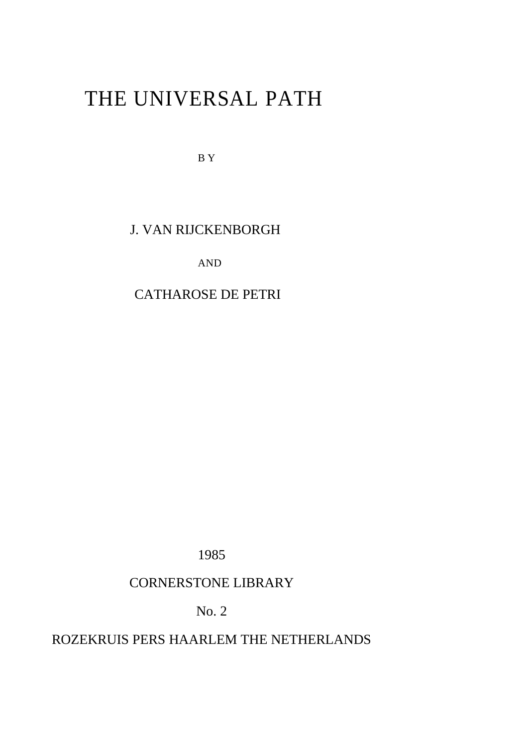# THE UNIVERSAL PATH

B Y

### J. VAN RIJCKENBORGH

AND

## CATHAROSE DE PETRI

1985

### CORNERSTONE LIBRARY

No. 2

### ROZEKRUIS PERS HAARLEM THE NETHERLANDS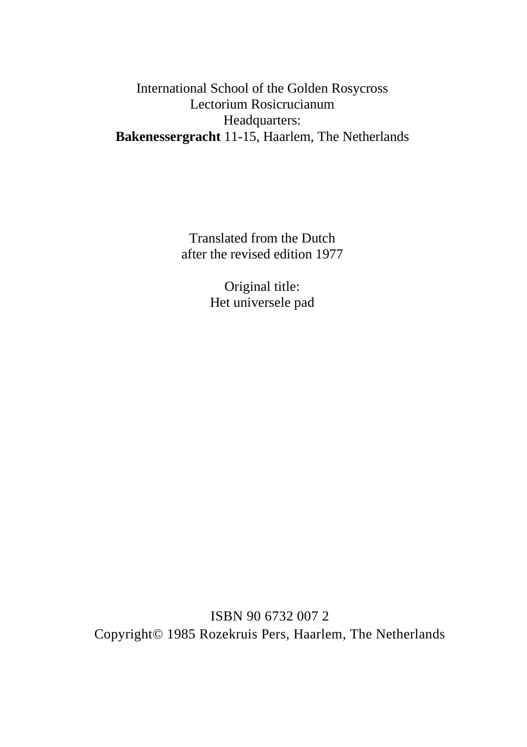### International School of the Golden Rosycross Lectorium Rosicrucianum Headquarters: **Bakenessergracht** 11-15, Haarlem, The Netherlands

Translated from the Dutch after the revised edition 1977

> Original title: Het universele pad

ISBN 90 6732 007 2 Copyright© 1985 Rozekruis Pers, Haarlem, The Netherlands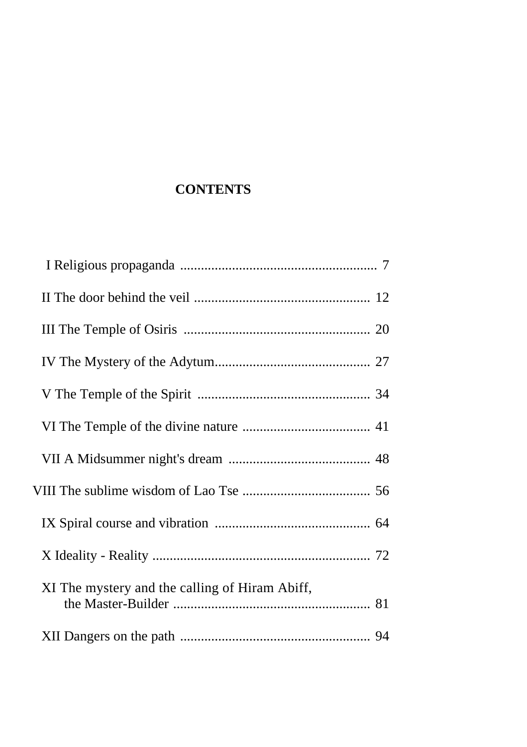# **CONTENTS**

| XI The mystery and the calling of Hiram Abiff, |  |
|------------------------------------------------|--|
|                                                |  |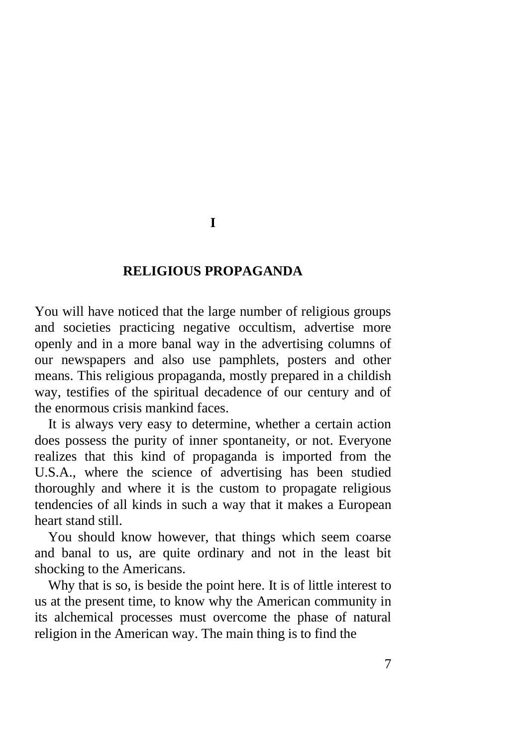#### **I**

#### **RELIGIOUS PROPAGANDA**

You will have noticed that the large number of religious groups and societies practicing negative occultism, advertise more openly and in a more banal way in the advertising columns of our newspapers and also use pamphlets, posters and other means. This religious propaganda, mostly prepared in a childish way, testifies of the spiritual decadence of our century and of the enormous crisis mankind faces.

It is always very easy to determine, whether a certain action does possess the purity of inner spontaneity, or not. Everyone realizes that this kind of propaganda is imported from the U.S.A., where the science of advertising has been studied thoroughly and where it is the custom to propagate religious tendencies of all kinds in such a way that it makes a European heart stand still.

You should know however, that things which seem coarse and banal to us, are quite ordinary and not in the least bit shocking to the Americans.

Why that is so, is beside the point here. It is of little interest to us at the present time, to know why the American community in its alchemical processes must overcome the phase of natural religion in the American way. The main thing is to find the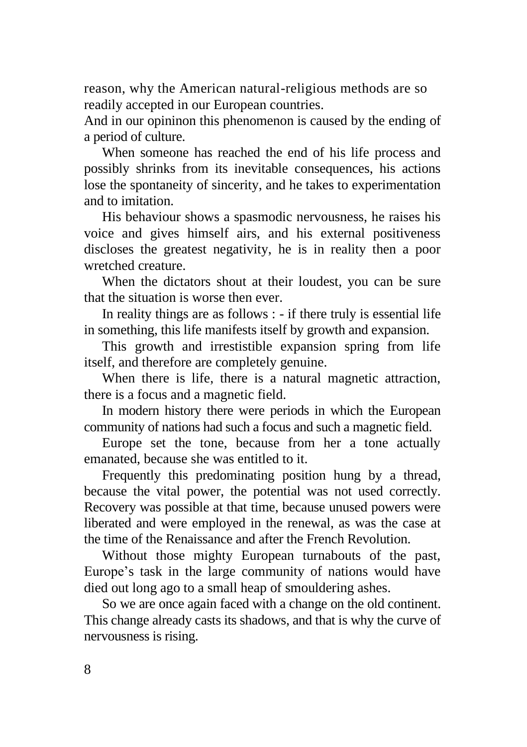reason, why the American natural-religious methods are so readily accepted in our European countries.

And in our opininon this phenomenon is caused by the ending of a period of culture.

When someone has reached the end of his life process and possibly shrinks from its inevitable consequences, his actions lose the spontaneity of sincerity, and he takes to experimentation and to imitation.

His behaviour shows a spasmodic nervousness, he raises his voice and gives himself airs, and his external positiveness discloses the greatest negativity, he is in reality then a poor wretched creature.

When the dictators shout at their loudest, you can be sure that the situation is worse then ever.

In reality things are as follows : - if there truly is essential life in something, this life manifests itself by growth and expansion.

This growth and irrestistible expansion spring from life itself, and therefore are completely genuine.

When there is life, there is a natural magnetic attraction, there is a focus and a magnetic field.

In modern history there were periods in which the European community of nations had such a focus and such a magnetic field.

Europe set the tone, because from her a tone actually emanated, because she was entitled to it.

Frequently this predominating position hung by a thread, because the vital power, the potential was not used correctly. Recovery was possible at that time, because unused powers were liberated and were employed in the renewal, as was the case at the time of the Renaissance and after the French Revolution.

Without those mighty European turnabouts of the past, Europe's task in the large community of nations would have died out long ago to a small heap of smouldering ashes.

So we are once again faced with a change on the old continent. This change already casts its shadows, and that is why the curve of nervousness is rising.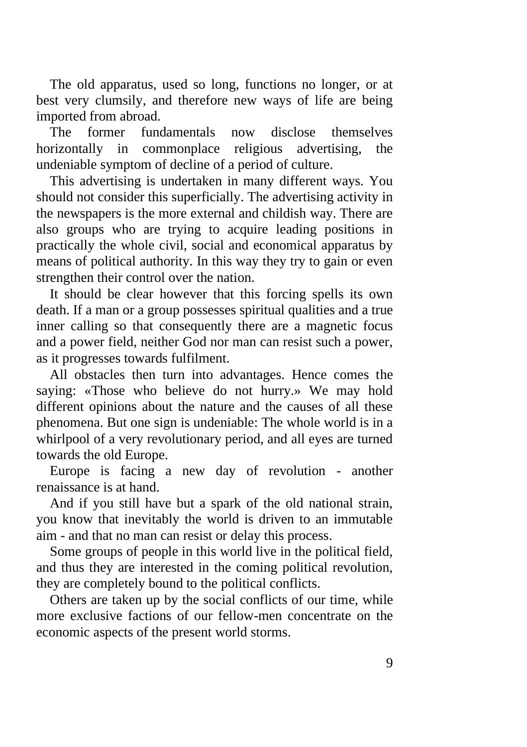The old apparatus, used so long, functions no longer, or at best very clumsily, and therefore new ways of life are being imported from abroad.

The former fundamentals now disclose themselves horizontally in commonplace religious advertising, the undeniable symptom of decline of a period of culture.

This advertising is undertaken in many different ways. You should not consider this superficially. The advertising activity in the newspapers is the more external and childish way. There are also groups who are trying to acquire leading positions in practically the whole civil, social and economical apparatus by means of political authority. In this way they try to gain or even strengthen their control over the nation.

It should be clear however that this forcing spells its own death. If a man or a group possesses spiritual qualities and a true inner calling so that consequently there are a magnetic focus and a power field, neither God nor man can resist such a power, as it progresses towards fulfilment.

All obstacles then turn into advantages. Hence comes the saying: «Those who believe do not hurry.» We may hold different opinions about the nature and the causes of all these phenomena. But one sign is undeniable: The whole world is in a whirlpool of a very revolutionary period, and all eyes are turned towards the old Europe.

Europe is facing a new day of revolution - another renaissance is at hand.

And if you still have but a spark of the old national strain, you know that inevitably the world is driven to an immutable aim - and that no man can resist or delay this process.

Some groups of people in this world live in the political field, and thus they are interested in the coming political revolution, they are completely bound to the political conflicts.

Others are taken up by the social conflicts of our time, while more exclusive factions of our fellow-men concentrate on the economic aspects of the present world storms.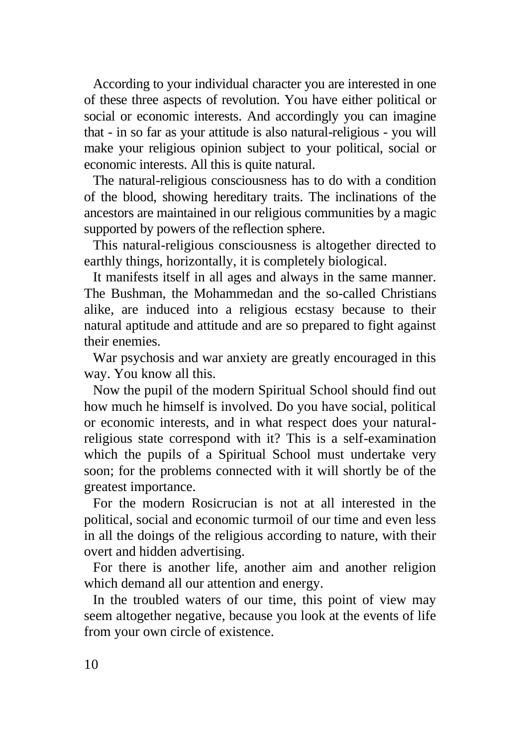According to your individual character you are interested in one of these three aspects of revolution. You have either political or social or economic interests. And accordingly you can imagine that - in so far as your attitude is also natural-religious - you will make your religious opinion subject to your political, social or economic interests. All this is quite natural.

The natural-religious consciousness has to do with a condition of the blood, showing hereditary traits. The inclinations of the ancestors are maintained in our religious communities by a magic supported by powers of the reflection sphere.

This natural-religious consciousness is altogether directed to earthly things, horizontally, it is completely biological.

It manifests itself in all ages and always in the same manner. The Bushman, the Mohammedan and the so-called Christians alike, are induced into a religious ecstasy because to their natural aptitude and attitude and are so prepared to fight against their enemies.

War psychosis and war anxiety are greatly encouraged in this way. You know all this.

Now the pupil of the modern Spiritual School should find out how much he himself is involved. Do you have social, political or economic interests, and in what respect does your naturalreligious state correspond with it? This is a self-examination which the pupils of a Spiritual School must undertake very soon; for the problems connected with it will shortly be of the greatest importance.

For the modern Rosicrucian is not at all interested in the political, social and economic turmoil of our time and even less in all the doings of the religious according to nature, with their overt and hidden advertising.

For there is another life, another aim and another religion which demand all our attention and energy.

In the troubled waters of our time, this point of view may seem altogether negative, because you look at the events of life from your own circle of existence.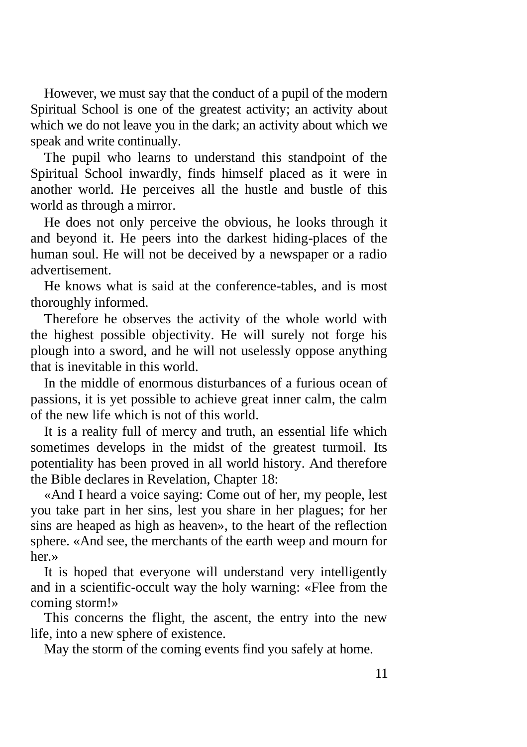However, we must say that the conduct of a pupil of the modern Spiritual School is one of the greatest activity; an activity about which we do not leave you in the dark; an activity about which we speak and write continually.

The pupil who learns to understand this standpoint of the Spiritual School inwardly, finds himself placed as it were in another world. He perceives all the hustle and bustle of this world as through a mirror.

He does not only perceive the obvious, he looks through it and beyond it. He peers into the darkest hiding-places of the human soul. He will not be deceived by a newspaper or a radio advertisement.

He knows what is said at the conference-tables, and is most thoroughly informed.

Therefore he observes the activity of the whole world with the highest possible objectivity. He will surely not forge his plough into a sword, and he will not uselessly oppose anything that is inevitable in this world.

In the middle of enormous disturbances of a furious ocean of passions, it is yet possible to achieve great inner calm, the calm of the new life which is not of this world.

It is a reality full of mercy and truth, an essential life which sometimes develops in the midst of the greatest turmoil. Its potentiality has been proved in all world history. And therefore the Bible declares in Revelation, Chapter 18:

«And I heard a voice saying: Come out of her, my people, lest you take part in her sins, lest you share in her plagues; for her sins are heaped as high as heaven», to the heart of the reflection sphere. «And see, the merchants of the earth weep and mourn for her.»

It is hoped that everyone will understand very intelligently and in a scientific-occult way the holy warning: «Flee from the coming storm!»

This concerns the flight, the ascent, the entry into the new life, into a new sphere of existence.

May the storm of the coming events find you safely at home.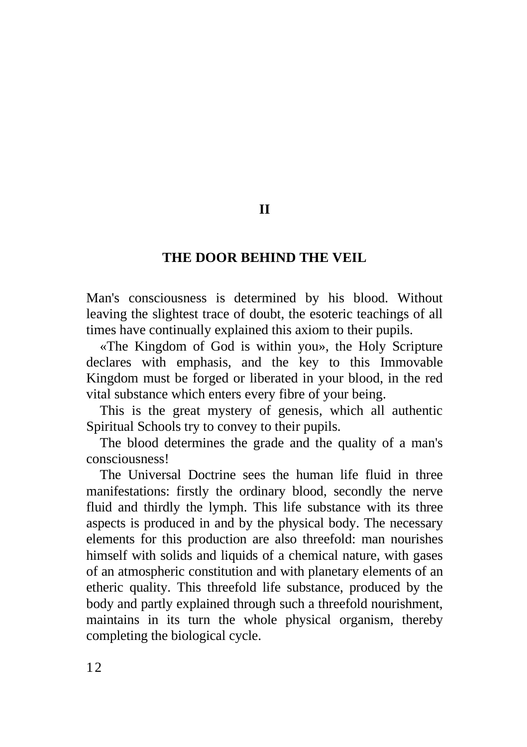### **THE DOOR BEHIND THE VEIL**

Man's consciousness is determined by his blood. Without leaving the slightest trace of doubt, the esoteric teachings of all times have continually explained this axiom to their pupils.

«The Kingdom of God is within you», the Holy Scripture declares with emphasis, and the key to this Immovable Kingdom must be forged or liberated in your blood, in the red vital substance which enters every fibre of your being.

This is the great mystery of genesis, which all authentic Spiritual Schools try to convey to their pupils.

The blood determines the grade and the quality of a man's consciousness!

The Universal Doctrine sees the human life fluid in three manifestations: firstly the ordinary blood, secondly the nerve fluid and thirdly the lymph. This life substance with its three aspects is produced in and by the physical body. The necessary elements for this production are also threefold: man nourishes himself with solids and liquids of a chemical nature, with gases of an atmospheric constitution and with planetary elements of an etheric quality. This threefold life substance, produced by the body and partly explained through such a threefold nourishment, maintains in its turn the whole physical organism, thereby completing the biological cycle.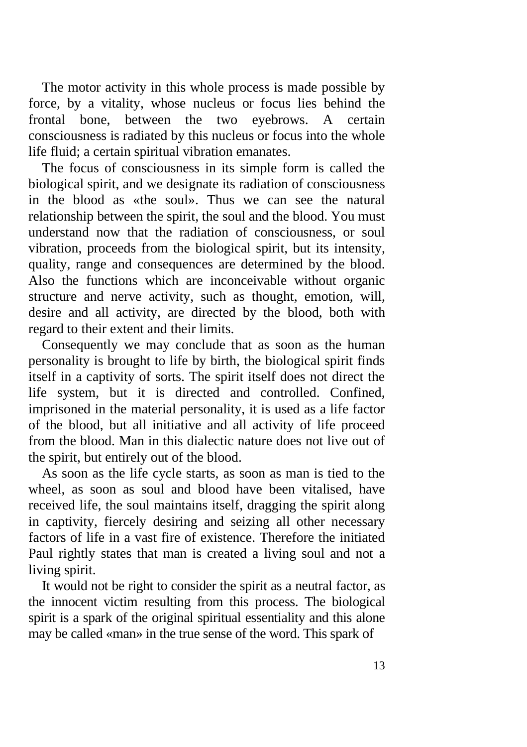The motor activity in this whole process is made possible by force, by a vitality, whose nucleus or focus lies behind the frontal bone, between the two eyebrows. A certain consciousness is radiated by this nucleus or focus into the whole life fluid; a certain spiritual vibration emanates.

The focus of consciousness in its simple form is called the biological spirit, and we designate its radiation of consciousness in the blood as «the soul». Thus we can see the natural relationship between the spirit, the soul and the blood. You must understand now that the radiation of consciousness, or soul vibration, proceeds from the biological spirit, but its intensity, quality, range and consequences are determined by the blood. Also the functions which are inconceivable without organic structure and nerve activity, such as thought, emotion, will, desire and all activity, are directed by the blood, both with regard to their extent and their limits.

Consequently we may conclude that as soon as the human personality is brought to life by birth, the biological spirit finds itself in a captivity of sorts. The spirit itself does not direct the life system, but it is directed and controlled. Confined, imprisoned in the material personality, it is used as a life factor of the blood, but all initiative and all activity of life proceed from the blood. Man in this dialectic nature does not live out of the spirit, but entirely out of the blood.

As soon as the life cycle starts, as soon as man is tied to the wheel, as soon as soul and blood have been vitalised, have received life, the soul maintains itself, dragging the spirit along in captivity, fiercely desiring and seizing all other necessary factors of life in a vast fire of existence. Therefore the initiated Paul rightly states that man is created a living soul and not a living spirit.

It would not be right to consider the spirit as a neutral factor, as the innocent victim resulting from this process. The biological spirit is a spark of the original spiritual essentiality and this alone may be called «man» in the true sense of the word. This spark of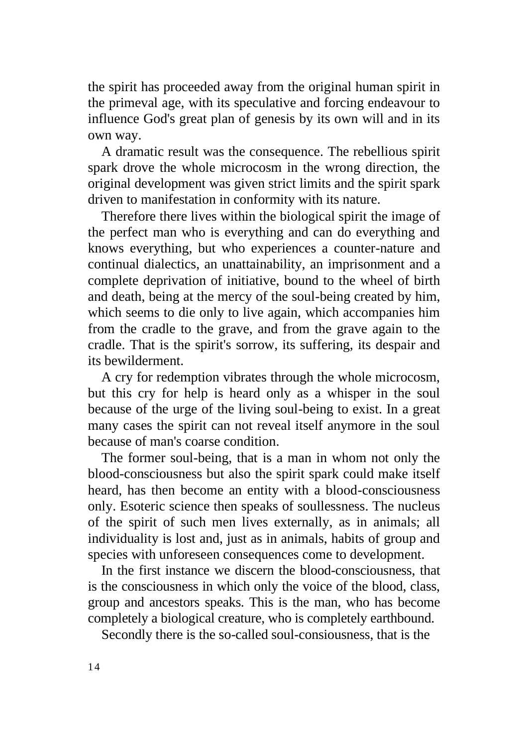the spirit has proceeded away from the original human spirit in the primeval age, with its speculative and forcing endeavour to influence God's great plan of genesis by its own will and in its own way.

A dramatic result was the consequence. The rebellious spirit spark drove the whole microcosm in the wrong direction, the original development was given strict limits and the spirit spark driven to manifestation in conformity with its nature.

Therefore there lives within the biological spirit the image of the perfect man who is everything and can do everything and knows everything, but who experiences a counter-nature and continual dialectics, an unattainability, an imprisonment and a complete deprivation of initiative, bound to the wheel of birth and death, being at the mercy of the soul-being created by him, which seems to die only to live again, which accompanies him from the cradle to the grave, and from the grave again to the cradle. That is the spirit's sorrow, its suffering, its despair and its bewilderment.

A cry for redemption vibrates through the whole microcosm, but this cry for help is heard only as a whisper in the soul because of the urge of the living soul-being to exist. In a great many cases the spirit can not reveal itself anymore in the soul because of man's coarse condition.

The former soul-being, that is a man in whom not only the blood-consciousness but also the spirit spark could make itself heard, has then become an entity with a blood-consciousness only. Esoteric science then speaks of soullessness. The nucleus of the spirit of such men lives externally, as in animals; all individuality is lost and, just as in animals, habits of group and species with unforeseen consequences come to development.

In the first instance we discern the blood-consciousness, that is the consciousness in which only the voice of the blood, class, group and ancestors speaks. This is the man, who has become completely a biological creature, who is completely earthbound.

Secondly there is the so-called soul-consiousness, that is the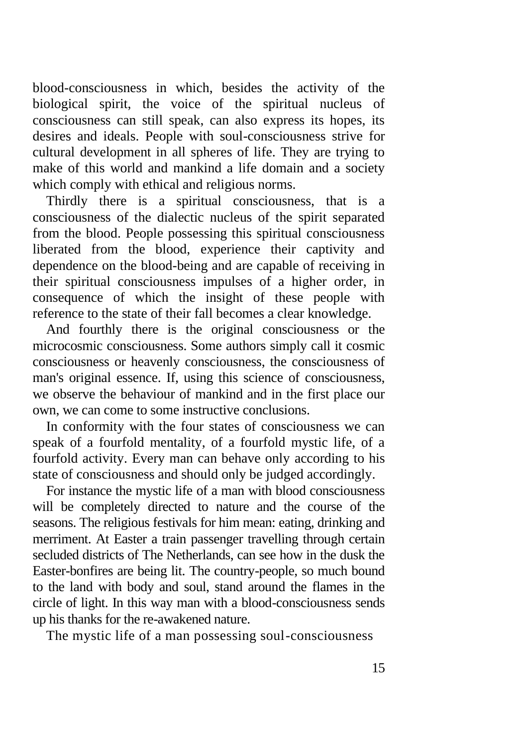blood-consciousness in which, besides the activity of the biological spirit, the voice of the spiritual nucleus of consciousness can still speak, can also express its hopes, its desires and ideals. People with soul-consciousness strive for cultural development in all spheres of life. They are trying to make of this world and mankind a life domain and a society which comply with ethical and religious norms.

Thirdly there is a spiritual consciousness, that is a consciousness of the dialectic nucleus of the spirit separated from the blood. People possessing this spiritual consciousness liberated from the blood, experience their captivity and dependence on the blood-being and are capable of receiving in their spiritual consciousness impulses of a higher order, in consequence of which the insight of these people with reference to the state of their fall becomes a clear knowledge.

And fourthly there is the original consciousness or the microcosmic consciousness. Some authors simply call it cosmic consciousness or heavenly consciousness, the consciousness of man's original essence. If, using this science of consciousness, we observe the behaviour of mankind and in the first place our own, we can come to some instructive conclusions.

In conformity with the four states of consciousness we can speak of a fourfold mentality, of a fourfold mystic life, of a fourfold activity. Every man can behave only according to his state of consciousness and should only be judged accordingly.

For instance the mystic life of a man with blood consciousness will be completely directed to nature and the course of the seasons. The religious festivals for him mean: eating, drinking and merriment. At Easter a train passenger travelling through certain secluded districts of The Netherlands, can see how in the dusk the Easter-bonfires are being lit. The country-people, so much bound to the land with body and soul, stand around the flames in the circle of light. In this way man with a blood-consciousness sends up his thanks for the re-awakened nature.

The mystic life of a man possessing soul-consciousness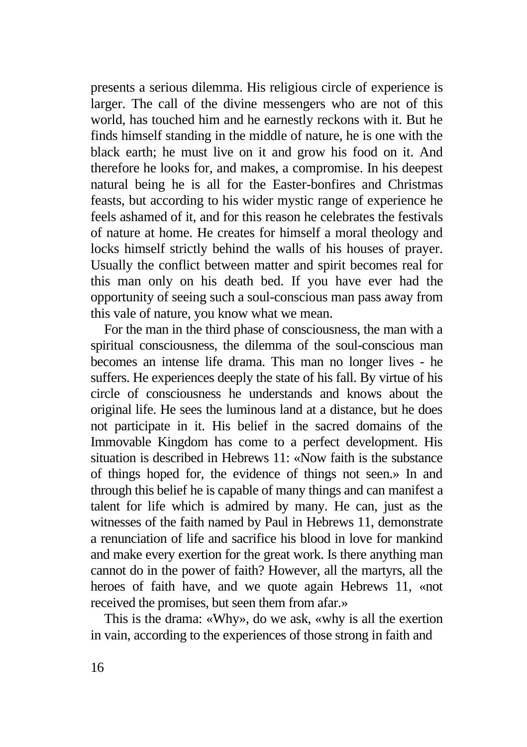presents a serious dilemma. His religious circle of experience is larger. The call of the divine messengers who are not of this world, has touched him and he earnestly reckons with it. But he finds himself standing in the middle of nature, he is one with the black earth; he must live on it and grow his food on it. And therefore he looks for, and makes, a compromise. In his deepest natural being he is all for the Easter-bonfires and Christmas feasts, but according to his wider mystic range of experience he feels ashamed of it, and for this reason he celebrates the festivals of nature at home. He creates for himself a moral theology and locks himself strictly behind the walls of his houses of prayer. Usually the conflict between matter and spirit becomes real for this man only on his death bed. If you have ever had the opportunity of seeing such a soul-conscious man pass away from this vale of nature, you know what we mean.

For the man in the third phase of consciousness, the man with a spiritual consciousness, the dilemma of the soul-conscious man becomes an intense life drama. This man no longer lives - he suffers. He experiences deeply the state of his fall. By virtue of his circle of consciousness he understands and knows about the original life. He sees the luminous land at a distance, but he does not participate in it. His belief in the sacred domains of the Immovable Kingdom has come to a perfect development. His situation is described in Hebrews  $11 \cdot \alpha$ Now faith is the substance of things hoped for, the evidence of things not seen.» In and through this belief he is capable of many things and can manifest a talent for life which is admired by many. He can, just as the witnesses of the faith named by Paul in Hebrews 11, demonstrate a renunciation of life and sacrifice his blood in love for mankind and make every exertion for the great work. Is there anything man cannot do in the power of faith? However, all the martyrs, all the heroes of faith have, and we quote again Hebrews 11, «not received the promises, but seen them from afar.»

This is the drama: «Why», do we ask, «why is all the exertion in vain, according to the experiences of those strong in faith and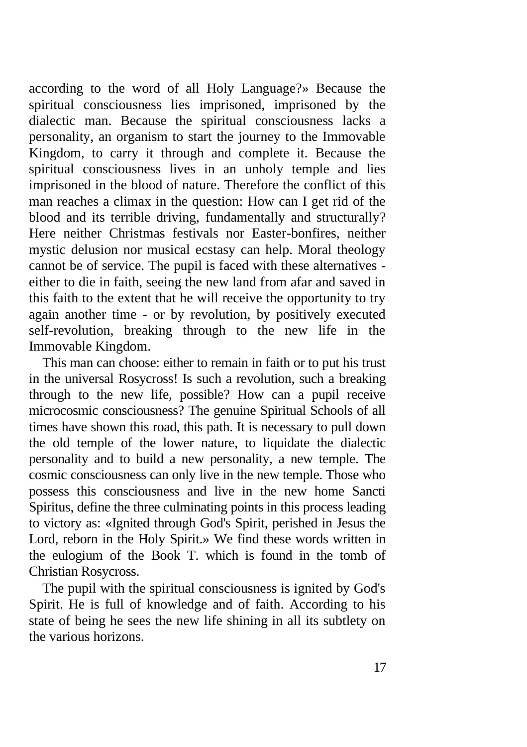according to the word of all Holy Language?» Because the spiritual consciousness lies imprisoned, imprisoned by the dialectic man. Because the spiritual consciousness lacks a personality, an organism to start the journey to the Immovable Kingdom, to carry it through and complete it. Because the spiritual consciousness lives in an unholy temple and lies imprisoned in the blood of nature. Therefore the conflict of this man reaches a climax in the question: How can I get rid of the blood and its terrible driving, fundamentally and structurally? Here neither Christmas festivals nor Easter-bonfires, neither mystic delusion nor musical ecstasy can help. Moral theology cannot be of service. The pupil is faced with these alternatives either to die in faith, seeing the new land from afar and saved in this faith to the extent that he will receive the opportunity to try again another time - or by revolution, by positively executed self-revolution, breaking through to the new life in the Immovable Kingdom.

This man can choose: either to remain in faith or to put his trust in the universal Rosycross! Is such a revolution, such a breaking through to the new life, possible? How can a pupil receive microcosmic consciousness? The genuine Spiritual Schools of all times have shown this road, this path. It is necessary to pull down the old temple of the lower nature, to liquidate the dialectic personality and to build a new personality, a new temple. The cosmic consciousness can only live in the new temple. Those who possess this consciousness and live in the new home Sancti Spiritus, define the three culminating points in this process leading to victory as: «Ignited through God's Spirit, perished in Jesus the Lord, reborn in the Holy Spirit.» We find these words written in the eulogium of the Book T. which is found in the tomb of Christian Rosycross.

The pupil with the spiritual consciousness is ignited by God's Spirit. He is full of knowledge and of faith. According to his state of being he sees the new life shining in all its subtlety on the various horizons.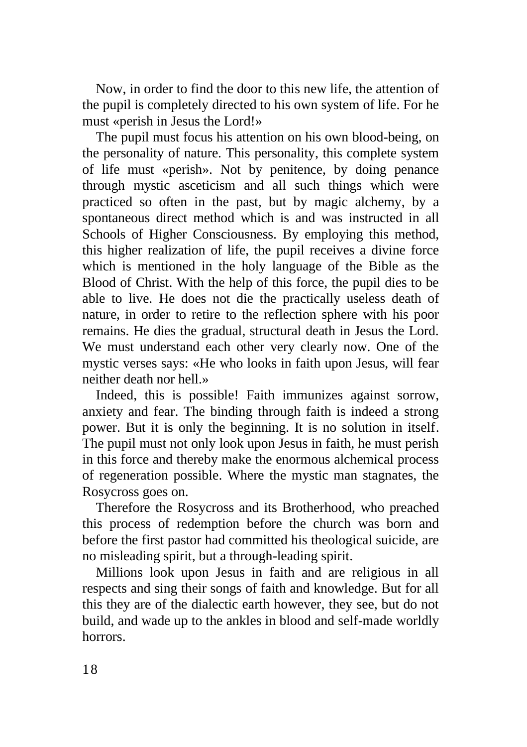Now, in order to find the door to this new life, the attention of the pupil is completely directed to his own system of life. For he must «perish in Jesus the Lord!»

The pupil must focus his attention on his own blood-being, on the personality of nature. This personality, this complete system of life must «perish». Not by penitence, by doing penance through mystic asceticism and all such things which were practiced so often in the past, but by magic alchemy, by a spontaneous direct method which is and was instructed in all Schools of Higher Consciousness. By employing this method, this higher realization of life, the pupil receives a divine force which is mentioned in the holy language of the Bible as the Blood of Christ. With the help of this force, the pupil dies to be able to live. He does not die the practically useless death of nature, in order to retire to the reflection sphere with his poor remains. He dies the gradual, structural death in Jesus the Lord. We must understand each other very clearly now. One of the mystic verses says: «He who looks in faith upon Jesus, will fear neither death nor hell »

Indeed, this is possible! Faith immunizes against sorrow, anxiety and fear. The binding through faith is indeed a strong power. But it is only the beginning. It is no solution in itself. The pupil must not only look upon Jesus in faith, he must perish in this force and thereby make the enormous alchemical process of regeneration possible. Where the mystic man stagnates, the Rosycross goes on.

Therefore the Rosycross and its Brotherhood, who preached this process of redemption before the church was born and before the first pastor had committed his theological suicide, are no misleading spirit, but a through-leading spirit.

Millions look upon Jesus in faith and are religious in all respects and sing their songs of faith and knowledge. But for all this they are of the dialectic earth however, they see, but do not build, and wade up to the ankles in blood and self-made worldly horrors.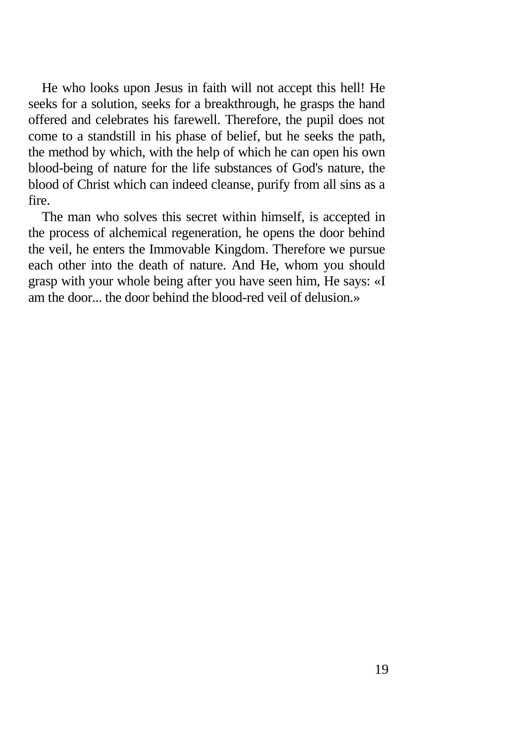He who looks upon Jesus in faith will not accept this hell! He seeks for a solution, seeks for a breakthrough, he grasps the hand offered and celebrates his farewell. Therefore, the pupil does not come to a standstill in his phase of belief, but he seeks the path, the method by which, with the help of which he can open his own blood-being of nature for the life substances of God's nature, the blood of Christ which can indeed cleanse, purify from all sins as a fire.

The man who solves this secret within himself, is accepted in the process of alchemical regeneration, he opens the door behind the veil, he enters the Immovable Kingdom. Therefore we pursue each other into the death of nature. And He, whom you should grasp with your whole being after you have seen him, He says: «I am the door the door behind the blood-red veil of delusion.»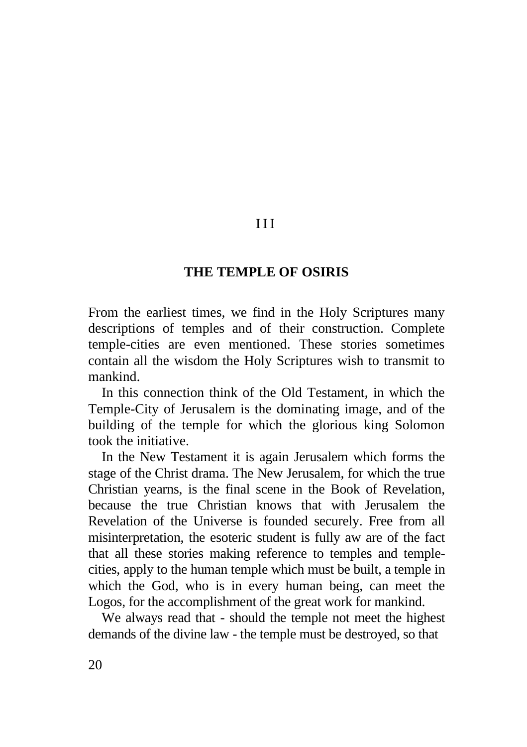# **THE TEMPLE OF OSIRIS**

III

From the earliest times, we find in the Holy Scriptures many descriptions of temples and of their construction. Complete temple-cities are even mentioned. These stories sometimes contain all the wisdom the Holy Scriptures wish to transmit to mankind.

In this connection think of the Old Testament, in which the Temple-City of Jerusalem is the dominating image, and of the building of the temple for which the glorious king Solomon took the initiative.

In the New Testament it is again Jerusalem which forms the stage of the Christ drama. The New Jerusalem, for which the true Christian yearns, is the final scene in the Book of Revelation, because the true Christian knows that with Jerusalem the Revelation of the Universe is founded securely. Free from all misinterpretation, the esoteric student is fully aw are of the fact that all these stories making reference to temples and templecities, apply to the human temple which must be built, a temple in which the God, who is in every human being, can meet the Logos, for the accomplishment of the great work for mankind.

We always read that - should the temple not meet the highest demands of the divine law - the temple must be destroyed, so that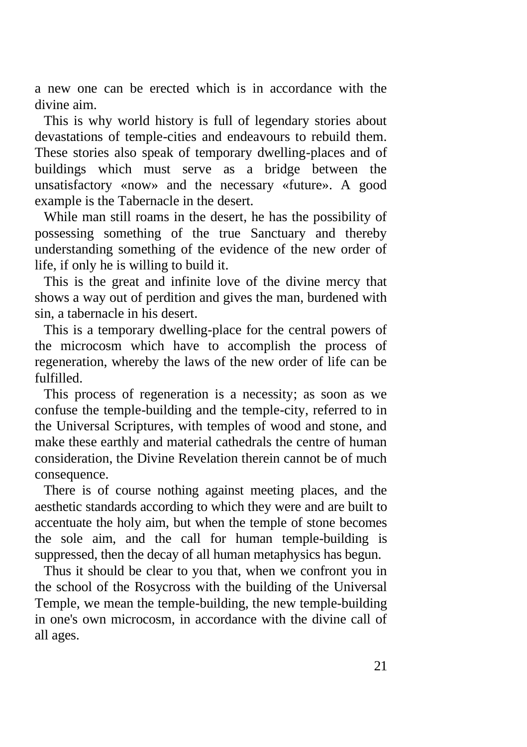a new one can be erected which is in accordance with the divine aim.

This is why world history is full of legendary stories about devastations of temple-cities and endeavours to rebuild them. These stories also speak of temporary dwelling-places and of buildings which must serve as a bridge between the unsatisfactory «now» and the necessary «future». A good example is the Tabernacle in the desert.

While man still roams in the desert, he has the possibility of possessing something of the true Sanctuary and thereby understanding something of the evidence of the new order of life, if only he is willing to build it.

This is the great and infinite love of the divine mercy that shows a way out of perdition and gives the man, burdened with sin, a tabernacle in his desert.

This is a temporary dwelling-place for the central powers of the microcosm which have to accomplish the process of regeneration, whereby the laws of the new order of life can be fulfilled.

This process of regeneration is a necessity; as soon as we confuse the temple-building and the temple-city, referred to in the Universal Scriptures, with temples of wood and stone, and make these earthly and material cathedrals the centre of human consideration, the Divine Revelation therein cannot be of much consequence.

There is of course nothing against meeting places, and the aesthetic standards according to which they were and are built to accentuate the holy aim, but when the temple of stone becomes the sole aim, and the call for human temple-building is suppressed, then the decay of all human metaphysics has begun.

Thus it should be clear to you that, when we confront you in the school of the Rosycross with the building of the Universal Temple, we mean the temple-building, the new temple-building in one's own microcosm, in accordance with the divine call of all ages.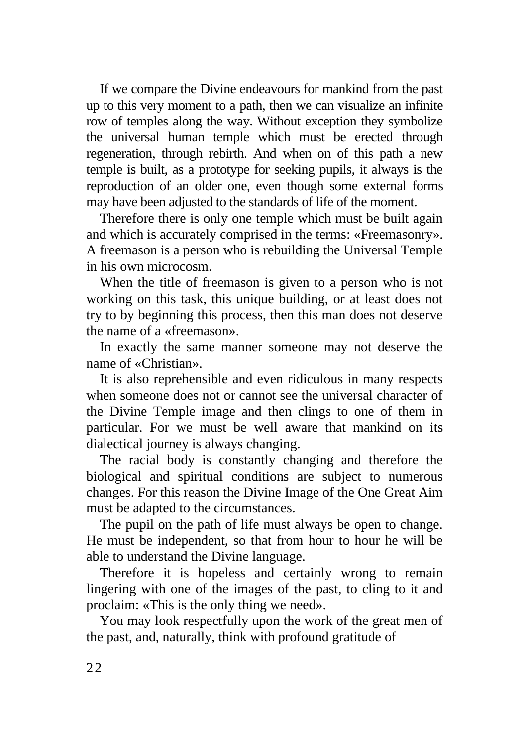If we compare the Divine endeavours for mankind from the past up to this very moment to a path, then we can visualize an infinite row of temples along the way. Without exception they symbolize the universal human temple which must be erected through regeneration, through rebirth. And when on of this path a new temple is built, as a prototype for seeking pupils, it always is the reproduction of an older one, even though some external forms may have been adjusted to the standards of life of the moment.

Therefore there is only one temple which must be built again and which is accurately comprised in the terms: «Freemasonry». A freemason is a person who is rebuilding the Universal Temple in his own microcosm.

When the title of freemason is given to a person who is not working on this task, this unique building, or at least does not try to by beginning this process, then this man does not deserve the name of a «freemason».

In exactly the same manner someone may not deserve the name of «Christian».

It is also reprehensible and even ridiculous in many respects when someone does not or cannot see the universal character of the Divine Temple image and then clings to one of them in particular. For we must be well aware that mankind on its dialectical journey is always changing.

The racial body is constantly changing and therefore the biological and spiritual conditions are subject to numerous changes. For this reason the Divine Image of the One Great Aim must be adapted to the circumstances.

The pupil on the path of life must always be open to change. He must be independent, so that from hour to hour he will be able to understand the Divine language.

Therefore it is hopeless and certainly wrong to remain lingering with one of the images of the past, to cling to it and proclaim: «This is the only thing we need».

You may look respectfully upon the work of the great men of the past, and, naturally, think with profound gratitude of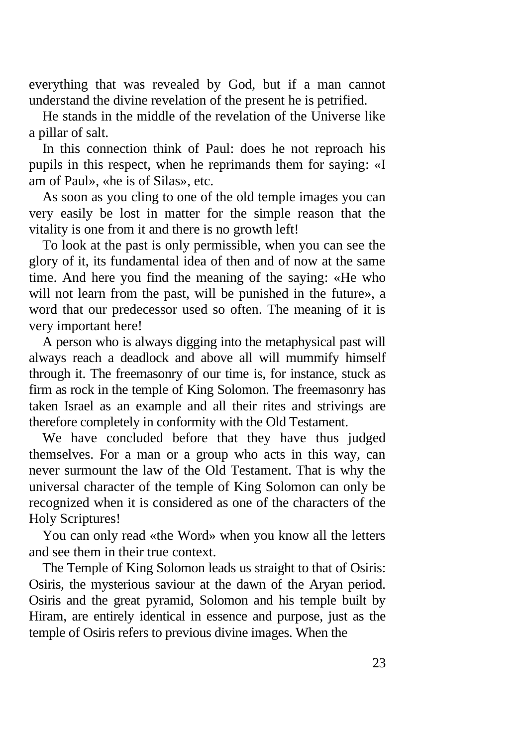everything that was revealed by God, but if a man cannot understand the divine revelation of the present he is petrified.

He stands in the middle of the revelation of the Universe like a pillar of salt.

In this connection think of Paul: does he not reproach his pupils in this respect, when he reprimands them for saying: «I am of Paul», «he is of Silas», etc.

As soon as you cling to one of the old temple images you can very easily be lost in matter for the simple reason that the vitality is one from it and there is no growth left!

To look at the past is only permissible, when you can see the glory of it, its fundamental idea of then and of now at the same time. And here you find the meaning of the saying: «He who will not learn from the past, will be punished in the future», a word that our predecessor used so often. The meaning of it is very important here!

A person who is always digging into the metaphysical past will always reach a deadlock and above all will mummify himself through it. The freemasonry of our time is, for instance, stuck as firm as rock in the temple of King Solomon. The freemasonry has taken Israel as an example and all their rites and strivings are therefore completely in conformity with the Old Testament.

We have concluded before that they have thus judged themselves. For a man or a group who acts in this way, can never surmount the law of the Old Testament. That is why the universal character of the temple of King Solomon can only be recognized when it is considered as one of the characters of the Holy Scriptures!

You can only read «the Word» when you know all the letters and see them in their true context.

The Temple of King Solomon leads us straight to that of Osiris: Osiris, the mysterious saviour at the dawn of the Aryan period. Osiris and the great pyramid, Solomon and his temple built by Hiram, are entirely identical in essence and purpose, just as the temple of Osiris refers to previous divine images. When the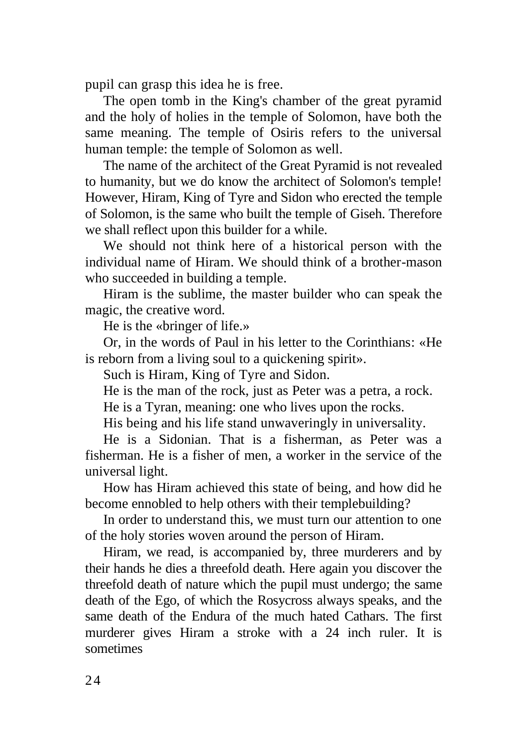pupil can grasp this idea he is free.

The open tomb in the King's chamber of the great pyramid and the holy of holies in the temple of Solomon, have both the same meaning. The temple of Osiris refers to the universal human temple: the temple of Solomon as well.

The name of the architect of the Great Pyramid is not revealed to humanity, but we do know the architect of Solomon's temple! However, Hiram, King of Tyre and Sidon who erected the temple of Solomon, is the same who built the temple of Giseh. Therefore we shall reflect upon this builder for a while.

We should not think here of a historical person with the individual name of Hiram. We should think of a brother-mason who succeeded in building a temple.

Hiram is the sublime, the master builder who can speak the magic, the creative word.

He is the «bringer of life.»

Or, in the words of Paul in his letter to the Corinthians: «He is reborn from a living soul to a quickening spirit».

Such is Hiram, King of Tyre and Sidon.

He is the man of the rock, just as Peter was a petra, a rock.

He is a Tyran, meaning: one who lives upon the rocks.

His being and his life stand unwaveringly in universality.

He is a Sidonian. That is a fisherman, as Peter was a fisherman. He is a fisher of men, a worker in the service of the universal light.

How has Hiram achieved this state of being, and how did he become ennobled to help others with their templebuilding?

In order to understand this, we must turn our attention to one of the holy stories woven around the person of Hiram.

Hiram, we read, is accompanied by, three murderers and by their hands he dies a threefold death. Here again you discover the threefold death of nature which the pupil must undergo; the same death of the Ego, of which the Rosycross always speaks, and the same death of the Endura of the much hated Cathars. The first murderer gives Hiram a stroke with a 24 inch ruler. It is sometimes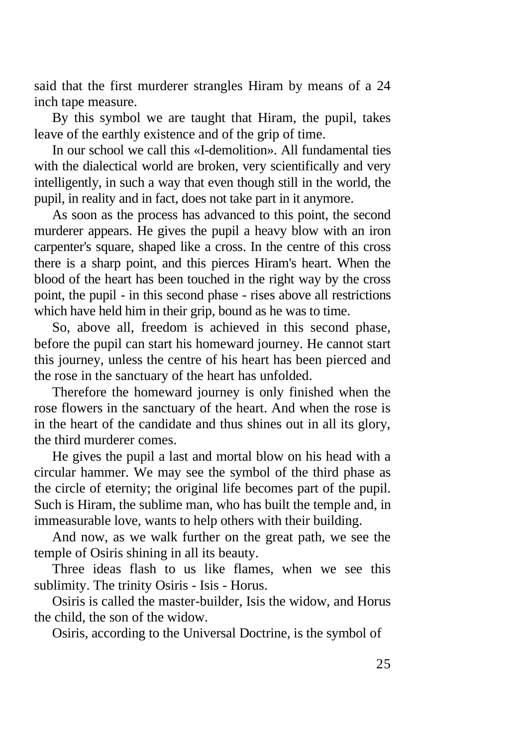said that the first murderer strangles Hiram by means of a 24 inch tape measure.

By this symbol we are taught that Hiram, the pupil, takes leave of the earthly existence and of the grip of time.

In our school we call this «I-demolition». All fundamental ties with the dialectical world are broken, very scientifically and very intelligently, in such a way that even though still in the world, the pupil, in reality and in fact, does not take part in it anymore.

As soon as the process has advanced to this point, the second murderer appears. He gives the pupil a heavy blow with an iron carpenter's square, shaped like a cross. In the centre of this cross there is a sharp point, and this pierces Hiram's heart. When the blood of the heart has been touched in the right way by the cross point, the pupil - in this second phase - rises above all restrictions which have held him in their grip, bound as he was to time.

So, above all, freedom is achieved in this second phase, before the pupil can start his homeward journey. He cannot start this journey, unless the centre of his heart has been pierced and the rose in the sanctuary of the heart has unfolded.

Therefore the homeward journey is only finished when the rose flowers in the sanctuary of the heart. And when the rose is in the heart of the candidate and thus shines out in all its glory, the third murderer comes.

He gives the pupil a last and mortal blow on his head with a circular hammer. We may see the symbol of the third phase as the circle of eternity; the original life becomes part of the pupil. Such is Hiram, the sublime man, who has built the temple and, in immeasurable love, wants to help others with their building.

And now, as we walk further on the great path, we see the temple of Osiris shining in all its beauty.

Three ideas flash to us like flames, when we see this sublimity. The trinity Osiris - Isis - Horus.

Osiris is called the master-builder, Isis the widow, and Horus the child, the son of the widow.

Osiris, according to the Universal Doctrine, is the symbol of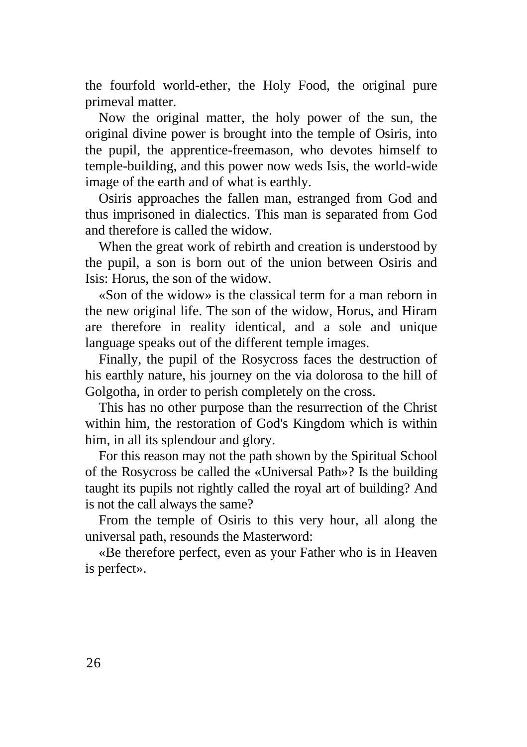the fourfold world-ether, the Holy Food, the original pure primeval matter.

Now the original matter, the holy power of the sun, the original divine power is brought into the temple of Osiris, into the pupil, the apprentice-freemason, who devotes himself to temple-building, and this power now weds Isis, the world-wide image of the earth and of what is earthly.

Osiris approaches the fallen man, estranged from God and thus imprisoned in dialectics. This man is separated from God and therefore is called the widow.

When the great work of rebirth and creation is understood by the pupil, a son is born out of the union between Osiris and Isis: Horus, the son of the widow.

«Son of the widow» is the classical term for a man reborn in the new original life. The son of the widow, Horus, and Hiram are therefore in reality identical, and a sole and unique language speaks out of the different temple images.

Finally, the pupil of the Rosycross faces the destruction of his earthly nature, his journey on the via dolorosa to the hill of Golgotha, in order to perish completely on the cross.

This has no other purpose than the resurrection of the Christ within him, the restoration of God's Kingdom which is within him, in all its splendour and glory.

For this reason may not the path shown by the Spiritual School of the Rosycross be called the «Universal Path»? Is the building taught its pupils not rightly called the royal art of building? And is not the call always the same?

From the temple of Osiris to this very hour, all along the universal path, resounds the Masterword:

«Be therefore perfect, even as your Father who is in Heaven is perfect».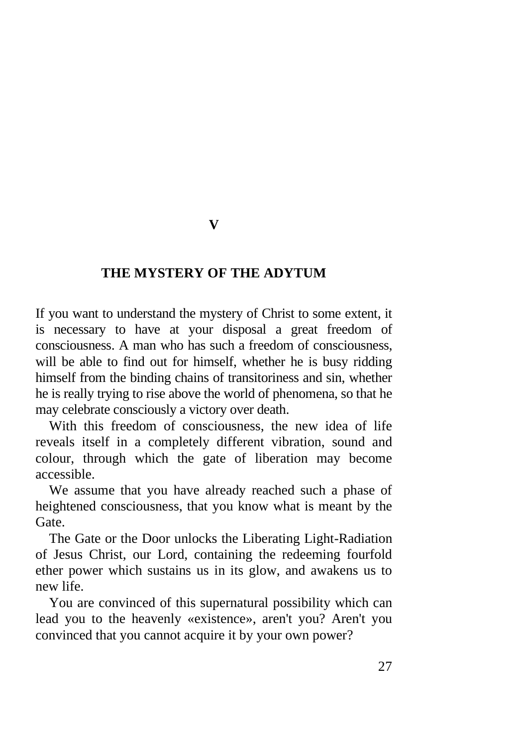### **V**

#### **THE MYSTERY OF THE ADYTUM**

If you want to understand the mystery of Christ to some extent, it is necessary to have at your disposal a great freedom of consciousness. A man who has such a freedom of consciousness, will be able to find out for himself, whether he is busy ridding himself from the binding chains of transitoriness and sin, whether he is really trying to rise above the world of phenomena, so that he may celebrate consciously a victory over death.

With this freedom of consciousness, the new idea of life reveals itself in a completely different vibration, sound and colour, through which the gate of liberation may become accessible.

We assume that you have already reached such a phase of heightened consciousness, that you know what is meant by the Gate.

The Gate or the Door unlocks the Liberating Light-Radiation of Jesus Christ, our Lord, containing the redeeming fourfold ether power which sustains us in its glow, and awakens us to new life.

You are convinced of this supernatural possibility which can lead you to the heavenly «existence», aren't you? Aren't you convinced that you cannot acquire it by your own power?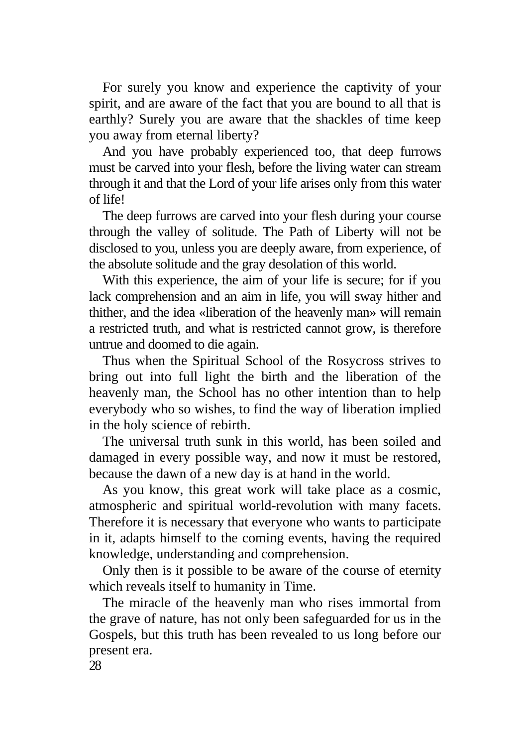For surely you know and experience the captivity of your spirit, and are aware of the fact that you are bound to all that is earthly? Surely you are aware that the shackles of time keep you away from eternal liberty?

And you have probably experienced too, that deep furrows must be carved into your flesh, before the living water can stream through it and that the Lord of your life arises only from this water of life!

The deep furrows are carved into your flesh during your course through the valley of solitude. The Path of Liberty will not be disclosed to you, unless you are deeply aware, from experience, of the absolute solitude and the gray desolation of this world.

With this experience, the aim of your life is secure; for if you lack comprehension and an aim in life, you will sway hither and thither, and the idea «liberation of the heavenly man» will remain a restricted truth, and what is restricted cannot grow, is therefore untrue and doomed to die again.

Thus when the Spiritual School of the Rosycross strives to bring out into full light the birth and the liberation of the heavenly man, the School has no other intention than to help everybody who so wishes, to find the way of liberation implied in the holy science of rebirth.

The universal truth sunk in this world, has been soiled and damaged in every possible way, and now it must be restored, because the dawn of a new day is at hand in the world.

As you know, this great work will take place as a cosmic, atmospheric and spiritual world-revolution with many facets. Therefore it is necessary that everyone who wants to participate in it, adapts himself to the coming events, having the required knowledge, understanding and comprehension.

Only then is it possible to be aware of the course of eternity which reveals itself to humanity in Time.

The miracle of the heavenly man who rises immortal from the grave of nature, has not only been safeguarded for us in the Gospels, but this truth has been revealed to us long before our present era.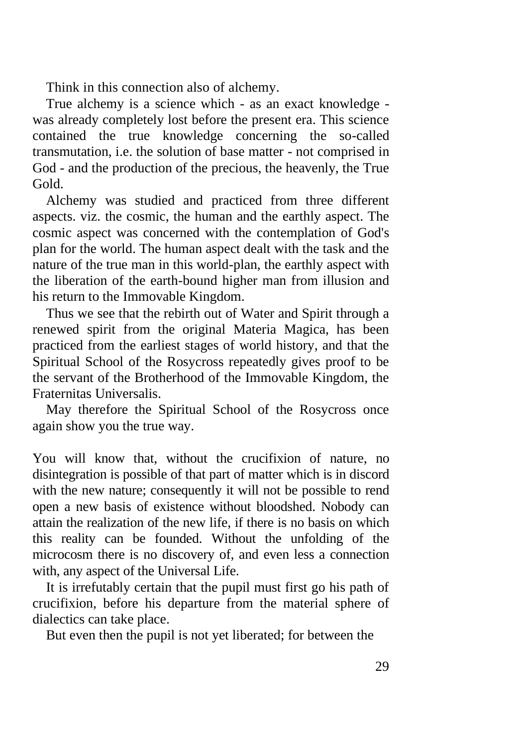Think in this connection also of alchemy.

True alchemy is a science which - as an exact knowledge was already completely lost before the present era. This science contained the true knowledge concerning the so-called transmutation, i.e. the solution of base matter - not comprised in God - and the production of the precious, the heavenly, the True Gold.

Alchemy was studied and practiced from three different aspects. viz. the cosmic, the human and the earthly aspect. The cosmic aspect was concerned with the contemplation of God's plan for the world. The human aspect dealt with the task and the nature of the true man in this world-plan, the earthly aspect with the liberation of the earth-bound higher man from illusion and his return to the Immovable Kingdom.

Thus we see that the rebirth out of Water and Spirit through a renewed spirit from the original Materia Magica, has been practiced from the earliest stages of world history, and that the Spiritual School of the Rosycross repeatedly gives proof to be the servant of the Brotherhood of the Immovable Kingdom, the Fraternitas Universalis.

May therefore the Spiritual School of the Rosycross once again show you the true way.

You will know that, without the crucifixion of nature, no disintegration is possible of that part of matter which is in discord with the new nature; consequently it will not be possible to rend open a new basis of existence without bloodshed. Nobody can attain the realization of the new life, if there is no basis on which this reality can be founded. Without the unfolding of the microcosm there is no discovery of, and even less a connection with, any aspect of the Universal Life.

It is irrefutably certain that the pupil must first go his path of crucifixion, before his departure from the material sphere of dialectics can take place.

But even then the pupil is not yet liberated; for between the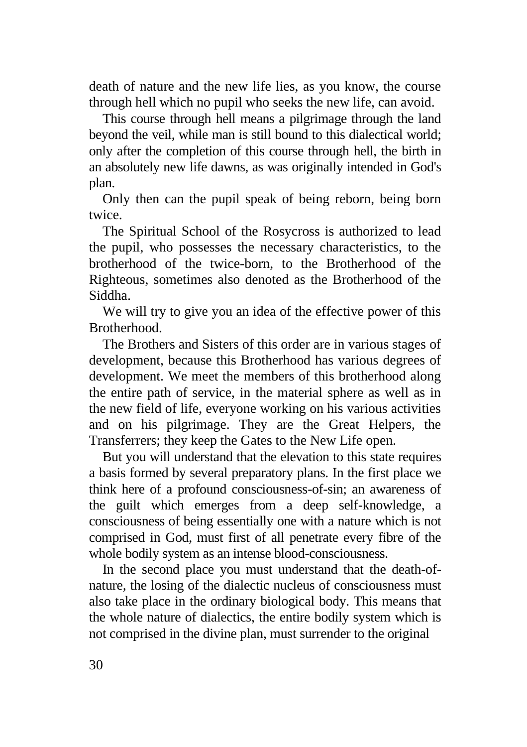death of nature and the new life lies, as you know, the course through hell which no pupil who seeks the new life, can avoid.

This course through hell means a pilgrimage through the land beyond the veil, while man is still bound to this dialectical world; only after the completion of this course through hell, the birth in an absolutely new life dawns, as was originally intended in God's plan.

Only then can the pupil speak of being reborn, being born twice.

The Spiritual School of the Rosycross is authorized to lead the pupil, who possesses the necessary characteristics, to the brotherhood of the twice-born, to the Brotherhood of the Righteous, sometimes also denoted as the Brotherhood of the Siddha.

We will try to give you an idea of the effective power of this **Brotherhood** 

The Brothers and Sisters of this order are in various stages of development, because this Brotherhood has various degrees of development. We meet the members of this brotherhood along the entire path of service, in the material sphere as well as in the new field of life, everyone working on his various activities and on his pilgrimage. They are the Great Helpers, the Transferrers; they keep the Gates to the New Life open.

But you will understand that the elevation to this state requires a basis formed by several preparatory plans. In the first place we think here of a profound consciousness-of-sin; an awareness of the guilt which emerges from a deep self-knowledge, a consciousness of being essentially one with a nature which is not comprised in God, must first of all penetrate every fibre of the whole bodily system as an intense blood-consciousness.

In the second place you must understand that the death-ofnature, the losing of the dialectic nucleus of consciousness must also take place in the ordinary biological body. This means that the whole nature of dialectics, the entire bodily system which is not comprised in the divine plan, must surrender to the original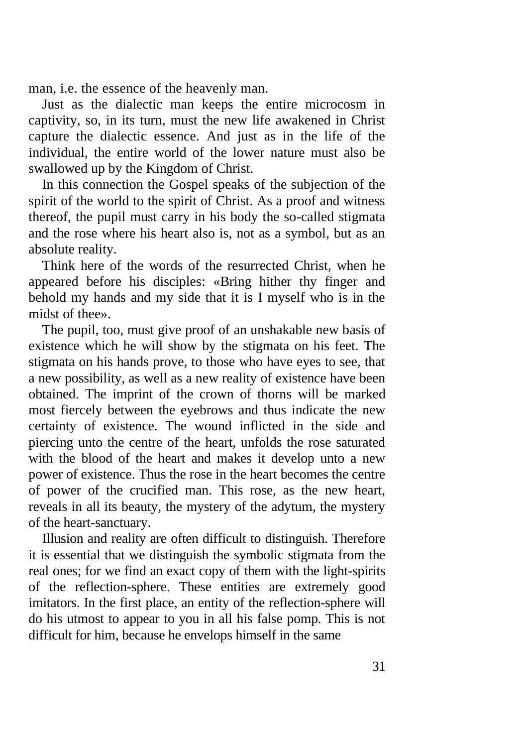man, i.e. the essence of the heavenly man.

Just as the dialectic man keeps the entire microcosm in captivity, so, in its turn, must the new life awakened in Christ capture the dialectic essence. And just as in the life of the individual, the entire world of the lower nature must also be swallowed up by the Kingdom of Christ.

In this connection the Gospel speaks of the subjection of the spirit of the world to the spirit of Christ. As a proof and witness thereof, the pupil must carry in his body the so-called stigmata and the rose where his heart also is, not as a symbol, but as an absolute reality.

Think here of the words of the resurrected Christ, when he appeared before his disciples: «Bring hither thy finger and behold my hands and my side that it is I myself who is in the midst of thee».

The pupil, too, must give proof of an unshakable new basis of existence which he will show by the stigmata on his feet. The stigmata on his hands prove, to those who have eyes to see, that a new possibility, as well as a new reality of existence have been obtained. The imprint of the crown of thorns will be marked most fiercely between the eyebrows and thus indicate the new certainty of existence. The wound inflicted in the side and piercing unto the centre of the heart, unfolds the rose saturated with the blood of the heart and makes it develop unto a new power of existence. Thus the rose in the heart becomes the centre of power of the crucified man. This rose, as the new heart, reveals in all its beauty, the mystery of the adytum, the mystery of the heart-sanctuary.

Illusion and reality are often difficult to distinguish. Therefore it is essential that we distinguish the symbolic stigmata from the real ones; for we find an exact copy of them with the light-spirits of the reflection-sphere. These entities are extremely good imitators. In the first place, an entity of the reflection-sphere will do his utmost to appear to you in all his false pomp. This is not difficult for him, because he envelops himself in the same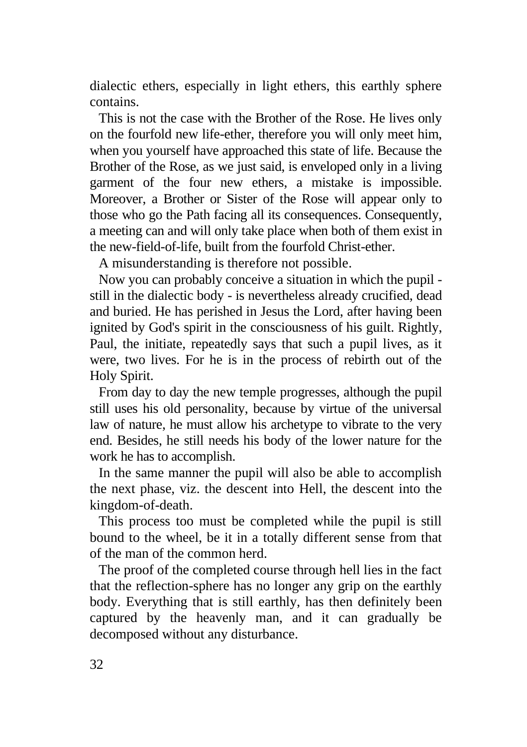dialectic ethers, especially in light ethers, this earthly sphere contains.

This is not the case with the Brother of the Rose. He lives only on the fourfold new life-ether, therefore you will only meet him, when you yourself have approached this state of life. Because the Brother of the Rose, as we just said, is enveloped only in a living garment of the four new ethers, a mistake is impossible. Moreover, a Brother or Sister of the Rose will appear only to those who go the Path facing all its consequences. Consequently, a meeting can and will only take place when both of them exist in the new-field-of-life, built from the fourfold Christ-ether.

A misunderstanding is therefore not possible.

Now you can probably conceive a situation in which the pupil still in the dialectic body - is nevertheless already crucified, dead and buried. He has perished in Jesus the Lord, after having been ignited by God's spirit in the consciousness of his guilt. Rightly, Paul, the initiate, repeatedly says that such a pupil lives, as it were, two lives. For he is in the process of rebirth out of the Holy Spirit.

From day to day the new temple progresses, although the pupil still uses his old personality, because by virtue of the universal law of nature, he must allow his archetype to vibrate to the very end. Besides, he still needs his body of the lower nature for the work he has to accomplish.

In the same manner the pupil will also be able to accomplish the next phase, viz. the descent into Hell, the descent into the kingdom-of-death.

This process too must be completed while the pupil is still bound to the wheel, be it in a totally different sense from that of the man of the common herd.

The proof of the completed course through hell lies in the fact that the reflection-sphere has no longer any grip on the earthly body. Everything that is still earthly, has then definitely been captured by the heavenly man, and it can gradually be decomposed without any disturbance.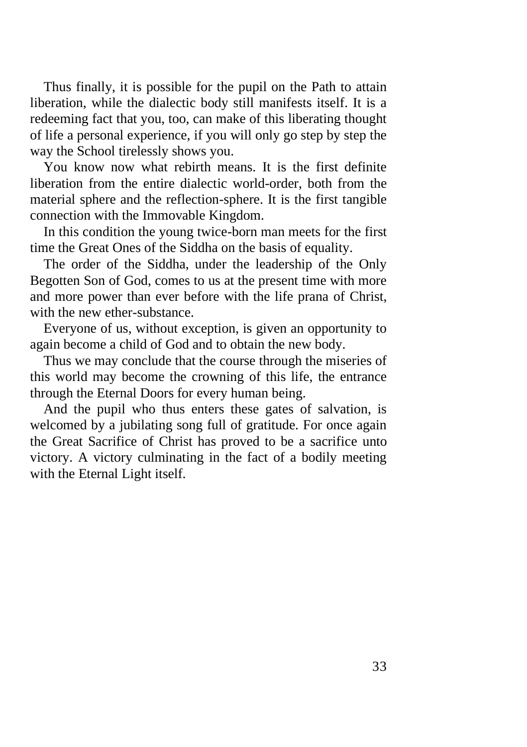Thus finally, it is possible for the pupil on the Path to attain liberation, while the dialectic body still manifests itself. It is a redeeming fact that you, too, can make of this liberating thought of life a personal experience, if you will only go step by step the way the School tirelessly shows you.

You know now what rebirth means. It is the first definite liberation from the entire dialectic world-order, both from the material sphere and the reflection-sphere. It is the first tangible connection with the Immovable Kingdom.

In this condition the young twice-born man meets for the first time the Great Ones of the Siddha on the basis of equality.

The order of the Siddha, under the leadership of the Only Begotten Son of God, comes to us at the present time with more and more power than ever before with the life prana of Christ, with the new ether-substance.

Everyone of us, without exception, is given an opportunity to again become a child of God and to obtain the new body.

Thus we may conclude that the course through the miseries of this world may become the crowning of this life, the entrance through the Eternal Doors for every human being.

And the pupil who thus enters these gates of salvation, is welcomed by a jubilating song full of gratitude. For once again the Great Sacrifice of Christ has proved to be a sacrifice unto victory. A victory culminating in the fact of a bodily meeting with the Eternal Light itself.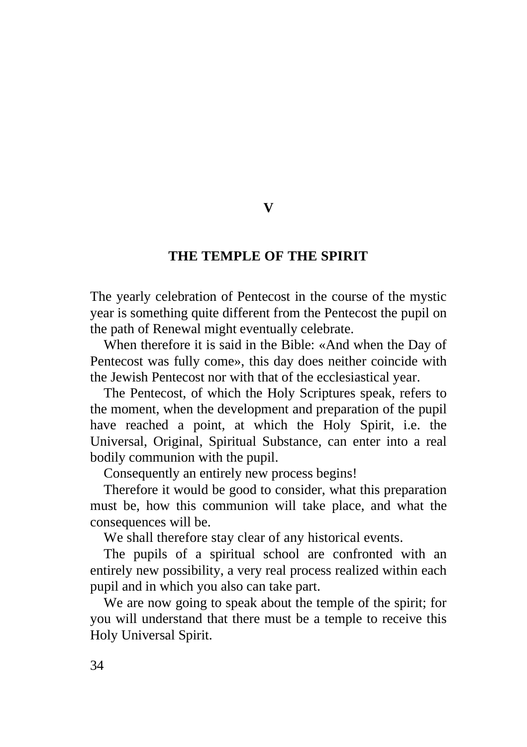### **THE TEMPLE OF THE SPIRIT**

The yearly celebration of Pentecost in the course of the mystic year is something quite different from the Pentecost the pupil on the path of Renewal might eventually celebrate.

When therefore it is said in the Bible: «And when the Day of Pentecost was fully come», this day does neither coincide with the Jewish Pentecost nor with that of the ecclesiastical year.

The Pentecost, of which the Holy Scriptures speak, refers to the moment, when the development and preparation of the pupil have reached a point, at which the Holy Spirit, i.e. the Universal, Original, Spiritual Substance, can enter into a real bodily communion with the pupil.

Consequently an entirely new process begins!

Therefore it would be good to consider, what this preparation must be, how this communion will take place, and what the consequences will be.

We shall therefore stay clear of any historical events.

The pupils of a spiritual school are confronted with an entirely new possibility, a very real process realized within each pupil and in which you also can take part.

We are now going to speak about the temple of the spirit; for you will understand that there must be a temple to receive this Holy Universal Spirit.

**V**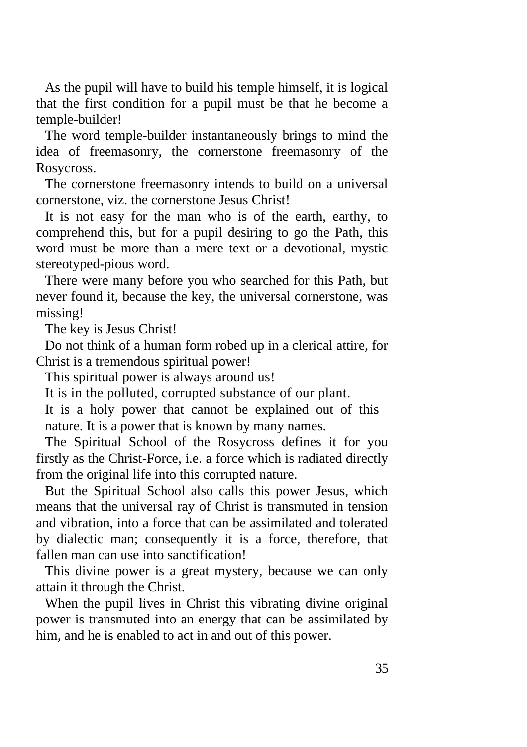As the pupil will have to build his temple himself, it is logical that the first condition for a pupil must be that he become a temple-builder!

The word temple-builder instantaneously brings to mind the idea of freemasonry, the cornerstone freemasonry of the Rosycross.

The cornerstone freemasonry intends to build on a universal cornerstone, viz. the cornerstone Jesus Christ!

It is not easy for the man who is of the earth, earthy, to comprehend this, but for a pupil desiring to go the Path, this word must be more than a mere text or a devotional, mystic stereotyped-pious word.

There were many before you who searched for this Path, but never found it, because the key, the universal cornerstone, was missing!

The key is Jesus Christ!

Do not think of a human form robed up in a clerical attire, for Christ is a tremendous spiritual power!

This spiritual power is always around us!

It is in the polluted, corrupted substance of our plant.

It is a holy power that cannot be explained out of this nature. It is a power that is known by many names.

The Spiritual School of the Rosycross defines it for you firstly as the Christ-Force, i.e. a force which is radiated directly from the original life into this corrupted nature.

But the Spiritual School also calls this power Jesus, which means that the universal ray of Christ is transmuted in tension and vibration, into a force that can be assimilated and tolerated by dialectic man; consequently it is a force, therefore, that fallen man can use into sanctification!

This divine power is a great mystery, because we can only attain it through the Christ.

When the pupil lives in Christ this vibrating divine original power is transmuted into an energy that can be assimilated by him, and he is enabled to act in and out of this power.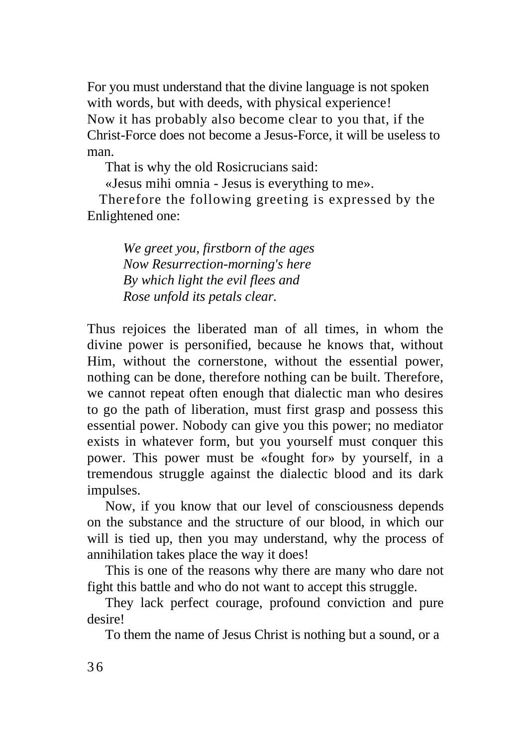For you must understand that the divine language is not spoken with words, but with deeds, with physical experience! Now it has probably also become clear to you that, if the Christ-Force does not become a Jesus-Force, it will be useless to man.

That is why the old Rosicrucians said:

«Jesus mihi omnia - Jesus is everything to me».

Therefore the following greeting is expressed by the Enlightened one:

> *We greet you, firstborn of the ages Now Resurrection-morning's here By which light the evil flees and Rose unfold its petals clear.*

Thus rejoices the liberated man of all times, in whom the divine power is personified, because he knows that, without Him, without the cornerstone, without the essential power, nothing can be done, therefore nothing can be built. Therefore, we cannot repeat often enough that dialectic man who desires to go the path of liberation, must first grasp and possess this essential power. Nobody can give you this power; no mediator exists in whatever form, but you yourself must conquer this power. This power must be «fought for» by yourself, in a tremendous struggle against the dialectic blood and its dark impulses.

Now, if you know that our level of consciousness depends on the substance and the structure of our blood, in which our will is tied up, then you may understand, why the process of annihilation takes place the way it does!

This is one of the reasons why there are many who dare not fight this battle and who do not want to accept this struggle.

They lack perfect courage, profound conviction and pure desire!

To them the name of Jesus Christ is nothing but a sound, or a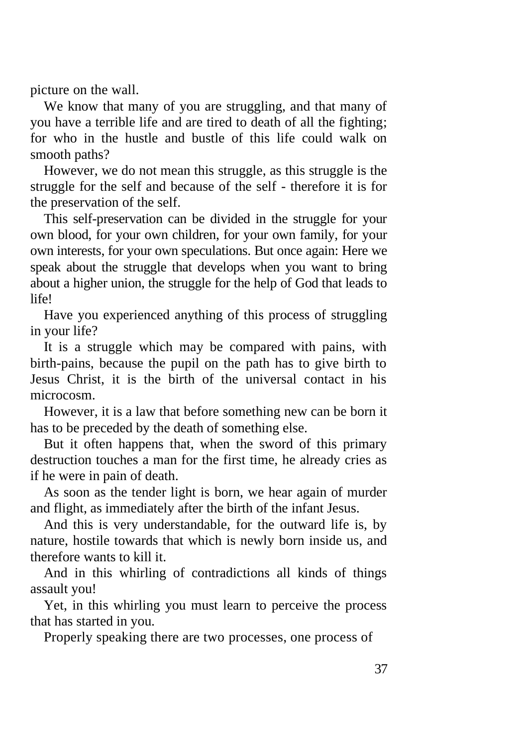picture on the wall.

We know that many of you are struggling, and that many of you have a terrible life and are tired to death of all the fighting; for who in the hustle and bustle of this life could walk on smooth paths?

However, we do not mean this struggle, as this struggle is the struggle for the self and because of the self - therefore it is for the preservation of the self.

This self-preservation can be divided in the struggle for your own blood, for your own children, for your own family, for your own interests, for your own speculations. But once again: Here we speak about the struggle that develops when you want to bring about a higher union, the struggle for the help of God that leads to life!

Have you experienced anything of this process of struggling in your life?

It is a struggle which may be compared with pains, with birth-pains, because the pupil on the path has to give birth to Jesus Christ, it is the birth of the universal contact in his microcosm.

However, it is a law that before something new can be born it has to be preceded by the death of something else.

But it often happens that, when the sword of this primary destruction touches a man for the first time, he already cries as if he were in pain of death.

As soon as the tender light is born, we hear again of murder and flight, as immediately after the birth of the infant Jesus.

And this is very understandable, for the outward life is, by nature, hostile towards that which is newly born inside us, and therefore wants to kill it.

And in this whirling of contradictions all kinds of things assault you!

Yet, in this whirling you must learn to perceive the process that has started in you.

Properly speaking there are two processes, one process of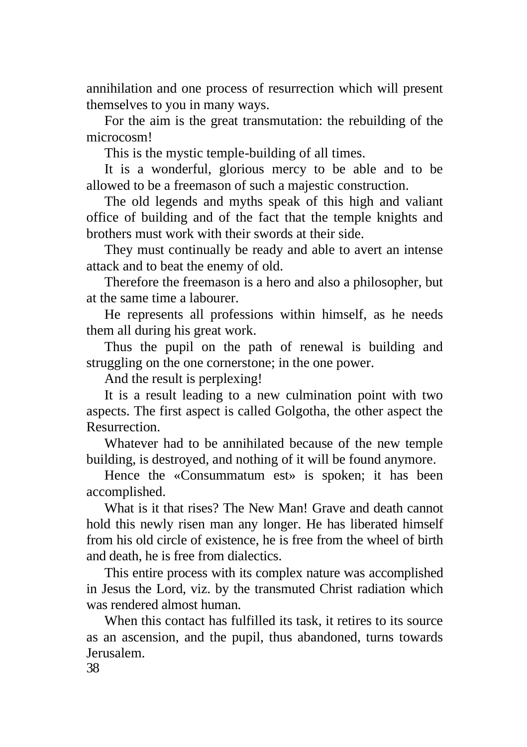annihilation and one process of resurrection which will present themselves to you in many ways.

For the aim is the great transmutation: the rebuilding of the microcosm!

This is the mystic temple-building of all times.

It is a wonderful, glorious mercy to be able and to be allowed to be a freemason of such a majestic construction.

The old legends and myths speak of this high and valiant office of building and of the fact that the temple knights and brothers must work with their swords at their side.

They must continually be ready and able to avert an intense attack and to beat the enemy of old.

Therefore the freemason is a hero and also a philosopher, but at the same time a labourer.

He represents all professions within himself, as he needs them all during his great work.

Thus the pupil on the path of renewal is building and struggling on the one cornerstone; in the one power.

And the result is perplexing!

It is a result leading to a new culmination point with two aspects. The first aspect is called Golgotha, the other aspect the Resurrection.

Whatever had to be annihilated because of the new temple building, is destroyed, and nothing of it will be found anymore.

Hence the «Consummatum est» is spoken; it has been accomplished.

What is it that rises? The New Man! Grave and death cannot hold this newly risen man any longer. He has liberated himself from his old circle of existence, he is free from the wheel of birth and death, he is free from dialectics.

This entire process with its complex nature was accomplished in Jesus the Lord, viz. by the transmuted Christ radiation which was rendered almost human.

When this contact has fulfilled its task, it retires to its source as an ascension, and the pupil, thus abandoned, turns towards Jerusalem.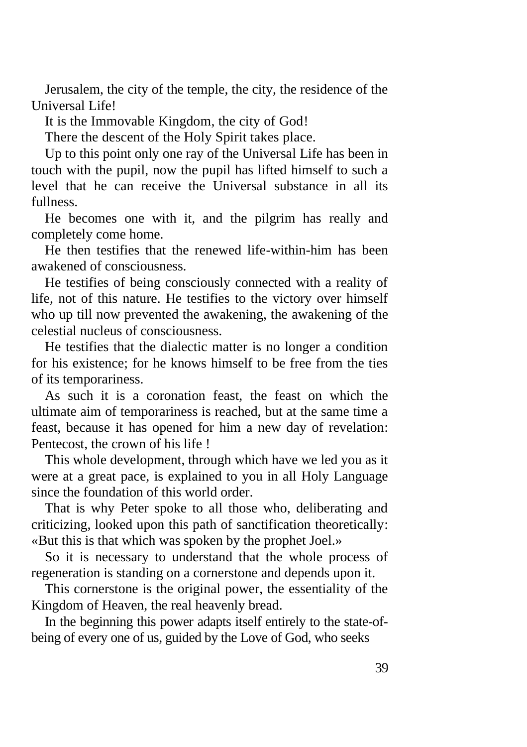Jerusalem, the city of the temple, the city, the residence of the Universal Life!

It is the Immovable Kingdom, the city of God!

There the descent of the Holy Spirit takes place.

Up to this point only one ray of the Universal Life has been in touch with the pupil, now the pupil has lifted himself to such a level that he can receive the Universal substance in all its fullness.

He becomes one with it, and the pilgrim has really and completely come home.

He then testifies that the renewed life-within-him has been awakened of consciousness.

He testifies of being consciously connected with a reality of life, not of this nature. He testifies to the victory over himself who up till now prevented the awakening, the awakening of the celestial nucleus of consciousness.

He testifies that the dialectic matter is no longer a condition for his existence; for he knows himself to be free from the ties of its temporariness.

As such it is a coronation feast, the feast on which the ultimate aim of temporariness is reached, but at the same time a feast, because it has opened for him a new day of revelation: Pentecost, the crown of his life !

This whole development, through which have we led you as it were at a great pace, is explained to you in all Holy Language since the foundation of this world order.

That is why Peter spoke to all those who, deliberating and criticizing, looked upon this path of sanctification theoretically: «But this is that which was spoken by the prophet Joel.»

So it is necessary to understand that the whole process of regeneration is standing on a cornerstone and depends upon it.

This cornerstone is the original power, the essentiality of the Kingdom of Heaven, the real heavenly bread.

In the beginning this power adapts itself entirely to the state-ofbeing of every one of us, guided by the Love of God, who seeks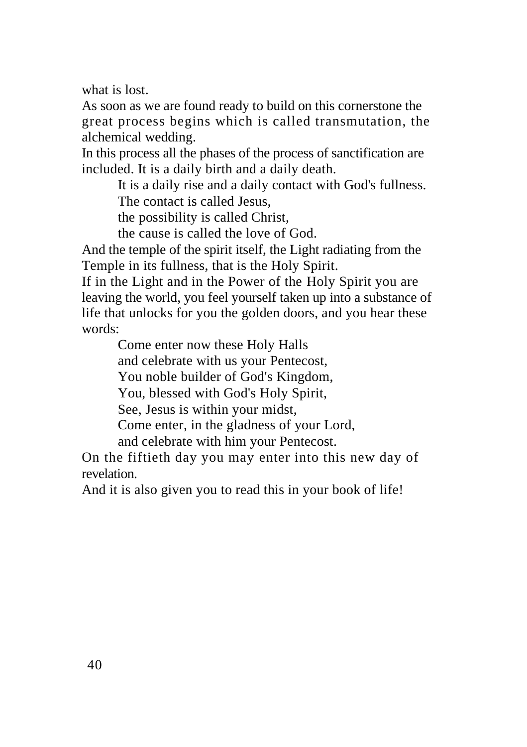what is lost.

As soon as we are found ready to build on this cornerstone the great process begins which is called transmutation, the alchemical wedding.

In this process all the phases of the process of sanctification are included. It is a daily birth and a daily death.

> It is a daily rise and a daily contact with God's fullness. The contact is called Jesus,

the possibility is called Christ,

the cause is called the love of God.

And the temple of the spirit itself, the Light radiating from the Temple in its fullness, that is the Holy Spirit.

If in the Light and in the Power of the Holy Spirit you are leaving the world, you feel yourself taken up into a substance of life that unlocks for you the golden doors, and you hear these words:

> Come enter now these Holy Halls and celebrate with us your Pentecost, You noble builder of God's Kingdom, You, blessed with God's Holy Spirit, See, Jesus is within your midst, Come enter, in the gladness of your Lord, and celebrate with him your Pentecost.

On the fiftieth day you may enter into this new day of revelation.

And it is also given you to read this in your book of life!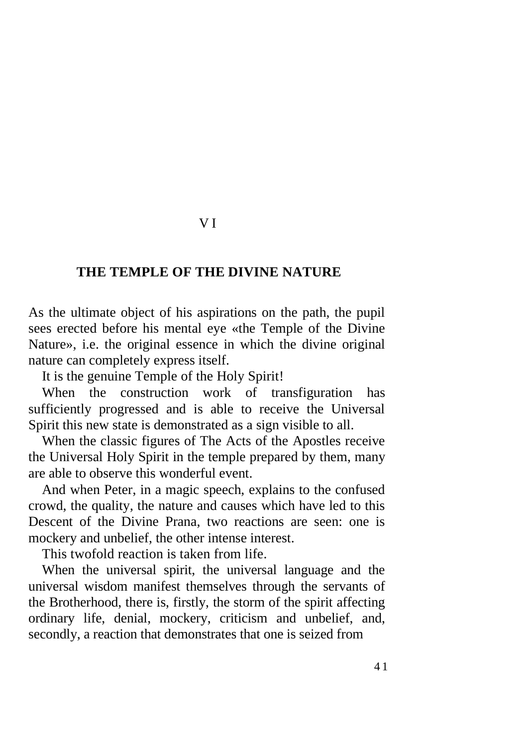#### V I

### **THE TEMPLE OF THE DIVINE NATURE**

As the ultimate object of his aspirations on the path, the pupil sees erected before his mental eye «the Temple of the Divine Nature», i.e. the original essence in which the divine original nature can completely express itself.

It is the genuine Temple of the Holy Spirit!

When the construction work of transfiguration has sufficiently progressed and is able to receive the Universal Spirit this new state is demonstrated as a sign visible to all.

When the classic figures of The Acts of the Apostles receive the Universal Holy Spirit in the temple prepared by them, many are able to observe this wonderful event.

And when Peter, in a magic speech, explains to the confused crowd, the quality, the nature and causes which have led to this Descent of the Divine Prana, two reactions are seen: one is mockery and unbelief, the other intense interest.

This twofold reaction is taken from life.

When the universal spirit, the universal language and the universal wisdom manifest themselves through the servants of the Brotherhood, there is, firstly, the storm of the spirit affecting ordinary life, denial, mockery, criticism and unbelief, and, secondly, a reaction that demonstrates that one is seized from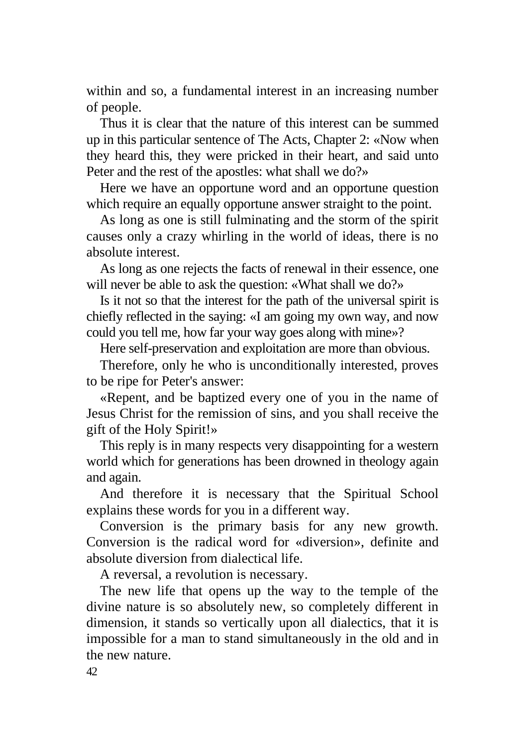within and so, a fundamental interest in an increasing number of people.

Thus it is clear that the nature of this interest can be summed up in this particular sentence of The Acts, Chapter 2: «Now when they heard this, they were pricked in their heart, and said unto Peter and the rest of the apostles: what shall we do?»

Here we have an opportune word and an opportune question which require an equally opportune answer straight to the point.

As long as one is still fulminating and the storm of the spirit causes only a crazy whirling in the world of ideas, there is no absolute interest.

As long as one rejects the facts of renewal in their essence, one will never be able to ask the question: «What shall we do?»

Is it not so that the interest for the path of the universal spirit is chiefly reflected in the saying: «I am going my own way, and now could you tell me, how far your way goes along with mine»?

Here self-preservation and exploitation are more than obvious.

Therefore, only he who is unconditionally interested, proves to be ripe for Peter's answer:

«Repent, and be baptized every one of you in the name of Jesus Christ for the remission of sins, and you shall receive the gift of the Holy Spirit!»

This reply is in many respects very disappointing for a western world which for generations has been drowned in theology again and again.

And therefore it is necessary that the Spiritual School explains these words for you in a different way.

Conversion is the primary basis for any new growth. Conversion is the radical word for «diversion», definite and absolute diversion from dialectical life.

A reversal, a revolution is necessary.

The new life that opens up the way to the temple of the divine nature is so absolutely new, so completely different in dimension, it stands so vertically upon all dialectics, that it is impossible for a man to stand simultaneously in the old and in the new nature.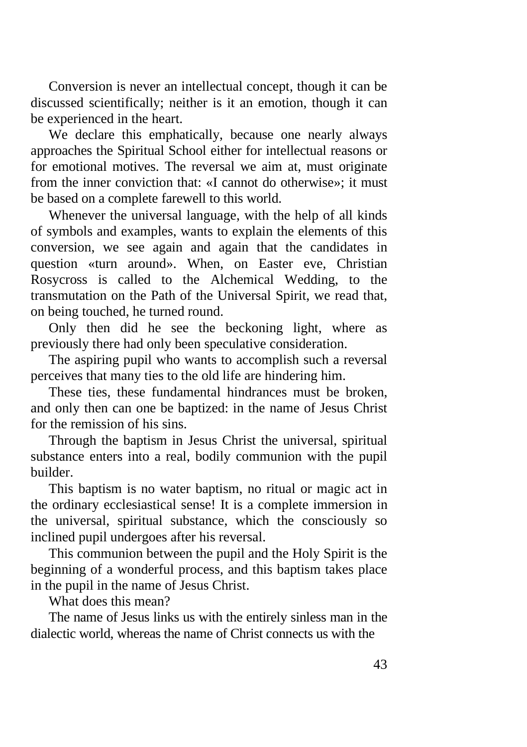Conversion is never an intellectual concept, though it can be discussed scientifically; neither is it an emotion, though it can be experienced in the heart.

We declare this emphatically, because one nearly always approaches the Spiritual School either for intellectual reasons or for emotional motives. The reversal we aim at, must originate from the inner conviction that: «I cannot do otherwise»; it must be based on a complete farewell to this world.

Whenever the universal language, with the help of all kinds of symbols and examples, wants to explain the elements of this conversion, we see again and again that the candidates in question «turn around». When, on Easter eve, Christian Rosycross is called to the Alchemical Wedding, to the transmutation on the Path of the Universal Spirit, we read that, on being touched, he turned round.

Only then did he see the beckoning light, where as previously there had only been speculative consideration.

The aspiring pupil who wants to accomplish such a reversal perceives that many ties to the old life are hindering him.

These ties, these fundamental hindrances must be broken, and only then can one be baptized: in the name of Jesus Christ for the remission of his sins.

Through the baptism in Jesus Christ the universal, spiritual substance enters into a real, bodily communion with the pupil builder.

This baptism is no water baptism, no ritual or magic act in the ordinary ecclesiastical sense! It is a complete immersion in the universal, spiritual substance, which the consciously so inclined pupil undergoes after his reversal.

This communion between the pupil and the Holy Spirit is the beginning of a wonderful process, and this baptism takes place in the pupil in the name of Jesus Christ.

What does this mean?

The name of Jesus links us with the entirely sinless man in the dialectic world, whereas the name of Christ connects us with the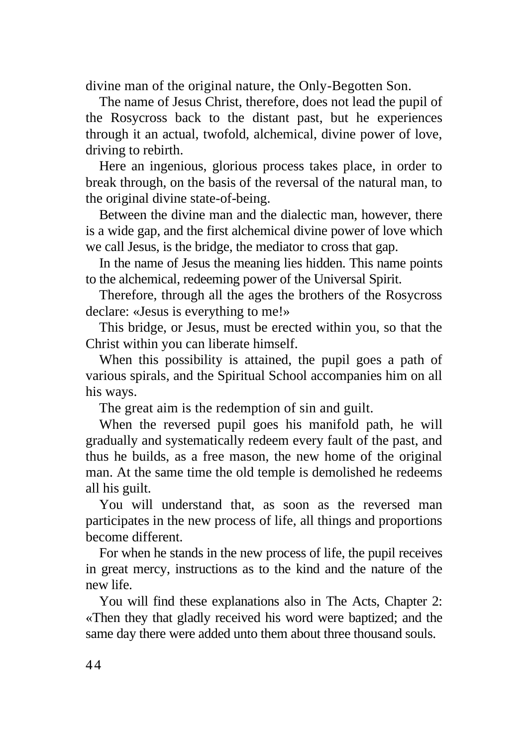divine man of the original nature, the Only-Begotten Son.

The name of Jesus Christ, therefore, does not lead the pupil of the Rosycross back to the distant past, but he experiences through it an actual, twofold, alchemical, divine power of love, driving to rebirth.

Here an ingenious, glorious process takes place, in order to break through, on the basis of the reversal of the natural man, to the original divine state-of-being.

Between the divine man and the dialectic man, however, there is a wide gap, and the first alchemical divine power of love which we call Jesus, is the bridge, the mediator to cross that gap.

In the name of Jesus the meaning lies hidden. This name points to the alchemical, redeeming power of the Universal Spirit.

Therefore, through all the ages the brothers of the Rosycross declare: «Jesus is everything to me!»

This bridge, or Jesus, must be erected within you, so that the Christ within you can liberate himself.

When this possibility is attained, the pupil goes a path of various spirals, and the Spiritual School accompanies him on all his ways.

The great aim is the redemption of sin and guilt.

When the reversed pupil goes his manifold path, he will gradually and systematically redeem every fault of the past, and thus he builds, as a free mason, the new home of the original man. At the same time the old temple is demolished he redeems all his guilt.

You will understand that, as soon as the reversed man participates in the new process of life, all things and proportions become different.

For when he stands in the new process of life, the pupil receives in great mercy, instructions as to the kind and the nature of the new life.

You will find these explanations also in The Acts, Chapter 2: «Then they that gladly received his word were baptized; and the same day there were added unto them about three thousand souls.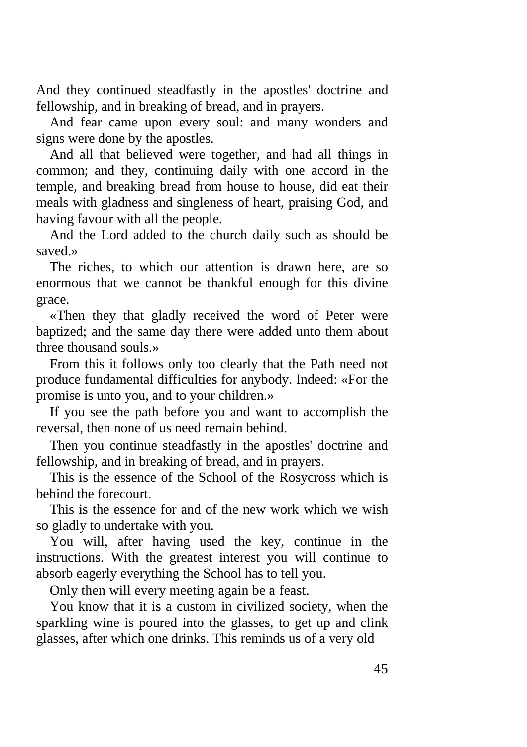And they continued steadfastly in the apostles' doctrine and fellowship, and in breaking of bread, and in prayers.

And fear came upon every soul: and many wonders and signs were done by the apostles.

And all that believed were together, and had all things in common; and they, continuing daily with one accord in the temple, and breaking bread from house to house, did eat their meals with gladness and singleness of heart, praising God, and having favour with all the people.

And the Lord added to the church daily such as should be saved.»

The riches, to which our attention is drawn here, are so enormous that we cannot be thankful enough for this divine grace.

«Then they that gladly received the word of Peter were baptized; and the same day there were added unto them about three thousand souls.»

From this it follows only too clearly that the Path need not produce fundamental difficulties for anybody. Indeed: «For the promise is unto you, and to your children.»

If you see the path before you and want to accomplish the reversal, then none of us need remain behind.

Then you continue steadfastly in the apostles' doctrine and fellowship, and in breaking of bread, and in prayers.

This is the essence of the School of the Rosycross which is behind the forecourt.

This is the essence for and of the new work which we wish so gladly to undertake with you.

You will, after having used the key, continue in the instructions. With the greatest interest you will continue to absorb eagerly everything the School has to tell you.

Only then will every meeting again be a feast.

You know that it is a custom in civilized society, when the sparkling wine is poured into the glasses, to get up and clink glasses, after which one drinks. This reminds us of a very old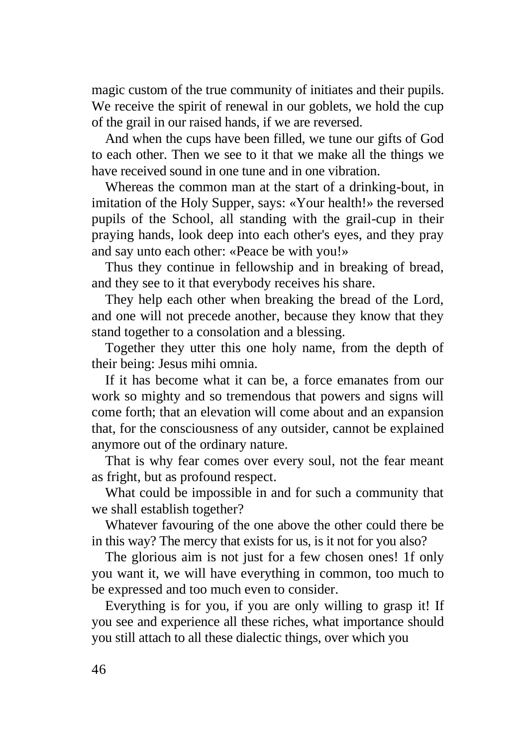magic custom of the true community of initiates and their pupils. We receive the spirit of renewal in our goblets, we hold the cup of the grail in our raised hands, if we are reversed.

And when the cups have been filled, we tune our gifts of God to each other. Then we see to it that we make all the things we have received sound in one tune and in one vibration.

Whereas the common man at the start of a drinking-bout, in imitation of the Holy Supper, says: «Your health!» the reversed pupils of the School, all standing with the grail-cup in their praying hands, look deep into each other's eyes, and they pray and say unto each other: «Peace be with you!»

Thus they continue in fellowship and in breaking of bread, and they see to it that everybody receives his share.

They help each other when breaking the bread of the Lord, and one will not precede another, because they know that they stand together to a consolation and a blessing.

Together they utter this one holy name, from the depth of their being: Jesus mihi omnia.

If it has become what it can be, a force emanates from our work so mighty and so tremendous that powers and signs will come forth; that an elevation will come about and an expansion that, for the consciousness of any outsider, cannot be explained anymore out of the ordinary nature.

That is why fear comes over every soul, not the fear meant as fright, but as profound respect.

What could be impossible in and for such a community that we shall establish together?

Whatever favouring of the one above the other could there be in this way? The mercy that exists for us, is it not for you also?

The glorious aim is not just for a few chosen ones! 1f only you want it, we will have everything in common, too much to be expressed and too much even to consider.

Everything is for you, if you are only willing to grasp it! If you see and experience all these riches, what importance should you still attach to all these dialectic things, over which you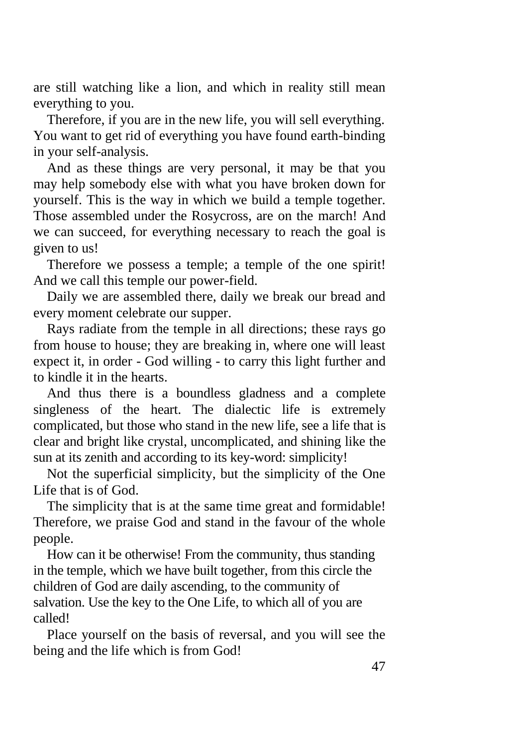are still watching like a lion, and which in reality still mean everything to you.

Therefore, if you are in the new life, you will sell everything. You want to get rid of everything you have found earth-binding in your self-analysis.

And as these things are very personal, it may be that you may help somebody else with what you have broken down for yourself. This is the way in which we build a temple together. Those assembled under the Rosycross, are on the march! And we can succeed, for everything necessary to reach the goal is given to us!

Therefore we possess a temple; a temple of the one spirit! And we call this temple our power-field.

Daily we are assembled there, daily we break our bread and every moment celebrate our supper.

Rays radiate from the temple in all directions; these rays go from house to house; they are breaking in, where one will least expect it, in order - God willing - to carry this light further and to kindle it in the hearts.

And thus there is a boundless gladness and a complete singleness of the heart. The dialectic life is extremely complicated, but those who stand in the new life, see a life that is clear and bright like crystal, uncomplicated, and shining like the sun at its zenith and according to its key-word: simplicity!

Not the superficial simplicity, but the simplicity of the One Life that is of God.

The simplicity that is at the same time great and formidable! Therefore, we praise God and stand in the favour of the whole people.

How can it be otherwise! From the community, thus standing in the temple, which we have built together, from this circle the children of God are daily ascending, to the community of salvation. Use the key to the One Life, to which all of you are called!

Place yourself on the basis of reversal, and you will see the being and the life which is from God!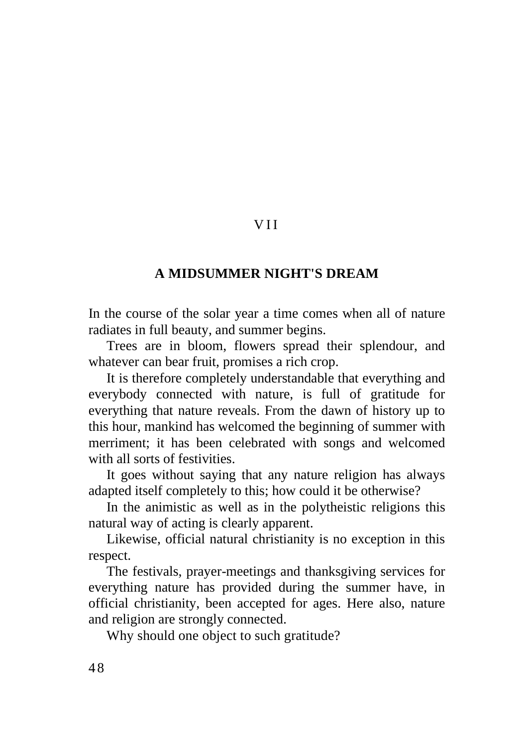## V I I

## **A MIDSUMMER NIGHT'S DREAM**

In the course of the solar year a time comes when all of nature radiates in full beauty, and summer begins.

Trees are in bloom, flowers spread their splendour, and whatever can bear fruit, promises a rich crop.

It is therefore completely understandable that everything and everybody connected with nature, is full of gratitude for everything that nature reveals. From the dawn of history up to this hour, mankind has welcomed the beginning of summer with merriment; it has been celebrated with songs and welcomed with all sorts of festivities.

It goes without saying that any nature religion has always adapted itself completely to this; how could it be otherwise?

In the animistic as well as in the polytheistic religions this natural way of acting is clearly apparent.

Likewise, official natural christianity is no exception in this respect.

The festivals, prayer-meetings and thanksgiving services for everything nature has provided during the summer have, in official christianity, been accepted for ages. Here also, nature and religion are strongly connected.

Why should one object to such gratitude?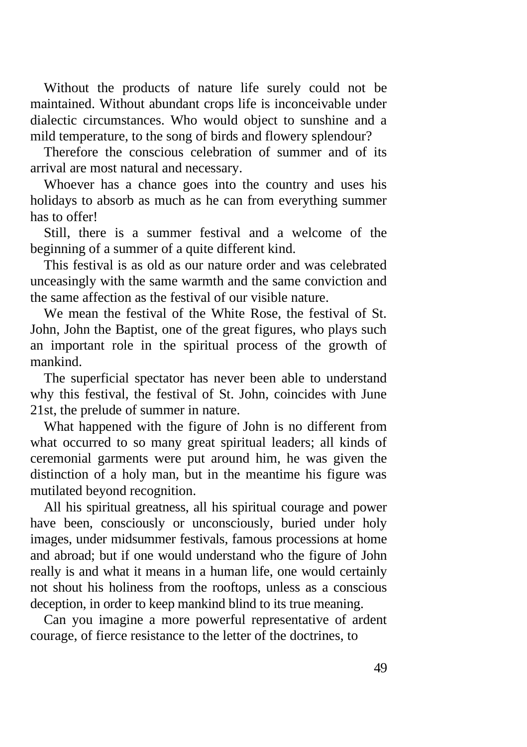Without the products of nature life surely could not be maintained. Without abundant crops life is inconceivable under dialectic circumstances. Who would object to sunshine and a mild temperature, to the song of birds and flowery splendour?

Therefore the conscious celebration of summer and of its arrival are most natural and necessary.

Whoever has a chance goes into the country and uses his holidays to absorb as much as he can from everything summer has to offer!

Still, there is a summer festival and a welcome of the beginning of a summer of a quite different kind.

This festival is as old as our nature order and was celebrated unceasingly with the same warmth and the same conviction and the same affection as the festival of our visible nature.

We mean the festival of the White Rose, the festival of St. John, John the Baptist, one of the great figures, who plays such an important role in the spiritual process of the growth of mankind.

The superficial spectator has never been able to understand why this festival, the festival of St. John, coincides with June 21st, the prelude of summer in nature.

What happened with the figure of John is no different from what occurred to so many great spiritual leaders; all kinds of ceremonial garments were put around him, he was given the distinction of a holy man, but in the meantime his figure was mutilated beyond recognition.

All his spiritual greatness, all his spiritual courage and power have been, consciously or unconsciously, buried under holy images, under midsummer festivals, famous processions at home and abroad; but if one would understand who the figure of John really is and what it means in a human life, one would certainly not shout his holiness from the rooftops, unless as a conscious deception, in order to keep mankind blind to its true meaning.

Can you imagine a more powerful representative of ardent courage, of fierce resistance to the letter of the doctrines, to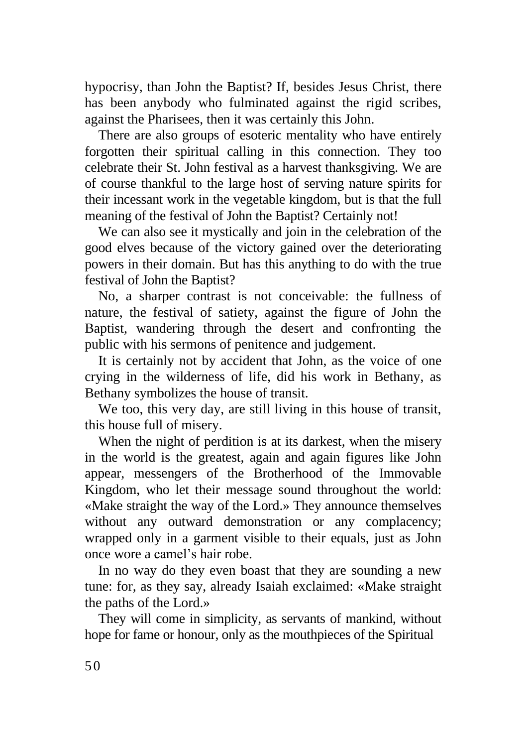hypocrisy, than John the Baptist? If, besides Jesus Christ, there has been anybody who fulminated against the rigid scribes, against the Pharisees, then it was certainly this John.

There are also groups of esoteric mentality who have entirely forgotten their spiritual calling in this connection. They too celebrate their St. John festival as a harvest thanksgiving. We are of course thankful to the large host of serving nature spirits for their incessant work in the vegetable kingdom, but is that the full meaning of the festival of John the Baptist? Certainly not!

We can also see it mystically and join in the celebration of the good elves because of the victory gained over the deteriorating powers in their domain. But has this anything to do with the true festival of John the Baptist?

No, a sharper contrast is not conceivable: the fullness of nature, the festival of satiety, against the figure of John the Baptist, wandering through the desert and confronting the public with his sermons of penitence and judgement.

It is certainly not by accident that John, as the voice of one crying in the wilderness of life, did his work in Bethany, as Bethany symbolizes the house of transit.

We too, this very day, are still living in this house of transit, this house full of misery.

When the night of perdition is at its darkest, when the misery in the world is the greatest, again and again figures like John appear, messengers of the Brotherhood of the Immovable Kingdom, who let their message sound throughout the world: «Make straight the way of the Lord.» They announce themselves without any outward demonstration or any complacency; wrapped only in a garment visible to their equals, just as John once wore a camel's hair robe.

In no way do they even boast that they are sounding a new tune: for, as they say, already Isaiah exclaimed: «Make straight the paths of the Lord.»

They will come in simplicity, as servants of mankind, without hope for fame or honour, only as the mouthpieces of the Spiritual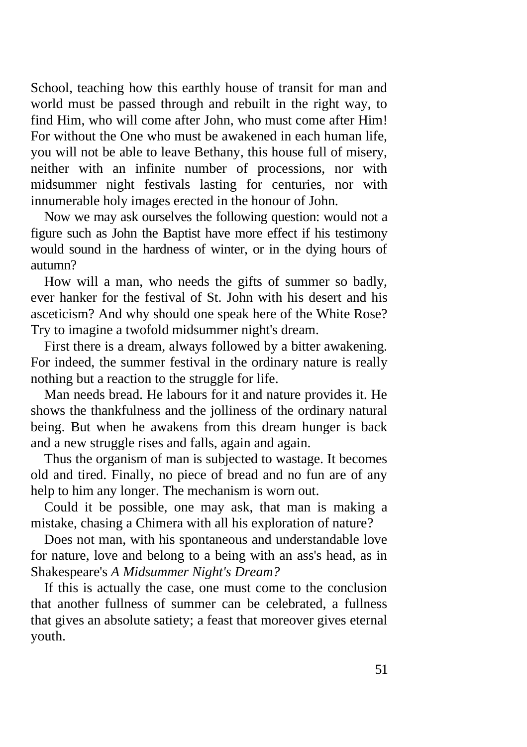School, teaching how this earthly house of transit for man and world must be passed through and rebuilt in the right way, to find Him, who will come after John, who must come after Him! For without the One who must be awakened in each human life, you will not be able to leave Bethany, this house full of misery, neither with an infinite number of processions, nor with midsummer night festivals lasting for centuries, nor with innumerable holy images erected in the honour of John.

Now we may ask ourselves the following question: would not a figure such as John the Baptist have more effect if his testimony would sound in the hardness of winter, or in the dying hours of autumn?

How will a man, who needs the gifts of summer so badly, ever hanker for the festival of St. John with his desert and his asceticism? And why should one speak here of the White Rose? Try to imagine a twofold midsummer night's dream.

First there is a dream, always followed by a bitter awakening. For indeed, the summer festival in the ordinary nature is really nothing but a reaction to the struggle for life.

Man needs bread. He labours for it and nature provides it. He shows the thankfulness and the jolliness of the ordinary natural being. But when he awakens from this dream hunger is back and a new struggle rises and falls, again and again.

Thus the organism of man is subjected to wastage. It becomes old and tired. Finally, no piece of bread and no fun are of any help to him any longer. The mechanism is worn out.

Could it be possible, one may ask, that man is making a mistake, chasing a Chimera with all his exploration of nature?

Does not man, with his spontaneous and understandable love for nature, love and belong to a being with an ass's head, as in Shakespeare's *A Midsummer Night's Dream?*

If this is actually the case, one must come to the conclusion that another fullness of summer can be celebrated, a fullness that gives an absolute satiety; a feast that moreover gives eternal youth.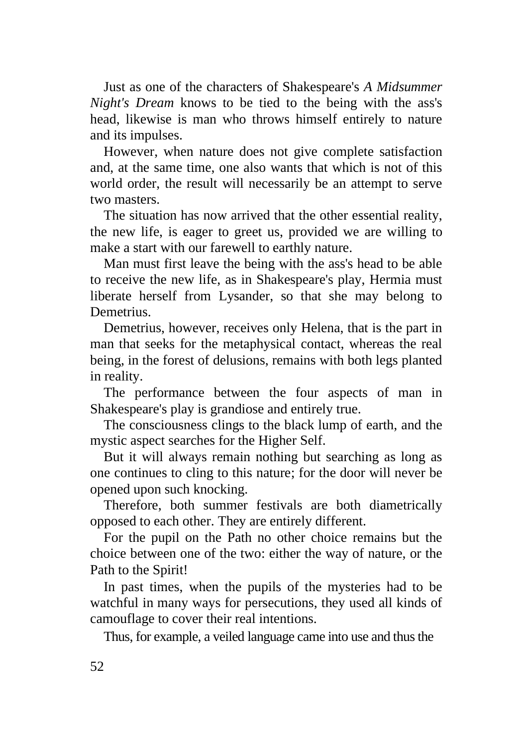Just as one of the characters of Shakespeare's *A Midsummer Night's Dream* knows to be tied to the being with the ass's head, likewise is man who throws himself entirely to nature and its impulses.

However, when nature does not give complete satisfaction and, at the same time, one also wants that which is not of this world order, the result will necessarily be an attempt to serve two masters.

The situation has now arrived that the other essential reality, the new life, is eager to greet us, provided we are willing to make a start with our farewell to earthly nature.

Man must first leave the being with the ass's head to be able to receive the new life, as in Shakespeare's play, Hermia must liberate herself from Lysander, so that she may belong to Demetrius.

Demetrius, however, receives only Helena, that is the part in man that seeks for the metaphysical contact, whereas the real being, in the forest of delusions, remains with both legs planted in reality.

The performance between the four aspects of man in Shakespeare's play is grandiose and entirely true.

The consciousness clings to the black lump of earth, and the mystic aspect searches for the Higher Self.

But it will always remain nothing but searching as long as one continues to cling to this nature; for the door will never be opened upon such knocking.

Therefore, both summer festivals are both diametrically opposed to each other. They are entirely different.

For the pupil on the Path no other choice remains but the choice between one of the two: either the way of nature, or the Path to the Spirit!

In past times, when the pupils of the mysteries had to be watchful in many ways for persecutions, they used all kinds of camouflage to cover their real intentions.

Thus, for example, a veiled language came into use and thus the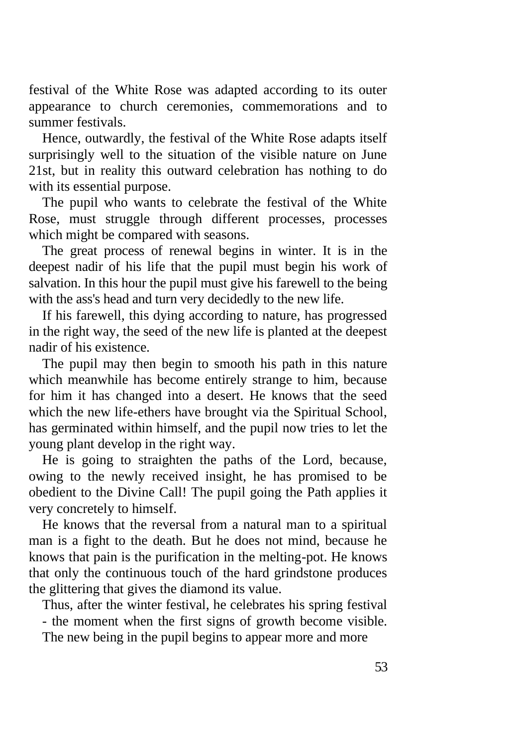festival of the White Rose was adapted according to its outer appearance to church ceremonies, commemorations and to summer festivals.

Hence, outwardly, the festival of the White Rose adapts itself surprisingly well to the situation of the visible nature on June 21st, but in reality this outward celebration has nothing to do with its essential purpose.

The pupil who wants to celebrate the festival of the White Rose, must struggle through different processes, processes which might be compared with seasons.

The great process of renewal begins in winter. It is in the deepest nadir of his life that the pupil must begin his work of salvation. In this hour the pupil must give his farewell to the being with the ass's head and turn very decidedly to the new life.

If his farewell, this dying according to nature, has progressed in the right way, the seed of the new life is planted at the deepest nadir of his existence.

The pupil may then begin to smooth his path in this nature which meanwhile has become entirely strange to him, because for him it has changed into a desert. He knows that the seed which the new life-ethers have brought via the Spiritual School, has germinated within himself, and the pupil now tries to let the young plant develop in the right way.

He is going to straighten the paths of the Lord, because, owing to the newly received insight, he has promised to be obedient to the Divine Call! The pupil going the Path applies it very concretely to himself.

He knows that the reversal from a natural man to a spiritual man is a fight to the death. But he does not mind, because he knows that pain is the purification in the melting-pot. He knows that only the continuous touch of the hard grindstone produces the glittering that gives the diamond its value.

Thus, after the winter festival, he celebrates his spring festival - the moment when the first signs of growth become visible. The new being in the pupil begins to appear more and more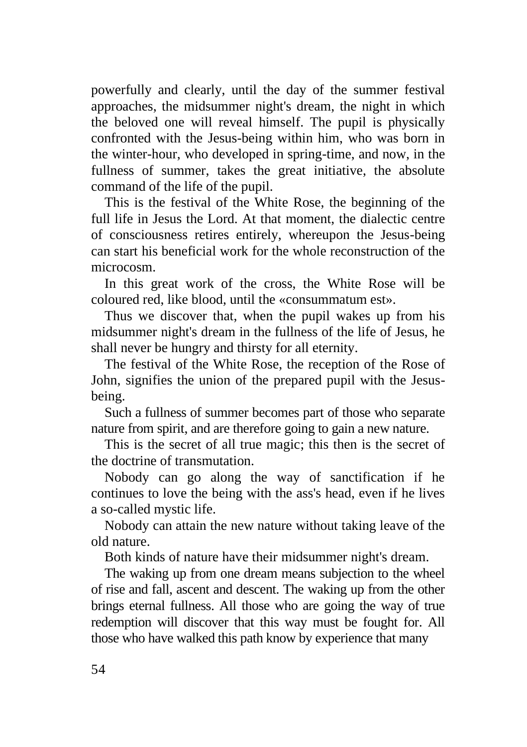powerfully and clearly, until the day of the summer festival approaches, the midsummer night's dream, the night in which the beloved one will reveal himself. The pupil is physically confronted with the Jesus-being within him, who was born in the winter-hour, who developed in spring-time, and now, in the fullness of summer, takes the great initiative, the absolute command of the life of the pupil.

This is the festival of the White Rose, the beginning of the full life in Jesus the Lord. At that moment, the dialectic centre of consciousness retires entirely, whereupon the Jesus-being can start his beneficial work for the whole reconstruction of the microcosm.

In this great work of the cross, the White Rose will be coloured red, like blood, until the «consummatum est».

Thus we discover that, when the pupil wakes up from his midsummer night's dream in the fullness of the life of Jesus, he shall never be hungry and thirsty for all eternity.

The festival of the White Rose, the reception of the Rose of John, signifies the union of the prepared pupil with the Jesusbeing.

Such a fullness of summer becomes part of those who separate nature from spirit, and are therefore going to gain a new nature.

This is the secret of all true magic; this then is the secret of the doctrine of transmutation.

Nobody can go along the way of sanctification if he continues to love the being with the ass's head, even if he lives a so-called mystic life.

Nobody can attain the new nature without taking leave of the old nature.

Both kinds of nature have their midsummer night's dream.

The waking up from one dream means subjection to the wheel of rise and fall, ascent and descent. The waking up from the other brings eternal fullness. All those who are going the way of true redemption will discover that this way must be fought for. All those who have walked this path know by experience that many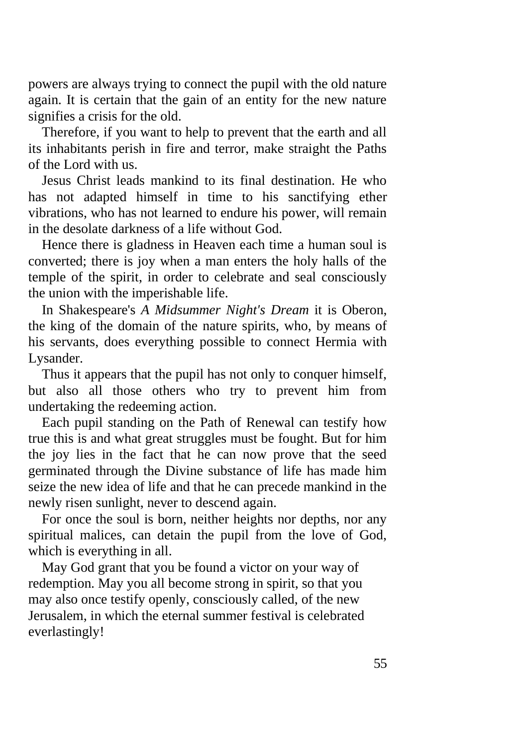powers are always trying to connect the pupil with the old nature again. It is certain that the gain of an entity for the new nature signifies a crisis for the old.

Therefore, if you want to help to prevent that the earth and all its inhabitants perish in fire and terror, make straight the Paths of the Lord with us.

Jesus Christ leads mankind to its final destination. He who has not adapted himself in time to his sanctifying ether vibrations, who has not learned to endure his power, will remain in the desolate darkness of a life without God.

Hence there is gladness in Heaven each time a human soul is converted; there is joy when a man enters the holy halls of the temple of the spirit, in order to celebrate and seal consciously the union with the imperishable life.

In Shakespeare's *A Midsummer Night's Dream* it is Oberon, the king of the domain of the nature spirits, who, by means of his servants, does everything possible to connect Hermia with Lysander.

Thus it appears that the pupil has not only to conquer himself, but also all those others who try to prevent him from undertaking the redeeming action.

Each pupil standing on the Path of Renewal can testify how true this is and what great struggles must be fought. But for him the joy lies in the fact that he can now prove that the seed germinated through the Divine substance of life has made him seize the new idea of life and that he can precede mankind in the newly risen sunlight, never to descend again.

For once the soul is born, neither heights nor depths, nor any spiritual malices, can detain the pupil from the love of God, which is everything in all.

May God grant that you be found a victor on your way of redemption. May you all become strong in spirit, so that you may also once testify openly, consciously called, of the new Jerusalem, in which the eternal summer festival is celebrated everlastingly!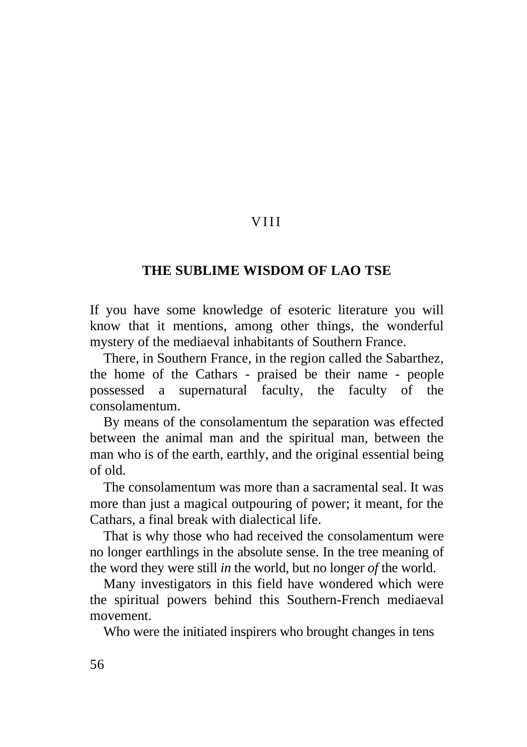# V I I I

## **THE SUBLIME WISDOM OF LAO TSE**

If you have some knowledge of esoteric literature you will know that it mentions, among other things, the wonderful mystery of the mediaeval inhabitants of Southern France.

There, in Southern France, in the region called the Sabarthez, the home of the Cathars - praised be their name - people possessed a supernatural faculty, the faculty of the consolamentum.

By means of the consolamentum the separation was effected between the animal man and the spiritual man, between the man who is of the earth, earthly, and the original essential being of old.

The consolamentum was more than a sacramental seal. It was more than just a magical outpouring of power; it meant, for the Cathars, a final break with dialectical life.

That is why those who had received the consolamentum were no longer earthlings in the absolute sense. In the tree meaning of the word they were still *in* the world, but no longer *of* the world.

Many investigators in this field have wondered which were the spiritual powers behind this Southern-French mediaeval movement.

Who were the initiated inspirers who brought changes in tens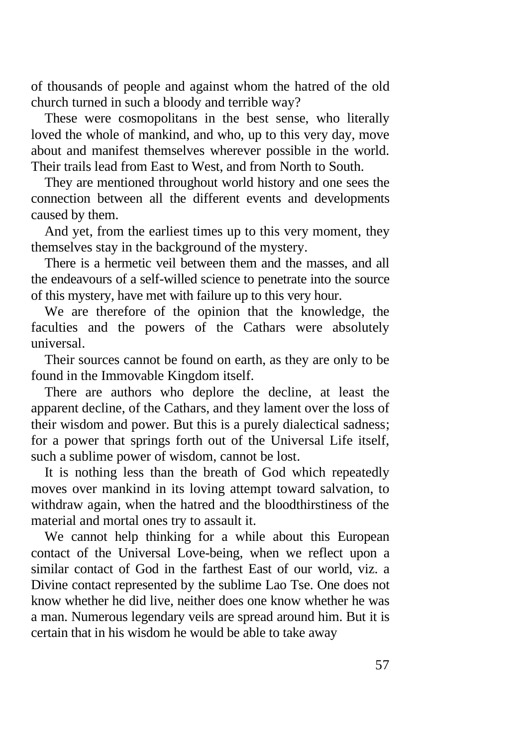of thousands of people and against whom the hatred of the old church turned in such a bloody and terrible way?

These were cosmopolitans in the best sense, who literally loved the whole of mankind, and who, up to this very day, move about and manifest themselves wherever possible in the world. Their trails lead from East to West, and from North to South.

They are mentioned throughout world history and one sees the connection between all the different events and developments caused by them.

And yet, from the earliest times up to this very moment, they themselves stay in the background of the mystery.

There is a hermetic veil between them and the masses, and all the endeavours of a self-willed science to penetrate into the source of this mystery, have met with failure up to this very hour.

We are therefore of the opinion that the knowledge, the faculties and the powers of the Cathars were absolutely universal.

Their sources cannot be found on earth, as they are only to be found in the Immovable Kingdom itself.

There are authors who deplore the decline, at least the apparent decline, of the Cathars, and they lament over the loss of their wisdom and power. But this is a purely dialectical sadness; for a power that springs forth out of the Universal Life itself, such a sublime power of wisdom, cannot be lost.

It is nothing less than the breath of God which repeatedly moves over mankind in its loving attempt toward salvation, to withdraw again, when the hatred and the bloodthirstiness of the material and mortal ones try to assault it.

We cannot help thinking for a while about this European contact of the Universal Love-being, when we reflect upon a similar contact of God in the farthest East of our world, viz. a Divine contact represented by the sublime Lao Tse. One does not know whether he did live, neither does one know whether he was a man. Numerous legendary veils are spread around him. But it is certain that in his wisdom he would be able to take away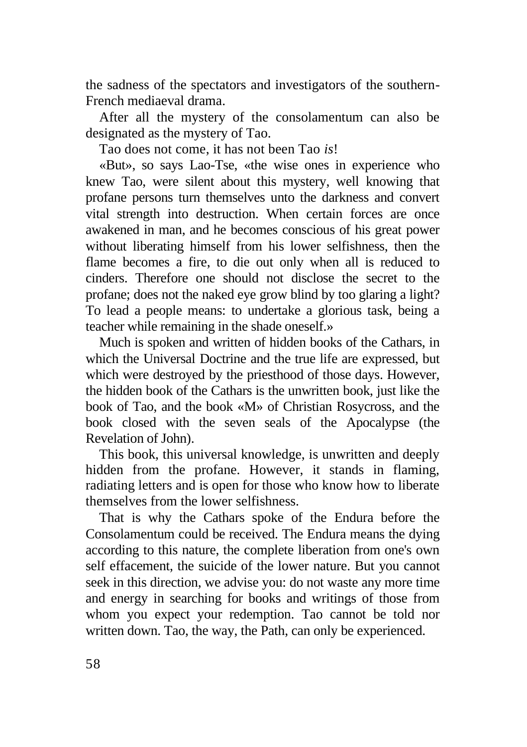the sadness of the spectators and investigators of the southern-French mediaeval drama.

After all the mystery of the consolamentum can also be designated as the mystery of Tao.

Tao does not come, it has not been Tao *is*!

«But», so says Lao-Tse, «the wise ones in experience who knew Tao, were silent about this mystery, well knowing that profane persons turn themselves unto the darkness and convert vital strength into destruction. When certain forces are once awakened in man, and he becomes conscious of his great power without liberating himself from his lower selfishness, then the flame becomes a fire, to die out only when all is reduced to cinders. Therefore one should not disclose the secret to the profane; does not the naked eye grow blind by too glaring a light? To lead a people means: to undertake a glorious task, being a teacher while remaining in the shade oneself.»

Much is spoken and written of hidden books of the Cathars, in which the Universal Doctrine and the true life are expressed, but which were destroyed by the priesthood of those days. However, the hidden book of the Cathars is the unwritten book, just like the book of Tao, and the book «M» of Christian Rosycross, and the book closed with the seven seals of the Apocalypse (the Revelation of John).

This book, this universal knowledge, is unwritten and deeply hidden from the profane. However, it stands in flaming, radiating letters and is open for those who know how to liberate themselves from the lower selfishness.

That is why the Cathars spoke of the Endura before the Consolamentum could be received. The Endura means the dying according to this nature, the complete liberation from one's own self effacement, the suicide of the lower nature. But you cannot seek in this direction, we advise you: do not waste any more time and energy in searching for books and writings of those from whom you expect your redemption. Tao cannot be told nor written down. Tao, the way, the Path, can only be experienced.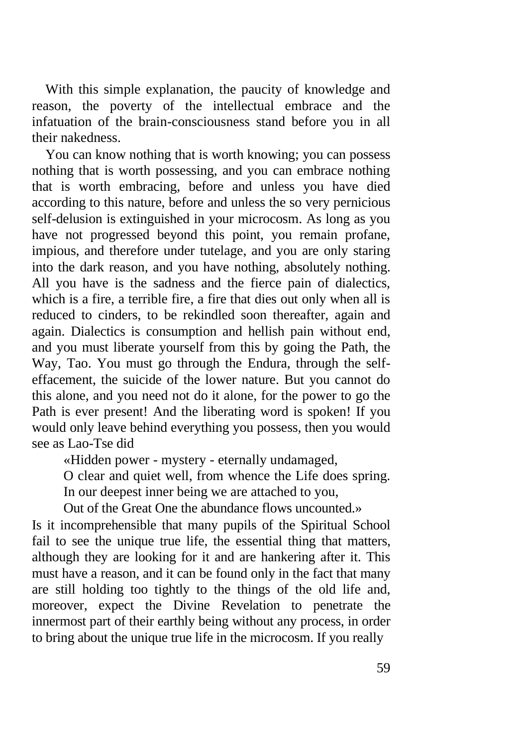With this simple explanation, the paucity of knowledge and reason, the poverty of the intellectual embrace and the infatuation of the brain-consciousness stand before you in all their nakedness.

You can know nothing that is worth knowing; you can possess nothing that is worth possessing, and you can embrace nothing that is worth embracing, before and unless you have died according to this nature, before and unless the so very pernicious self-delusion is extinguished in your microcosm. As long as you have not progressed beyond this point, you remain profane, impious, and therefore under tutelage, and you are only staring into the dark reason, and you have nothing, absolutely nothing. All you have is the sadness and the fierce pain of dialectics, which is a fire, a terrible fire, a fire that dies out only when all is reduced to cinders, to be rekindled soon thereafter, again and again. Dialectics is consumption and hellish pain without end, and you must liberate yourself from this by going the Path, the Way, Tao. You must go through the Endura, through the selfeffacement, the suicide of the lower nature. But you cannot do this alone, and you need not do it alone, for the power to go the Path is ever present! And the liberating word is spoken! If you would only leave behind everything you possess, then you would see as Lao-Tse did

«Hidden power - mystery - eternally undamaged,

O clear and quiet well, from whence the Life does spring.

In our deepest inner being we are attached to you,

Out of the Great One the abundance flows uncounted.»

Is it incomprehensible that many pupils of the Spiritual School fail to see the unique true life, the essential thing that matters, although they are looking for it and are hankering after it. This must have a reason, and it can be found only in the fact that many are still holding too tightly to the things of the old life and, moreover, expect the Divine Revelation to penetrate the innermost part of their earthly being without any process, in order to bring about the unique true life in the microcosm. If you really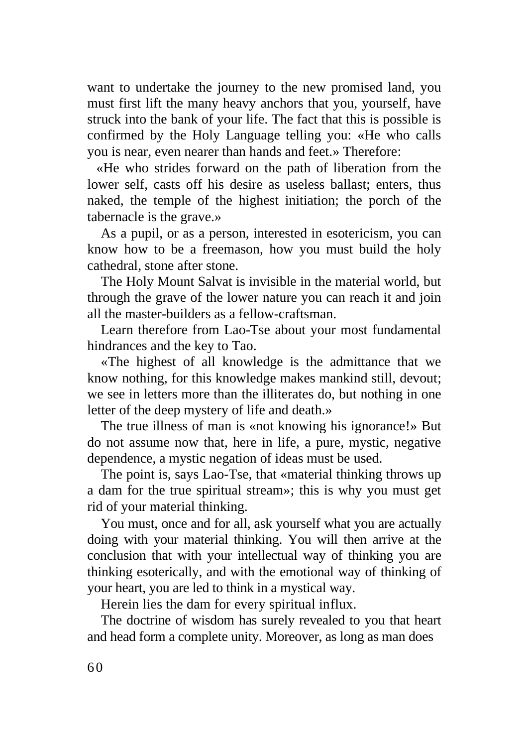want to undertake the journey to the new promised land, you must first lift the many heavy anchors that you, yourself, have struck into the bank of your life. The fact that this is possible is confirmed by the Holy Language telling you: «He who calls you is near, even nearer than hands and feet.» Therefore:

«He who strides forward on the path of liberation from the lower self, casts off his desire as useless ballast; enters, thus naked, the temple of the highest initiation; the porch of the tabernacle is the grave.»

As a pupil, or as a person, interested in esotericism, you can know how to be a freemason, how you must build the holy cathedral, stone after stone.

The Holy Mount Salvat is invisible in the material world, but through the grave of the lower nature you can reach it and join all the master-builders as a fellow-craftsman.

Learn therefore from Lao-Tse about your most fundamental hindrances and the key to Tao.

«The highest of all knowledge is the admittance that we know nothing, for this knowledge makes mankind still, devout; we see in letters more than the illiterates do, but nothing in one letter of the deep mystery of life and death.»

The true illness of man is «not knowing his ignorance!» But do not assume now that, here in life, a pure, mystic, negative dependence, a mystic negation of ideas must be used.

The point is, says Lao-Tse, that «material thinking throws up a dam for the true spiritual stream»; this is why you must get rid of your material thinking.

You must, once and for all, ask yourself what you are actually doing with your material thinking. You will then arrive at the conclusion that with your intellectual way of thinking you are thinking esoterically, and with the emotional way of thinking of your heart, you are led to think in a mystical way.

Herein lies the dam for every spiritual influx.

The doctrine of wisdom has surely revealed to you that heart and head form a complete unity. Moreover, as long as man does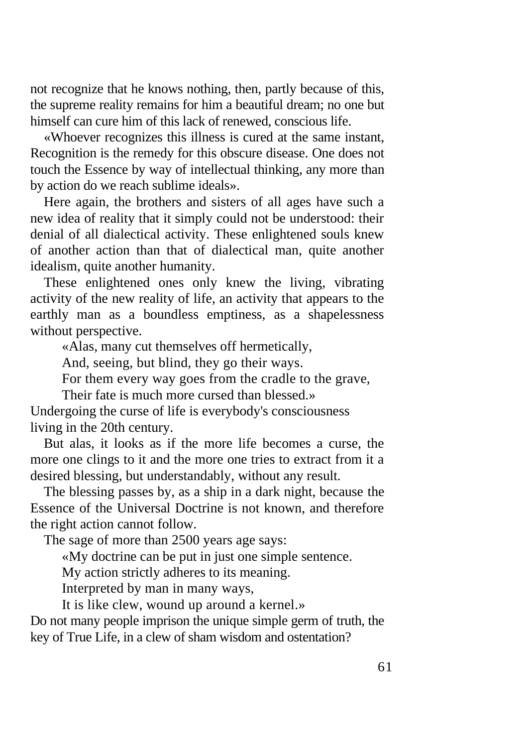not recognize that he knows nothing, then, partly because of this, the supreme reality remains for him a beautiful dream; no one but himself can cure him of this lack of renewed, conscious life.

«Whoever recognizes this illness is cured at the same instant, Recognition is the remedy for this obscure disease. One does not touch the Essence by way of intellectual thinking, any more than by action do we reach sublime ideals».

Here again, the brothers and sisters of all ages have such a new idea of reality that it simply could not be understood: their denial of all dialectical activity. These enlightened souls knew of another action than that of dialectical man, quite another idealism, quite another humanity.

These enlightened ones only knew the living, vibrating activity of the new reality of life, an activity that appears to the earthly man as a boundless emptiness, as a shapelessness without perspective.

«Alas, many cut themselves off hermetically,

And, seeing, but blind, they go their ways.

For them every way goes from the cradle to the grave,

Their fate is much more cursed than blessed.»

Undergoing the curse of life is everybody's consciousness living in the 20th century.

But alas, it looks as if the more life becomes a curse, the more one clings to it and the more one tries to extract from it a desired blessing, but understandably, without any result.

The blessing passes by, as a ship in a dark night, because the Essence of the Universal Doctrine is not known, and therefore the right action cannot follow.

The sage of more than 2500 years age says:

«My doctrine can be put in just one simple sentence.

My action strictly adheres to its meaning.

Interpreted by man in many ways,

It is like clew, wound up around a kernel.»

Do not many people imprison the unique simple germ of truth, the key of True Life, in a clew of sham wisdom and ostentation?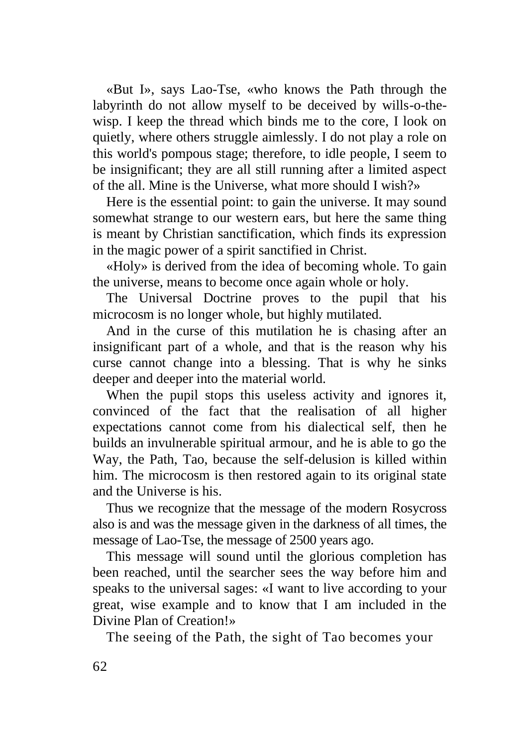«But I», says Lao-Tse, «who knows the Path through the labyrinth do not allow myself to be deceived by wills-o-thewisp. I keep the thread which binds me to the core, I look on quietly, where others struggle aimlessly. I do not play a role on this world's pompous stage; therefore, to idle people, I seem to be insignificant; they are all still running after a limited aspect of the all. Mine is the Universe, what more should I wish?»

Here is the essential point: to gain the universe. It may sound somewhat strange to our western ears, but here the same thing is meant by Christian sanctification, which finds its expression in the magic power of a spirit sanctified in Christ.

«Holy» is derived from the idea of becoming whole. To gain the universe, means to become once again whole or holy.

The Universal Doctrine proves to the pupil that his microcosm is no longer whole, but highly mutilated.

And in the curse of this mutilation he is chasing after an insignificant part of a whole, and that is the reason why his curse cannot change into a blessing. That is why he sinks deeper and deeper into the material world.

When the pupil stops this useless activity and ignores it, convinced of the fact that the realisation of all higher expectations cannot come from his dialectical self, then he builds an invulnerable spiritual armour, and he is able to go the Way, the Path, Tao, because the self-delusion is killed within him. The microcosm is then restored again to its original state and the Universe is his.

Thus we recognize that the message of the modern Rosycross also is and was the message given in the darkness of all times, the message of Lao-Tse, the message of 2500 years ago.

This message will sound until the glorious completion has been reached, until the searcher sees the way before him and speaks to the universal sages: «I want to live according to your great, wise example and to know that I am included in the Divine Plan of Creation!»

The seeing of the Path, the sight of Tao becomes your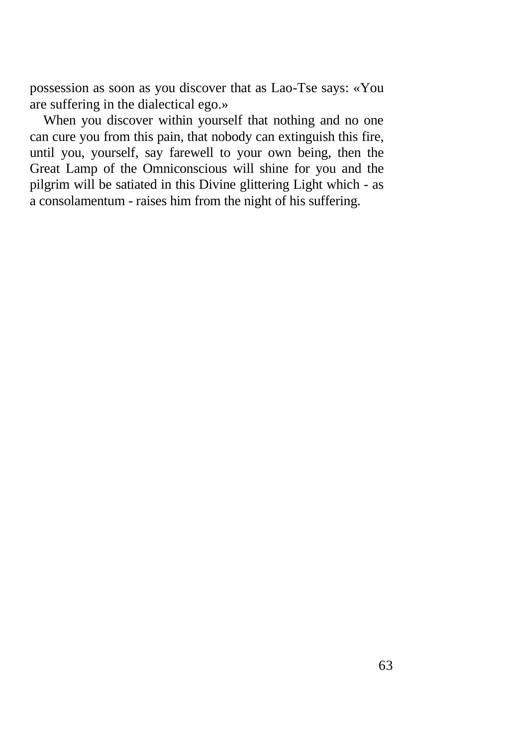possession as soon as you discover that as Lao-Tse says: «You are suffering in the dialectical ego.»

When you discover within yourself that nothing and no one can cure you from this pain, that nobody can extinguish this fire, until you, yourself, say farewell to your own being, then the Great Lamp of the Omniconscious will shine for you and the pilgrim will be satiated in this Divine glittering Light which - as a consolamentum - raises him from the night of his suffering.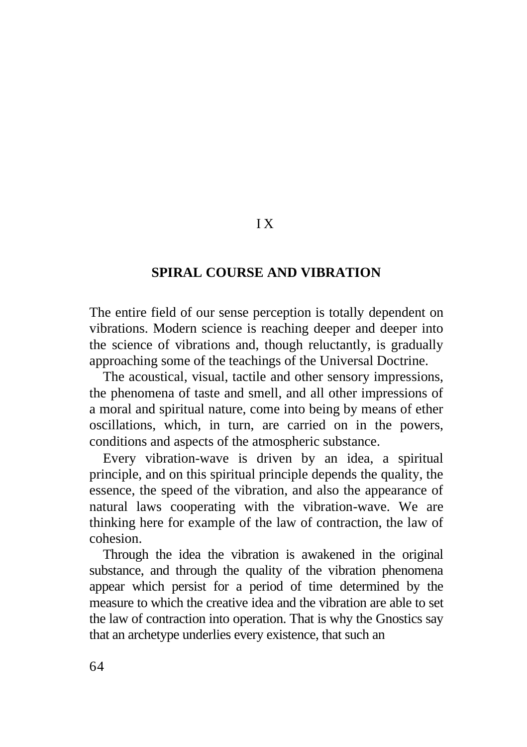### **SPIRAL COURSE AND VIBRATION**

I X

The entire field of our sense perception is totally dependent on vibrations. Modern science is reaching deeper and deeper into the science of vibrations and, though reluctantly, is gradually approaching some of the teachings of the Universal Doctrine.

The acoustical, visual, tactile and other sensory impressions, the phenomena of taste and smell, and all other impressions of a moral and spiritual nature, come into being by means of ether oscillations, which, in turn, are carried on in the powers, conditions and aspects of the atmospheric substance.

Every vibration-wave is driven by an idea, a spiritual principle, and on this spiritual principle depends the quality, the essence, the speed of the vibration, and also the appearance of natural laws cooperating with the vibration-wave. We are thinking here for example of the law of contraction, the law of cohesion.

Through the idea the vibration is awakened in the original substance, and through the quality of the vibration phenomena appear which persist for a period of time determined by the measure to which the creative idea and the vibration are able to set the law of contraction into operation. That is why the Gnostics say that an archetype underlies every existence, that such an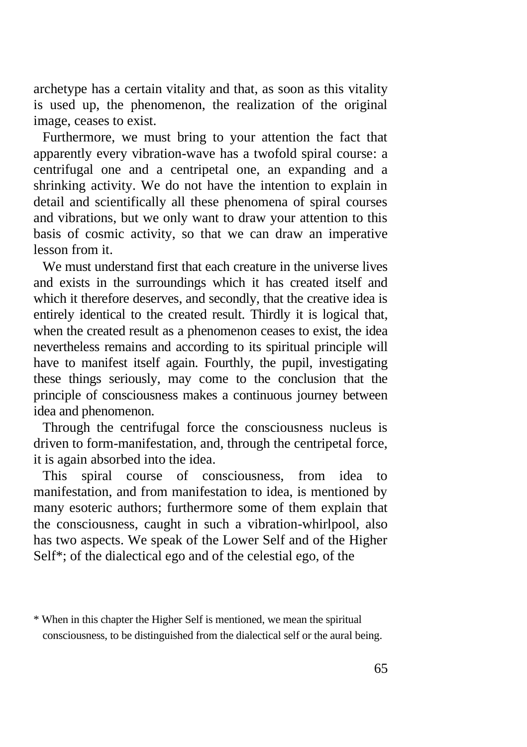archetype has a certain vitality and that, as soon as this vitality is used up, the phenomenon, the realization of the original image, ceases to exist.

Furthermore, we must bring to your attention the fact that apparently every vibration-wave has a twofold spiral course: a centrifugal one and a centripetal one, an expanding and a shrinking activity. We do not have the intention to explain in detail and scientifically all these phenomena of spiral courses and vibrations, but we only want to draw your attention to this basis of cosmic activity, so that we can draw an imperative lesson from it.

We must understand first that each creature in the universe lives and exists in the surroundings which it has created itself and which it therefore deserves, and secondly, that the creative idea is entirely identical to the created result. Thirdly it is logical that, when the created result as a phenomenon ceases to exist, the idea nevertheless remains and according to its spiritual principle will have to manifest itself again. Fourthly, the pupil, investigating these things seriously, may come to the conclusion that the principle of consciousness makes a continuous journey between idea and phenomenon.

Through the centrifugal force the consciousness nucleus is driven to form-manifestation, and, through the centripetal force, it is again absorbed into the idea.

This spiral course of consciousness, from idea manifestation, and from manifestation to idea, is mentioned by many esoteric authors; furthermore some of them explain that the consciousness, caught in such a vibration-whirlpool, also has two aspects. We speak of the Lower Self and of the Higher Self\*; of the dialectical ego and of the celestial ego, of the

<sup>\*</sup> When in this chapter the Higher Self is mentioned, we mean the spiritual consciousness, to be distinguished from the dialectical self or the aural being.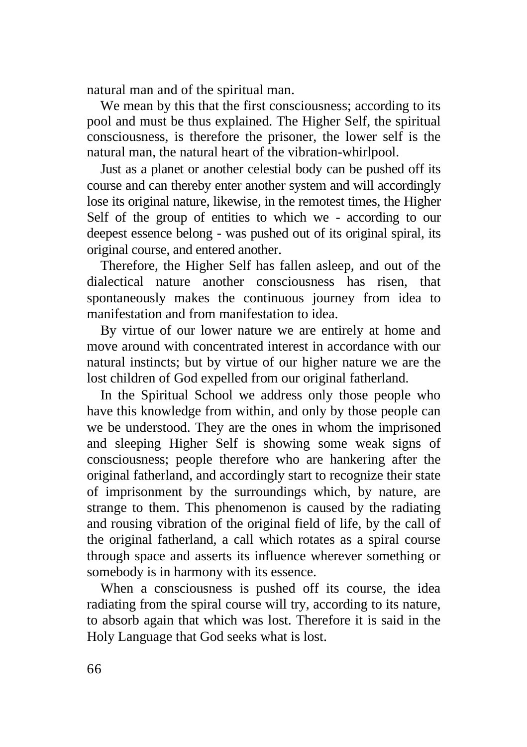natural man and of the spiritual man.

We mean by this that the first consciousness; according to its pool and must be thus explained. The Higher Self, the spiritual consciousness, is therefore the prisoner, the lower self is the natural man, the natural heart of the vibration-whirlpool.

Just as a planet or another celestial body can be pushed off its course and can thereby enter another system and will accordingly lose its original nature, likewise, in the remotest times, the Higher Self of the group of entities to which we - according to our deepest essence belong - was pushed out of its original spiral, its original course, and entered another.

Therefore, the Higher Self has fallen asleep, and out of the dialectical nature another consciousness has risen, that spontaneously makes the continuous journey from idea to manifestation and from manifestation to idea.

By virtue of our lower nature we are entirely at home and move around with concentrated interest in accordance with our natural instincts; but by virtue of our higher nature we are the lost children of God expelled from our original fatherland.

In the Spiritual School we address only those people who have this knowledge from within, and only by those people can we be understood. They are the ones in whom the imprisoned and sleeping Higher Self is showing some weak signs of consciousness; people therefore who are hankering after the original fatherland, and accordingly start to recognize their state of imprisonment by the surroundings which, by nature, are strange to them. This phenomenon is caused by the radiating and rousing vibration of the original field of life, by the call of the original fatherland, a call which rotates as a spiral course through space and asserts its influence wherever something or somebody is in harmony with its essence.

When a consciousness is pushed off its course, the idea radiating from the spiral course will try, according to its nature, to absorb again that which was lost. Therefore it is said in the Holy Language that God seeks what is lost.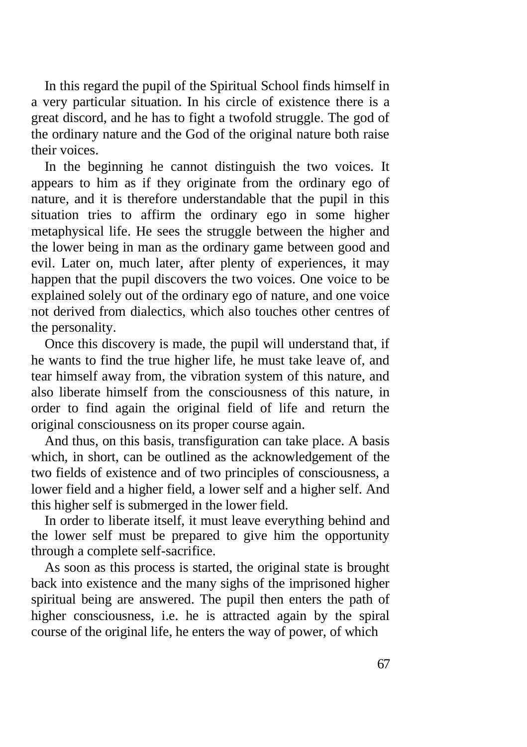In this regard the pupil of the Spiritual School finds himself in a very particular situation. In his circle of existence there is a great discord, and he has to fight a twofold struggle. The god of the ordinary nature and the God of the original nature both raise their voices.

In the beginning he cannot distinguish the two voices. It appears to him as if they originate from the ordinary ego of nature, and it is therefore understandable that the pupil in this situation tries to affirm the ordinary ego in some higher metaphysical life. He sees the struggle between the higher and the lower being in man as the ordinary game between good and evil. Later on, much later, after plenty of experiences, it may happen that the pupil discovers the two voices. One voice to be explained solely out of the ordinary ego of nature, and one voice not derived from dialectics, which also touches other centres of the personality.

Once this discovery is made, the pupil will understand that, if he wants to find the true higher life, he must take leave of, and tear himself away from, the vibration system of this nature, and also liberate himself from the consciousness of this nature, in order to find again the original field of life and return the original consciousness on its proper course again.

And thus, on this basis, transfiguration can take place. A basis which, in short, can be outlined as the acknowledgement of the two fields of existence and of two principles of consciousness, a lower field and a higher field, a lower self and a higher self. And this higher self is submerged in the lower field.

In order to liberate itself, it must leave everything behind and the lower self must be prepared to give him the opportunity through a complete self-sacrifice.

As soon as this process is started, the original state is brought back into existence and the many sighs of the imprisoned higher spiritual being are answered. The pupil then enters the path of higher consciousness, i.e. he is attracted again by the spiral course of the original life, he enters the way of power, of which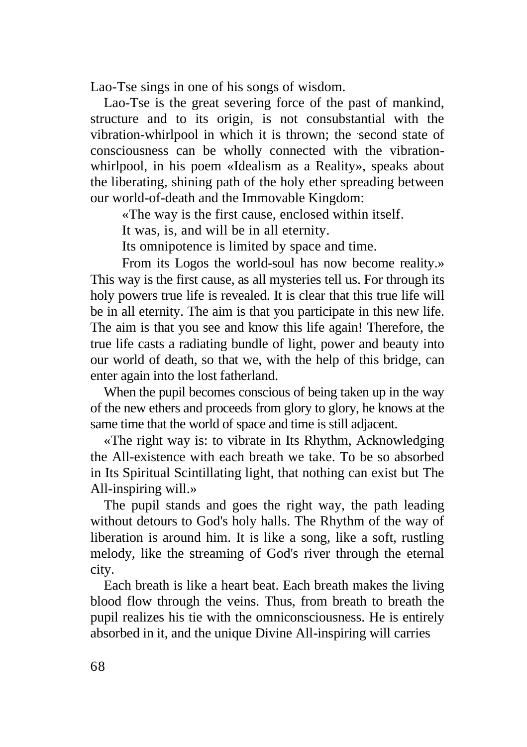Lao-Tse sings in one of his songs of wisdom.

Lao-Tse is the great severing force of the past of mankind, structure and to its origin, is not consubstantial with the vibration-whirlpool in which it is thrown; the second state of consciousness can be wholly connected with the vibrationwhirlpool, in his poem «Idealism as a Reality», speaks about the liberating, shining path of the holy ether spreading between our world-of-death and the Immovable Kingdom:

«The way is the first cause, enclosed within itself.

It was, is, and will be in all eternity.

Its omnipotence is limited by space and time.

From its Logos the world-soul has now become reality.» This way is the first cause, as all mysteries tell us. For through its holy powers true life is revealed. It is clear that this true life will be in all eternity. The aim is that you participate in this new life. The aim is that you see and know this life again! Therefore, the true life casts a radiating bundle of light, power and beauty into our world of death, so that we, with the help of this bridge, can enter again into the lost fatherland.

When the pupil becomes conscious of being taken up in the way of the new ethers and proceeds from glory to glory, he knows at the same time that the world of space and time is still adjacent.

«The right way is: to vibrate in Its Rhythm, Acknowledging the All-existence with each breath we take. To be so absorbed in Its Spiritual Scintillating light, that nothing can exist but The All-inspiring will.»

The pupil stands and goes the right way, the path leading without detours to God's holy halls. The Rhythm of the way of liberation is around him. It is like a song, like a soft, rustling melody, like the streaming of God's river through the eternal city.

Each breath is like a heart beat. Each breath makes the living blood flow through the veins. Thus, from breath to breath the pupil realizes his tie with the omniconsciousness. He is entirely absorbed in it, and the unique Divine All-inspiring will carries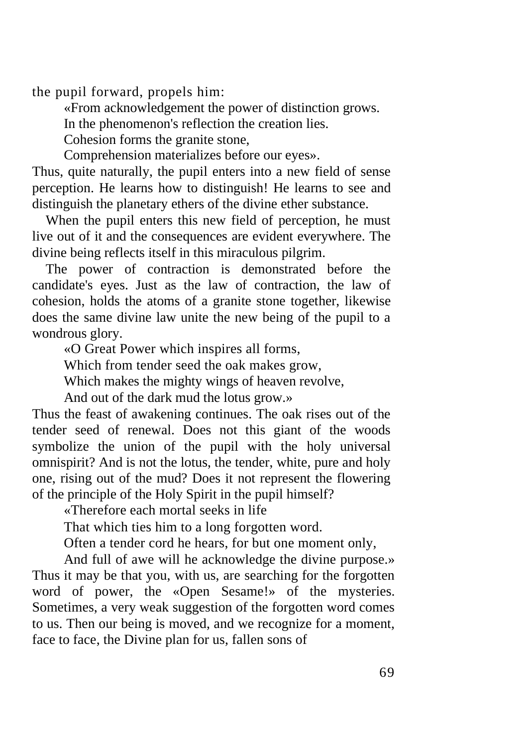the pupil forward, propels him:

«From acknowledgement the power of distinction grows.

In the phenomenon's reflection the creation lies.

Cohesion forms the granite stone,

Comprehension materializes before our eyes».

Thus, quite naturally, the pupil enters into a new field of sense perception. He learns how to distinguish! He learns to see and distinguish the planetary ethers of the divine ether substance.

When the pupil enters this new field of perception, he must live out of it and the consequences are evident everywhere. The divine being reflects itself in this miraculous pilgrim.

The power of contraction is demonstrated before the candidate's eyes. Just as the law of contraction, the law of cohesion, holds the atoms of a granite stone together, likewise does the same divine law unite the new being of the pupil to a wondrous glory.

«O Great Power which inspires all forms,

Which from tender seed the oak makes grow,

Which makes the mighty wings of heaven revolve,

And out of the dark mud the lotus grow.»

Thus the feast of awakening continues. The oak rises out of the tender seed of renewal. Does not this giant of the woods symbolize the union of the pupil with the holy universal omnispirit? And is not the lotus, the tender, white, pure and holy one, rising out of the mud? Does it not represent the flowering of the principle of the Holy Spirit in the pupil himself?

«Therefore each mortal seeks in life

That which ties him to a long forgotten word.

Often a tender cord he hears, for but one moment only,

And full of awe will he acknowledge the divine purpose.» Thus it may be that you, with us, are searching for the forgotten word of power, the «Open Sesame!» of the mysteries. Sometimes, a very weak suggestion of the forgotten word comes to us. Then our being is moved, and we recognize for a moment, face to face, the Divine plan for us, fallen sons of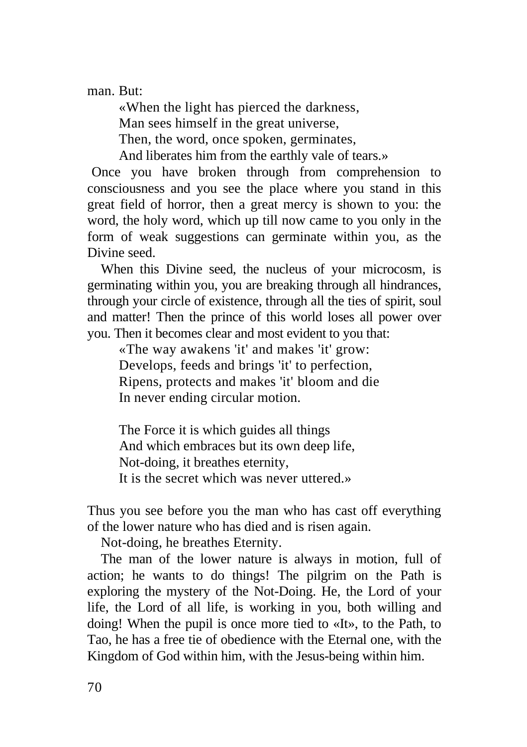man. But:

«When the light has pierced the darkness, Man sees himself in the great universe, Then, the word, once spoken, germinates, And liberates him from the earthly vale of tears.»

Once you have broken through from comprehension to consciousness and you see the place where you stand in this great field of horror, then a great mercy is shown to you: the word, the holy word, which up till now came to you only in the form of weak suggestions can germinate within you, as the Divine seed.

When this Divine seed, the nucleus of your microcosm, is germinating within you, you are breaking through all hindrances, through your circle of existence, through all the ties of spirit, soul and matter! Then the prince of this world loses all power over you. Then it becomes clear and most evident to you that:

«The way awakens 'it' and makes 'it' grow: Develops, feeds and brings 'it' to perfection, Ripens, protects and makes 'it' bloom and die In never ending circular motion.

The Force it is which guides all things And which embraces but its own deep life, Not-doing, it breathes eternity, It is the secret which was never uttered.»

Thus you see before you the man who has cast off everything of the lower nature who has died and is risen again.

Not-doing, he breathes Eternity.

The man of the lower nature is always in motion, full of action; he wants to do things! The pilgrim on the Path is exploring the mystery of the Not-Doing. He, the Lord of your life, the Lord of all life, is working in you, both willing and doing! When the pupil is once more tied to «It», to the Path, to Tao, he has a free tie of obedience with the Eternal one, with the Kingdom of God within him, with the Jesus-being within him.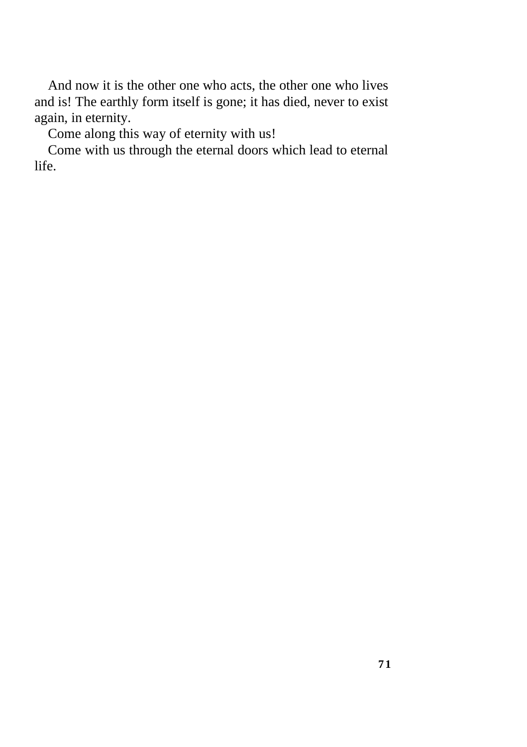And now it is the other one who acts, the other one who lives and is! The earthly form itself is gone; it has died, never to exist again, in eternity.

Come along this way of eternity with us!

Come with us through the eternal doors which lead to eternal life.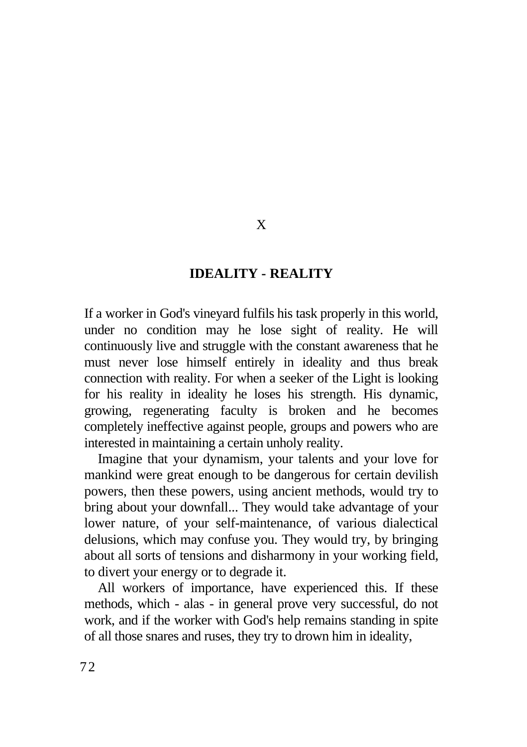## **IDEALITY - REALITY**

X

If a worker in God's vineyard fulfils his task properly in this world, under no condition may he lose sight of reality. He will continuously live and struggle with the constant awareness that he must never lose himself entirely in ideality and thus break connection with reality. For when a seeker of the Light is looking for his reality in ideality he loses his strength. His dynamic, growing, regenerating faculty is broken and he becomes completely ineffective against people, groups and powers who are interested in maintaining a certain unholy reality.

Imagine that your dynamism, your talents and your love for mankind were great enough to be dangerous for certain devilish powers, then these powers, using ancient methods, would try to bring about your downfall... They would take advantage of your lower nature, of your self-maintenance, of various dialectical delusions, which may confuse you. They would try, by bringing about all sorts of tensions and disharmony in your working field, to divert your energy or to degrade it.

All workers of importance, have experienced this. If these methods, which - alas - in general prove very successful, do not work, and if the worker with God's help remains standing in spite of all those snares and ruses, they try to drown him in ideality,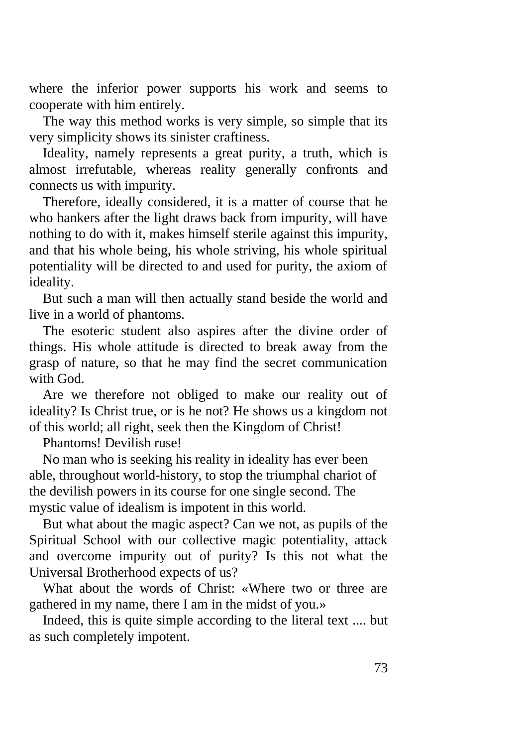where the inferior power supports his work and seems to cooperate with him entirely.

The way this method works is very simple, so simple that its very simplicity shows its sinister craftiness.

Ideality, namely represents a great purity, a truth, which is almost irrefutable, whereas reality generally confronts and connects us with impurity.

Therefore, ideally considered, it is a matter of course that he who hankers after the light draws back from impurity, will have nothing to do with it, makes himself sterile against this impurity, and that his whole being, his whole striving, his whole spiritual potentiality will be directed to and used for purity, the axiom of ideality.

But such a man will then actually stand beside the world and live in a world of phantoms.

The esoteric student also aspires after the divine order of things. His whole attitude is directed to break away from the grasp of nature, so that he may find the secret communication with God.

Are we therefore not obliged to make our reality out of ideality? Is Christ true, or is he not? He shows us a kingdom not of this world; all right, seek then the Kingdom of Christ!

Phantoms! Devilish ruse!

No man who is seeking his reality in ideality has ever been able, throughout world-history, to stop the triumphal chariot of the devilish powers in its course for one single second. The mystic value of idealism is impotent in this world.

But what about the magic aspect? Can we not, as pupils of the Spiritual School with our collective magic potentiality, attack and overcome impurity out of purity? Is this not what the Universal Brotherhood expects of us?

What about the words of Christ: «Where two or three are gathered in my name, there I am in the midst of you.»

Indeed, this is quite simple according to the literal text .... but as such completely impotent.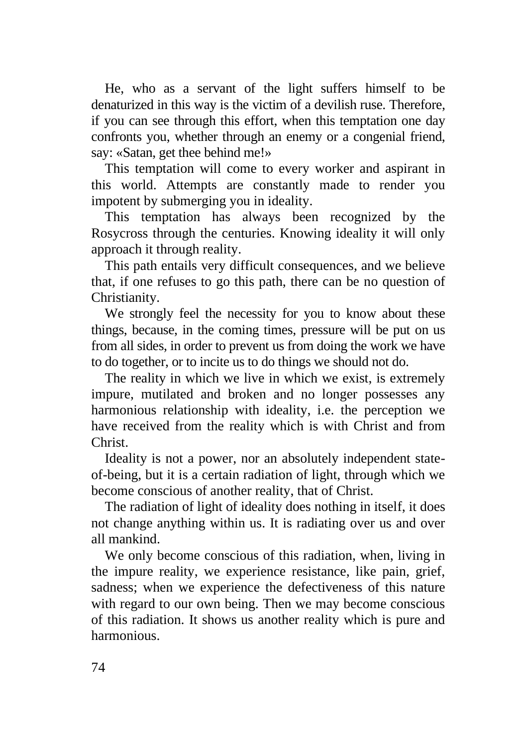He, who as a servant of the light suffers himself to be denaturized in this way is the victim of a devilish ruse. Therefore, if you can see through this effort, when this temptation one day confronts you, whether through an enemy or a congenial friend, say: «Satan, get thee behind me!»

This temptation will come to every worker and aspirant in this world. Attempts are constantly made to render you impotent by submerging you in ideality.

This temptation has always been recognized by the Rosycross through the centuries. Knowing ideality it will only approach it through reality.

This path entails very difficult consequences, and we believe that, if one refuses to go this path, there can be no question of Christianity.

We strongly feel the necessity for you to know about these things, because, in the coming times, pressure will be put on us from all sides, in order to prevent us from doing the work we have to do together, or to incite us to do things we should not do.

The reality in which we live in which we exist, is extremely impure, mutilated and broken and no longer possesses any harmonious relationship with ideality, i.e. the perception we have received from the reality which is with Christ and from Christ.

Ideality is not a power, nor an absolutely independent stateof-being, but it is a certain radiation of light, through which we become conscious of another reality, that of Christ.

The radiation of light of ideality does nothing in itself, it does not change anything within us. It is radiating over us and over all mankind.

We only become conscious of this radiation, when, living in the impure reality, we experience resistance, like pain, grief, sadness; when we experience the defectiveness of this nature with regard to our own being. Then we may become conscious of this radiation. It shows us another reality which is pure and harmonious.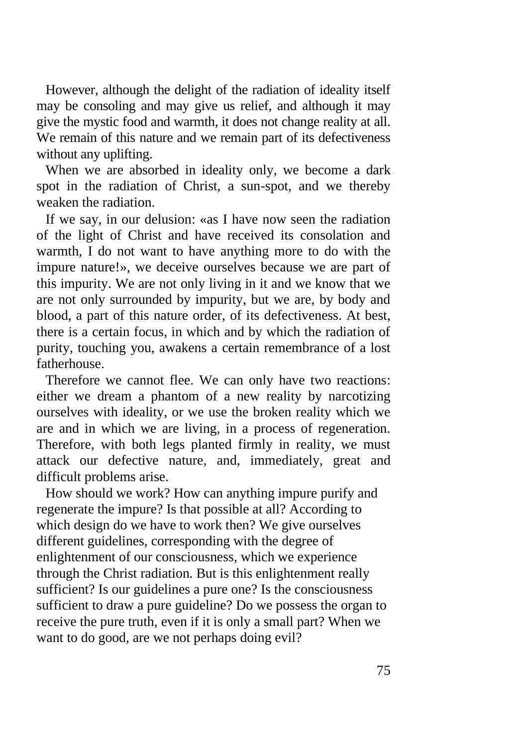However, although the delight of the radiation of ideality itself may be consoling and may give us relief, and although it may give the mystic food and warmth, it does not change reality at all. We remain of this nature and we remain part of its defectiveness without any uplifting.

When we are absorbed in ideality only, we become a dark spot in the radiation of Christ, a sun-spot, and we thereby weaken the radiation.

If we say, in our delusion: «as I have now seen the radiation of the light of Christ and have received its consolation and warmth, I do not want to have anything more to do with the impure nature!», we deceive ourselves because we are part of this impurity. We are not only living in it and we know that we are not only surrounded by impurity, but we are, by body and blood, a part of this nature order, of its defectiveness. At best, there is a certain focus, in which and by which the radiation of purity, touching you, awakens a certain remembrance of a lost fatherhouse.

Therefore we cannot flee. We can only have two reactions: either we dream a phantom of a new reality by narcotizing ourselves with ideality, or we use the broken reality which we are and in which we are living, in a process of regeneration. Therefore, with both legs planted firmly in reality, we must attack our defective nature, and, immediately, great and difficult problems arise.

How should we work? How can anything impure purify and regenerate the impure? Is that possible at all? According to which design do we have to work then? We give ourselves different guidelines, corresponding with the degree of enlightenment of our consciousness, which we experience through the Christ radiation. But is this enlightenment really sufficient? Is our guidelines a pure one? Is the consciousness sufficient to draw a pure guideline? Do we possess the organ to receive the pure truth, even if it is only a small part? When we want to do good, are we not perhaps doing evil?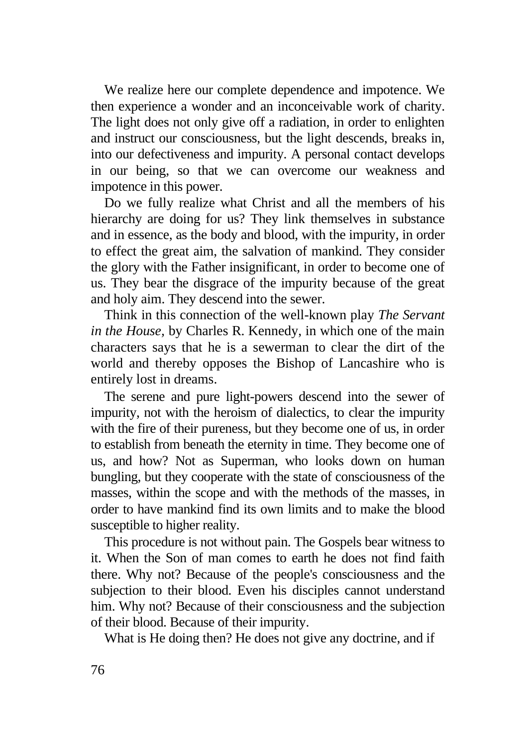We realize here our complete dependence and impotence. We then experience a wonder and an inconceivable work of charity. The light does not only give off a radiation, in order to enlighten and instruct our consciousness, but the light descends, breaks in, into our defectiveness and impurity. A personal contact develops in our being, so that we can overcome our weakness and impotence in this power.

Do we fully realize what Christ and all the members of his hierarchy are doing for us? They link themselves in substance and in essence, as the body and blood, with the impurity, in order to effect the great aim, the salvation of mankind. They consider the glory with the Father insignificant, in order to become one of us. They bear the disgrace of the impurity because of the great and holy aim. They descend into the sewer.

Think in this connection of the well-known play *The Servant in the House,* by Charles R. Kennedy, in which one of the main characters says that he is a sewerman to clear the dirt of the world and thereby opposes the Bishop of Lancashire who is entirely lost in dreams.

The serene and pure light-powers descend into the sewer of impurity, not with the heroism of dialectics, to clear the impurity with the fire of their pureness, but they become one of us, in order to establish from beneath the eternity in time. They become one of us, and how? Not as Superman, who looks down on human bungling, but they cooperate with the state of consciousness of the masses, within the scope and with the methods of the masses, in order to have mankind find its own limits and to make the blood susceptible to higher reality.

This procedure is not without pain. The Gospels bear witness to it. When the Son of man comes to earth he does not find faith there. Why not? Because of the people's consciousness and the subjection to their blood. Even his disciples cannot understand him. Why not? Because of their consciousness and the subjection of their blood. Because of their impurity.

What is He doing then? He does not give any doctrine, and if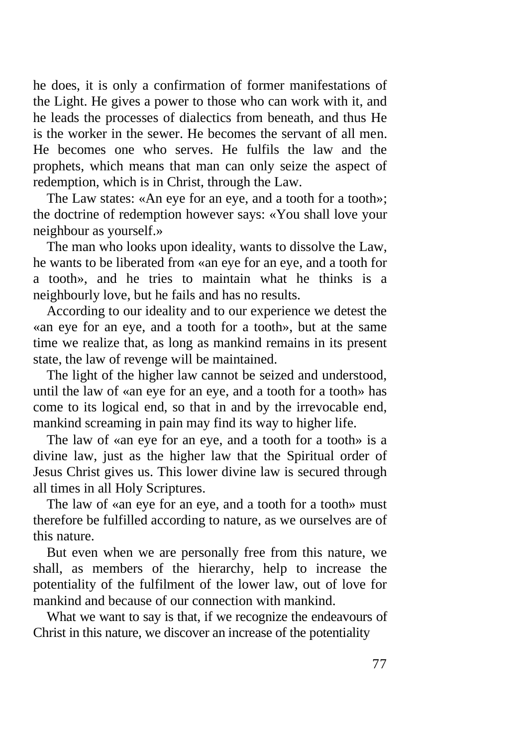he does, it is only a confirmation of former manifestations of the Light. He gives a power to those who can work with it, and he leads the processes of dialectics from beneath, and thus He is the worker in the sewer. He becomes the servant of all men. He becomes one who serves. He fulfils the law and the prophets, which means that man can only seize the aspect of redemption, which is in Christ, through the Law.

The Law states: «An eye for an eye, and a tooth for a tooth»; the doctrine of redemption however says: «You shall love your neighbour as yourself.»

The man who looks upon ideality, wants to dissolve the Law, he wants to be liberated from «an eye for an eye, and a tooth for a tooth», and he tries to maintain what he thinks is a neighbourly love, but he fails and has no results.

According to our ideality and to our experience we detest the «an eye for an eye, and a tooth for a tooth», but at the same time we realize that, as long as mankind remains in its present state, the law of revenge will be maintained.

The light of the higher law cannot be seized and understood, until the law of «an eye for an eye, and a tooth for a tooth» has come to its logical end, so that in and by the irrevocable end, mankind screaming in pain may find its way to higher life.

The law of «an eye for an eye, and a tooth for a tooth» is a divine law, just as the higher law that the Spiritual order of Jesus Christ gives us. This lower divine law is secured through all times in all Holy Scriptures.

The law of «an eye for an eye, and a tooth for a tooth» must therefore be fulfilled according to nature, as we ourselves are of this nature.

But even when we are personally free from this nature, we shall, as members of the hierarchy, help to increase the potentiality of the fulfilment of the lower law, out of love for mankind and because of our connection with mankind.

What we want to say is that, if we recognize the endeavours of Christ in this nature, we discover an increase of the potentiality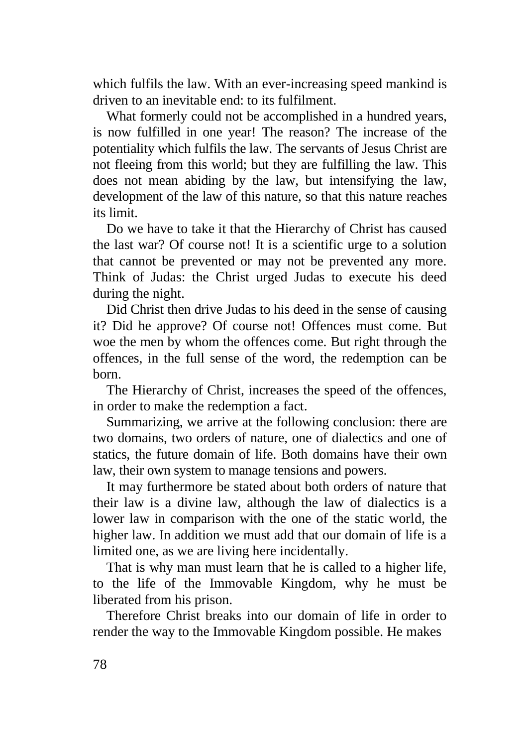which fulfils the law. With an ever-increasing speed mankind is driven to an inevitable end: to its fulfilment.

What formerly could not be accomplished in a hundred years, is now fulfilled in one year! The reason? The increase of the potentiality which fulfils the law. The servants of Jesus Christ are not fleeing from this world; but they are fulfilling the law. This does not mean abiding by the law, but intensifying the law, development of the law of this nature, so that this nature reaches its limit.

Do we have to take it that the Hierarchy of Christ has caused the last war? Of course not! It is a scientific urge to a solution that cannot be prevented or may not be prevented any more. Think of Judas: the Christ urged Judas to execute his deed during the night.

Did Christ then drive Judas to his deed in the sense of causing it? Did he approve? Of course not! Offences must come. But woe the men by whom the offences come. But right through the offences, in the full sense of the word, the redemption can be born.

The Hierarchy of Christ, increases the speed of the offences, in order to make the redemption a fact.

Summarizing, we arrive at the following conclusion: there are two domains, two orders of nature, one of dialectics and one of statics, the future domain of life. Both domains have their own law, their own system to manage tensions and powers.

It may furthermore be stated about both orders of nature that their law is a divine law, although the law of dialectics is a lower law in comparison with the one of the static world, the higher law. In addition we must add that our domain of life is a limited one, as we are living here incidentally.

That is why man must learn that he is called to a higher life, to the life of the Immovable Kingdom, why he must be liberated from his prison.

Therefore Christ breaks into our domain of life in order to render the way to the Immovable Kingdom possible. He makes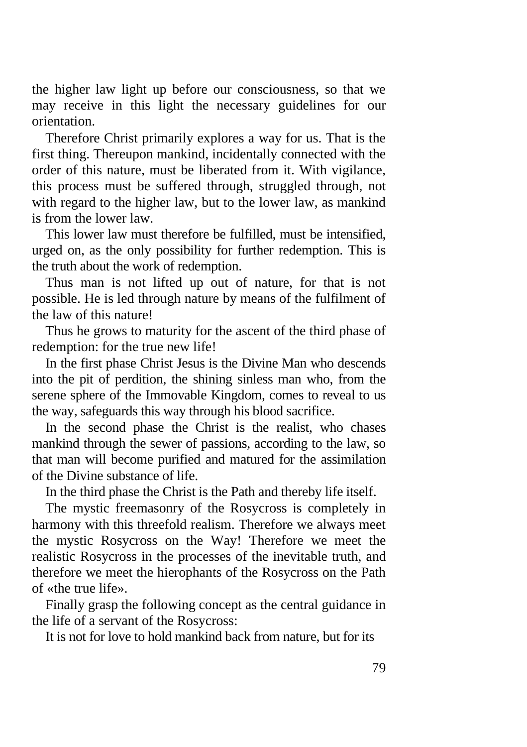the higher law light up before our consciousness, so that we may receive in this light the necessary guidelines for our orientation.

Therefore Christ primarily explores a way for us. That is the first thing. Thereupon mankind, incidentally connected with the order of this nature, must be liberated from it. With vigilance, this process must be suffered through, struggled through, not with regard to the higher law, but to the lower law, as mankind is from the lower law.

This lower law must therefore be fulfilled, must be intensified, urged on, as the only possibility for further redemption. This is the truth about the work of redemption.

Thus man is not lifted up out of nature, for that is not possible. He is led through nature by means of the fulfilment of the law of this nature!

Thus he grows to maturity for the ascent of the third phase of redemption: for the true new life!

In the first phase Christ Jesus is the Divine Man who descends into the pit of perdition, the shining sinless man who, from the serene sphere of the Immovable Kingdom, comes to reveal to us the way, safeguards this way through his blood sacrifice.

In the second phase the Christ is the realist, who chases mankind through the sewer of passions, according to the law, so that man will become purified and matured for the assimilation of the Divine substance of life.

In the third phase the Christ is the Path and thereby life itself.

The mystic freemasonry of the Rosycross is completely in harmony with this threefold realism. Therefore we always meet the mystic Rosycross on the Way! Therefore we meet the realistic Rosycross in the processes of the inevitable truth, and therefore we meet the hierophants of the Rosycross on the Path of «the true life».

Finally grasp the following concept as the central guidance in the life of a servant of the Rosycross:

It is not for love to hold mankind back from nature, but for its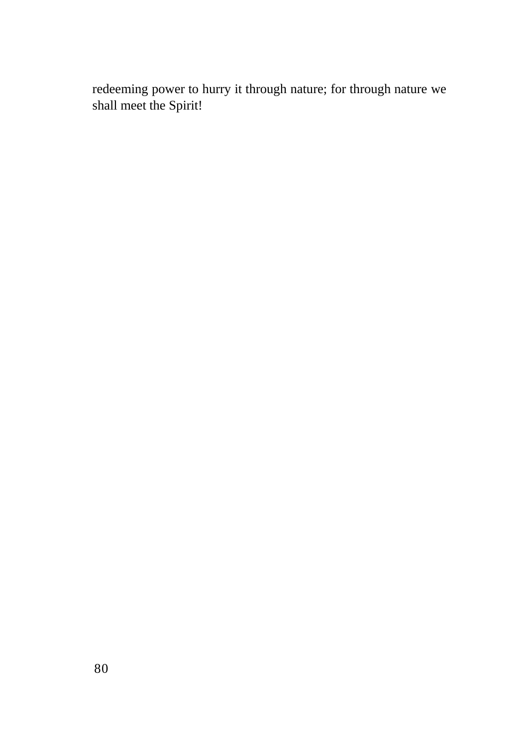redeeming power to hurry it through nature; for through nature we shall meet the Spirit!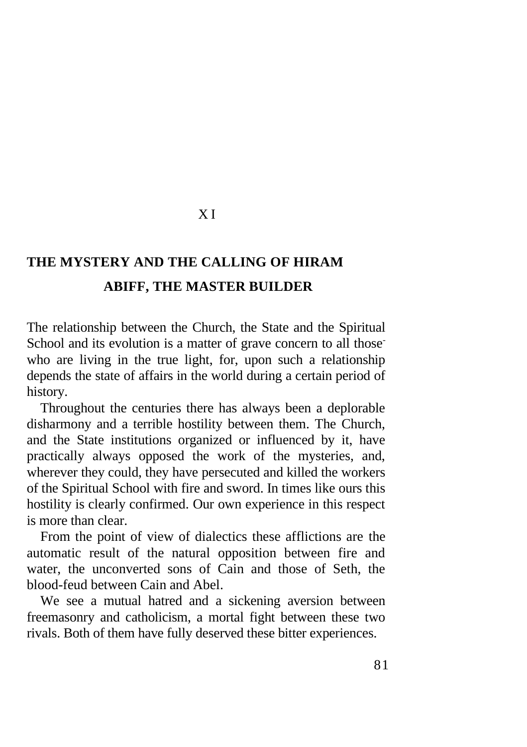## X I

# **THE MYSTERY AND THE CALLING OF HIRAM ABIFF, THE MASTER BUILDER**

The relationship between the Church, the State and the Spiritual School and its evolution is a matter of grave concern to all those who are living in the true light, for, upon such a relationship depends the state of affairs in the world during a certain period of history.

Throughout the centuries there has always been a deplorable disharmony and a terrible hostility between them. The Church, and the State institutions organized or influenced by it, have practically always opposed the work of the mysteries, and, wherever they could, they have persecuted and killed the workers of the Spiritual School with fire and sword. In times like ours this hostility is clearly confirmed. Our own experience in this respect is more than clear.

From the point of view of dialectics these afflictions are the automatic result of the natural opposition between fire and water, the unconverted sons of Cain and those of Seth, the blood-feud between Cain and Abel.

We see a mutual hatred and a sickening aversion between freemasonry and catholicism, a mortal fight between these two rivals. Both of them have fully deserved these bitter experiences.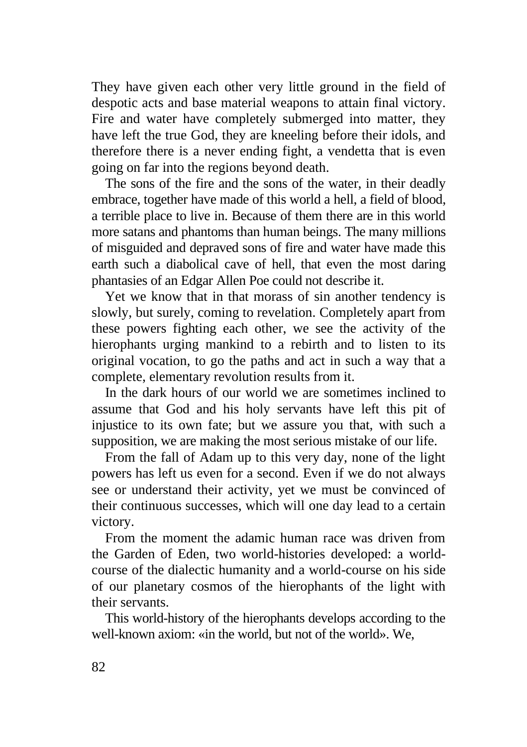They have given each other very little ground in the field of despotic acts and base material weapons to attain final victory. Fire and water have completely submerged into matter, they have left the true God, they are kneeling before their idols, and therefore there is a never ending fight, a vendetta that is even going on far into the regions beyond death.

The sons of the fire and the sons of the water, in their deadly embrace, together have made of this world a hell, a field of blood, a terrible place to live in. Because of them there are in this world more satans and phantoms than human beings. The many millions of misguided and depraved sons of fire and water have made this earth such a diabolical cave of hell, that even the most daring phantasies of an Edgar Allen Poe could not describe it.

Yet we know that in that morass of sin another tendency is slowly, but surely, coming to revelation. Completely apart from these powers fighting each other, we see the activity of the hierophants urging mankind to a rebirth and to listen to its original vocation, to go the paths and act in such a way that a complete, elementary revolution results from it.

In the dark hours of our world we are sometimes inclined to assume that God and his holy servants have left this pit of injustice to its own fate; but we assure you that, with such a supposition, we are making the most serious mistake of our life.

From the fall of Adam up to this very day, none of the light powers has left us even for a second. Even if we do not always see or understand their activity, yet we must be convinced of their continuous successes, which will one day lead to a certain victory.

From the moment the adamic human race was driven from the Garden of Eden, two world-histories developed: a worldcourse of the dialectic humanity and a world-course on his side of our planetary cosmos of the hierophants of the light with their servants.

This world-history of the hierophants develops according to the well-known axiom: «in the world, but not of the world». We,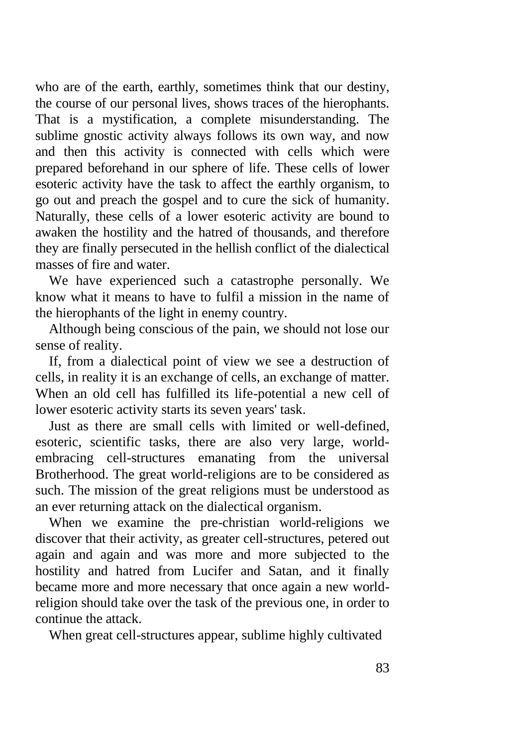who are of the earth, earthly, sometimes think that our destiny, the course of our personal lives, shows traces of the hierophants. That is a mystification, a complete misunderstanding. The sublime gnostic activity always follows its own way, and now and then this activity is connected with cells which were prepared beforehand in our sphere of life. These cells of lower esoteric activity have the task to affect the earthly organism, to go out and preach the gospel and to cure the sick of humanity. Naturally, these cells of a lower esoteric activity are bound to awaken the hostility and the hatred of thousands, and therefore they are finally persecuted in the hellish conflict of the dialectical masses of fire and water.

We have experienced such a catastrophe personally. We know what it means to have to fulfil a mission in the name of the hierophants of the light in enemy country.

Although being conscious of the pain, we should not lose our sense of reality.

If, from a dialectical point of view we see a destruction of cells, in reality it is an exchange of cells, an exchange of matter. When an old cell has fulfilled its life-potential a new cell of lower esoteric activity starts its seven years' task.

Just as there are small cells with limited or well-defined, esoteric, scientific tasks, there are also very large, worldembracing cell-structures emanating from the universal Brotherhood. The great world-religions are to be considered as such. The mission of the great religions must be understood as an ever returning attack on the dialectical organism.

When we examine the pre-christian world-religions we discover that their activity, as greater cell-structures, petered out again and again and was more and more subjected to the hostility and hatred from Lucifer and Satan, and it finally became more and more necessary that once again a new worldreligion should take over the task of the previous one, in order to continue the attack.

When great cell-structures appear, sublime highly cultivated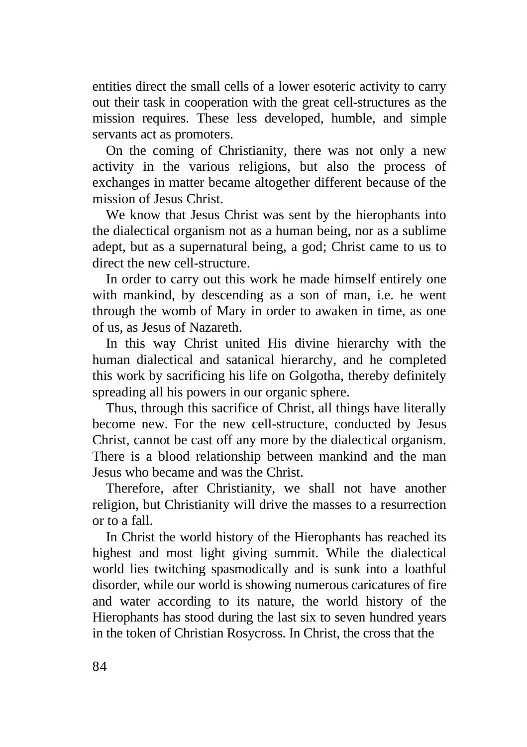entities direct the small cells of a lower esoteric activity to carry out their task in cooperation with the great cell-structures as the mission requires. These less developed, humble, and simple servants act as promoters.

On the coming of Christianity, there was not only a new activity in the various religions, but also the process of exchanges in matter became altogether different because of the mission of Jesus Christ.

We know that Jesus Christ was sent by the hierophants into the dialectical organism not as a human being, nor as a sublime adept, but as a supernatural being, a god; Christ came to us to direct the new cell-structure.

In order to carry out this work he made himself entirely one with mankind, by descending as a son of man, i.e. he went through the womb of Mary in order to awaken in time, as one of us, as Jesus of Nazareth.

In this way Christ united His divine hierarchy with the human dialectical and satanical hierarchy, and he completed this work by sacrificing his life on Golgotha, thereby definitely spreading all his powers in our organic sphere.

Thus, through this sacrifice of Christ, all things have literally become new. For the new cell-structure, conducted by Jesus Christ, cannot be cast off any more by the dialectical organism. There is a blood relationship between mankind and the man Jesus who became and was the Christ.

Therefore, after Christianity, we shall not have another religion, but Christianity will drive the masses to a resurrection or to a fall.

In Christ the world history of the Hierophants has reached its highest and most light giving summit. While the dialectical world lies twitching spasmodically and is sunk into a loathful disorder, while our world is showing numerous caricatures of fire and water according to its nature, the world history of the Hierophants has stood during the last six to seven hundred years in the token of Christian Rosycross. In Christ, the cross that the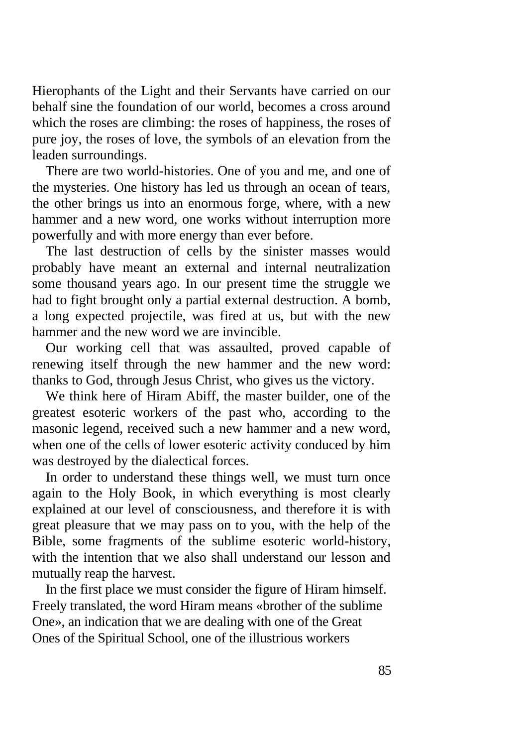Hierophants of the Light and their Servants have carried on our behalf sine the foundation of our world, becomes a cross around which the roses are climbing: the roses of happiness, the roses of pure joy, the roses of love, the symbols of an elevation from the leaden surroundings.

There are two world-histories. One of you and me, and one of the mysteries. One history has led us through an ocean of tears, the other brings us into an enormous forge, where, with a new hammer and a new word, one works without interruption more powerfully and with more energy than ever before.

The last destruction of cells by the sinister masses would probably have meant an external and internal neutralization some thousand years ago. In our present time the struggle we had to fight brought only a partial external destruction. A bomb, a long expected projectile, was fired at us, but with the new hammer and the new word we are invincible.

Our working cell that was assaulted, proved capable of renewing itself through the new hammer and the new word: thanks to God, through Jesus Christ, who gives us the victory.

We think here of Hiram Abiff, the master builder, one of the greatest esoteric workers of the past who, according to the masonic legend, received such a new hammer and a new word, when one of the cells of lower esoteric activity conduced by him was destroyed by the dialectical forces.

In order to understand these things well, we must turn once again to the Holy Book, in which everything is most clearly explained at our level of consciousness, and therefore it is with great pleasure that we may pass on to you, with the help of the Bible, some fragments of the sublime esoteric world-history, with the intention that we also shall understand our lesson and mutually reap the harvest.

In the first place we must consider the figure of Hiram himself. Freely translated, the word Hiram means «brother of the sublime One», an indication that we are dealing with one of the Great Ones of the Spiritual School, one of the illustrious workers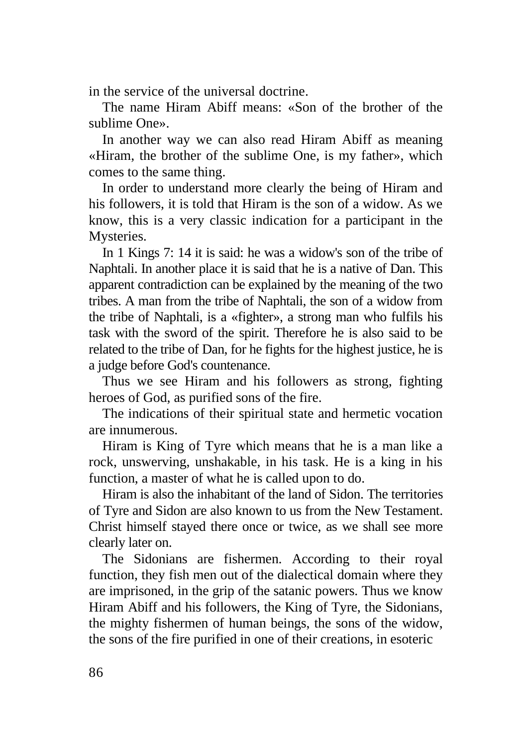in the service of the universal doctrine.

The name Hiram Abiff means: «Son of the brother of the sublime One».

In another way we can also read Hiram Abiff as meaning «Hiram, the brother of the sublime One, is my father», which comes to the same thing.

In order to understand more clearly the being of Hiram and his followers, it is told that Hiram is the son of a widow. As we know, this is a very classic indication for a participant in the Mysteries.

In 1 Kings 7: 14 it is said: he was a widow's son of the tribe of Naphtali. In another place it is said that he is a native of Dan. This apparent contradiction can be explained by the meaning of the two tribes. A man from the tribe of Naphtali, the son of a widow from the tribe of Naphtali, is a «fighter», a strong man who fulfils his task with the sword of the spirit. Therefore he is also said to be related to the tribe of Dan, for he fights for the highest justice, he is a judge before God's countenance.

Thus we see Hiram and his followers as strong, fighting heroes of God, as purified sons of the fire.

The indications of their spiritual state and hermetic vocation are innumerous.

Hiram is King of Tyre which means that he is a man like a rock, unswerving, unshakable, in his task. He is a king in his function, a master of what he is called upon to do.

Hiram is also the inhabitant of the land of Sidon. The territories of Tyre and Sidon are also known to us from the New Testament. Christ himself stayed there once or twice, as we shall see more clearly later on.

The Sidonians are fishermen. According to their royal function, they fish men out of the dialectical domain where they are imprisoned, in the grip of the satanic powers. Thus we know Hiram Abiff and his followers, the King of Tyre, the Sidonians, the mighty fishermen of human beings, the sons of the widow, the sons of the fire purified in one of their creations, in esoteric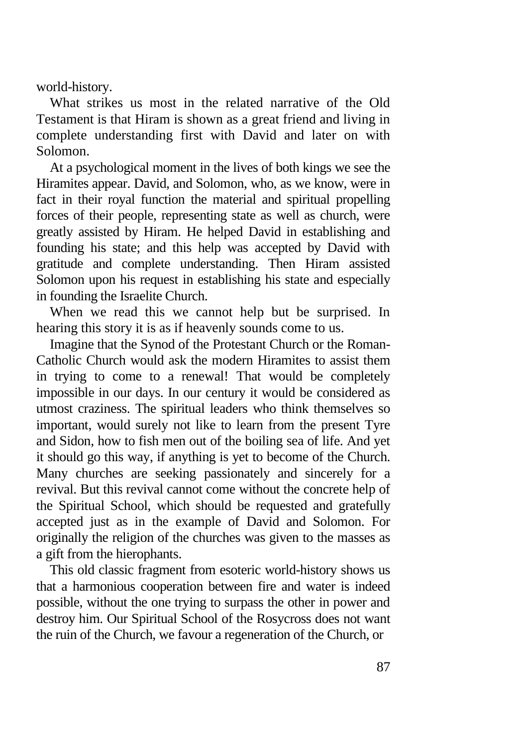world-history.

What strikes us most in the related narrative of the Old Testament is that Hiram is shown as a great friend and living in complete understanding first with David and later on with Solomon.

At a psychological moment in the lives of both kings we see the Hiramites appear. David, and Solomon, who, as we know, were in fact in their royal function the material and spiritual propelling forces of their people, representing state as well as church, were greatly assisted by Hiram. He helped David in establishing and founding his state; and this help was accepted by David with gratitude and complete understanding. Then Hiram assisted Solomon upon his request in establishing his state and especially in founding the Israelite Church.

When we read this we cannot help but be surprised. In hearing this story it is as if heavenly sounds come to us.

Imagine that the Synod of the Protestant Church or the Roman-Catholic Church would ask the modern Hiramites to assist them in trying to come to a renewal! That would be completely impossible in our days. In our century it would be considered as utmost craziness. The spiritual leaders who think themselves so important, would surely not like to learn from the present Tyre and Sidon, how to fish men out of the boiling sea of life. And yet it should go this way, if anything is yet to become of the Church. Many churches are seeking passionately and sincerely for a revival. But this revival cannot come without the concrete help of the Spiritual School, which should be requested and gratefully accepted just as in the example of David and Solomon. For originally the religion of the churches was given to the masses as a gift from the hierophants.

This old classic fragment from esoteric world-history shows us that a harmonious cooperation between fire and water is indeed possible, without the one trying to surpass the other in power and destroy him. Our Spiritual School of the Rosycross does not want the ruin of the Church, we favour a regeneration of the Church, or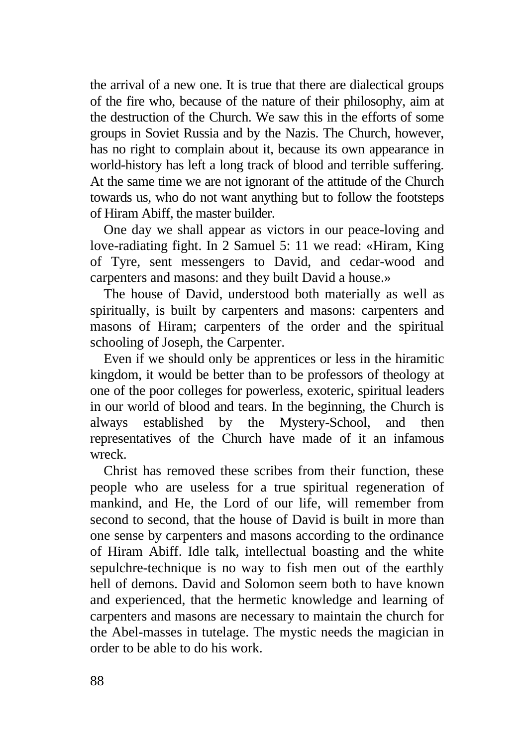the arrival of a new one. It is true that there are dialectical groups of the fire who, because of the nature of their philosophy, aim at the destruction of the Church. We saw this in the efforts of some groups in Soviet Russia and by the Nazis. The Church, however, has no right to complain about it, because its own appearance in world-history has left a long track of blood and terrible suffering. At the same time we are not ignorant of the attitude of the Church towards us, who do not want anything but to follow the footsteps of Hiram Abiff, the master builder.

One day we shall appear as victors in our peace-loving and love-radiating fight. In 2 Samuel 5: 11 we read: «Hiram, King of Tyre, sent messengers to David, and cedar-wood and carpenters and masons: and they built David a house.»

The house of David, understood both materially as well as spiritually, is built by carpenters and masons: carpenters and masons of Hiram; carpenters of the order and the spiritual schooling of Joseph, the Carpenter.

Even if we should only be apprentices or less in the hiramitic kingdom, it would be better than to be professors of theology at one of the poor colleges for powerless, exoteric, spiritual leaders in our world of blood and tears. In the beginning, the Church is always established by the Mystery-School, and then representatives of the Church have made of it an infamous wreck.

Christ has removed these scribes from their function, these people who are useless for a true spiritual regeneration of mankind, and He, the Lord of our life, will remember from second to second, that the house of David is built in more than one sense by carpenters and masons according to the ordinance of Hiram Abiff. Idle talk, intellectual boasting and the white sepulchre-technique is no way to fish men out of the earthly hell of demons. David and Solomon seem both to have known and experienced, that the hermetic knowledge and learning of carpenters and masons are necessary to maintain the church for the Abel-masses in tutelage. The mystic needs the magician in order to be able to do his work.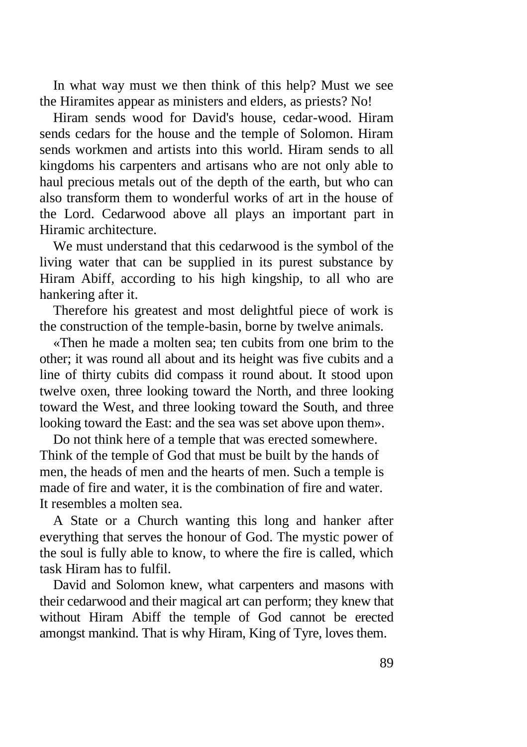In what way must we then think of this help? Must we see the Hiramites appear as ministers and elders, as priests? No!

Hiram sends wood for David's house, cedar-wood. Hiram sends cedars for the house and the temple of Solomon. Hiram sends workmen and artists into this world. Hiram sends to all kingdoms his carpenters and artisans who are not only able to haul precious metals out of the depth of the earth, but who can also transform them to wonderful works of art in the house of the Lord. Cedarwood above all plays an important part in Hiramic architecture.

We must understand that this cedarwood is the symbol of the living water that can be supplied in its purest substance by Hiram Abiff, according to his high kingship, to all who are hankering after it.

Therefore his greatest and most delightful piece of work is the construction of the temple-basin, borne by twelve animals.

«Then he made a molten sea; ten cubits from one brim to the other; it was round all about and its height was five cubits and a line of thirty cubits did compass it round about. It stood upon twelve oxen, three looking toward the North, and three looking toward the West, and three looking toward the South, and three looking toward the East: and the sea was set above upon them».

Do not think here of a temple that was erected somewhere. Think of the temple of God that must be built by the hands of men, the heads of men and the hearts of men. Such a temple is made of fire and water, it is the combination of fire and water. It resembles a molten sea.

A State or a Church wanting this long and hanker after everything that serves the honour of God. The mystic power of the soul is fully able to know, to where the fire is called, which task Hiram has to fulfil.

David and Solomon knew, what carpenters and masons with their cedarwood and their magical art can perform; they knew that without Hiram Abiff the temple of God cannot be erected amongst mankind. That is why Hiram, King of Tyre, loves them.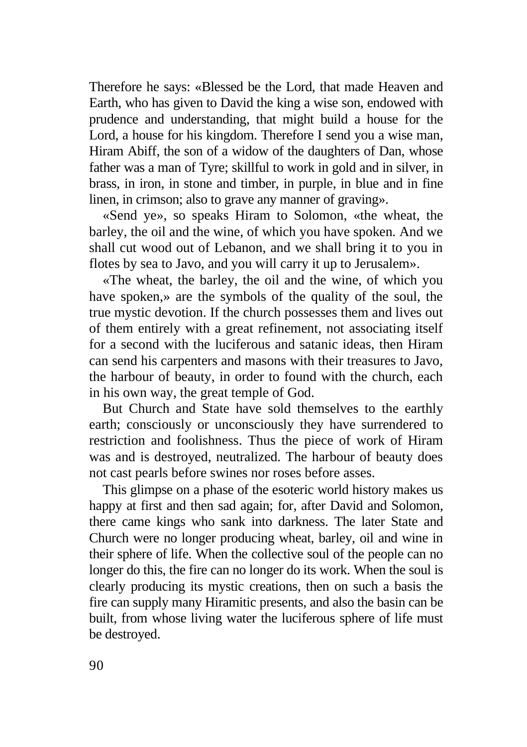Therefore he says: «Blessed be the Lord, that made Heaven and Earth, who has given to David the king a wise son, endowed with prudence and understanding, that might build a house for the Lord, a house for his kingdom. Therefore I send you a wise man, Hiram Abiff, the son of a widow of the daughters of Dan, whose father was a man of Tyre; skillful to work in gold and in silver, in brass, in iron, in stone and timber, in purple, in blue and in fine linen, in crimson; also to grave any manner of graving».

«Send ye», so speaks Hiram to Solomon, «the wheat, the barley, the oil and the wine, of which you have spoken. And we shall cut wood out of Lebanon, and we shall bring it to you in flotes by sea to Javo, and you will carry it up to Jerusalem».

«The wheat, the barley, the oil and the wine, of which you have spoken,» are the symbols of the quality of the soul, the true mystic devotion. If the church possesses them and lives out of them entirely with a great refinement, not associating itself for a second with the luciferous and satanic ideas, then Hiram can send his carpenters and masons with their treasures to Javo, the harbour of beauty, in order to found with the church, each in his own way, the great temple of God.

But Church and State have sold themselves to the earthly earth; consciously or unconsciously they have surrendered to restriction and foolishness. Thus the piece of work of Hiram was and is destroyed, neutralized. The harbour of beauty does not cast pearls before swines nor roses before asses.

This glimpse on a phase of the esoteric world history makes us happy at first and then sad again; for, after David and Solomon, there came kings who sank into darkness. The later State and Church were no longer producing wheat, barley, oil and wine in their sphere of life. When the collective soul of the people can no longer do this, the fire can no longer do its work. When the soul is clearly producing its mystic creations, then on such a basis the fire can supply many Hiramitic presents, and also the basin can be built, from whose living water the luciferous sphere of life must be destroyed.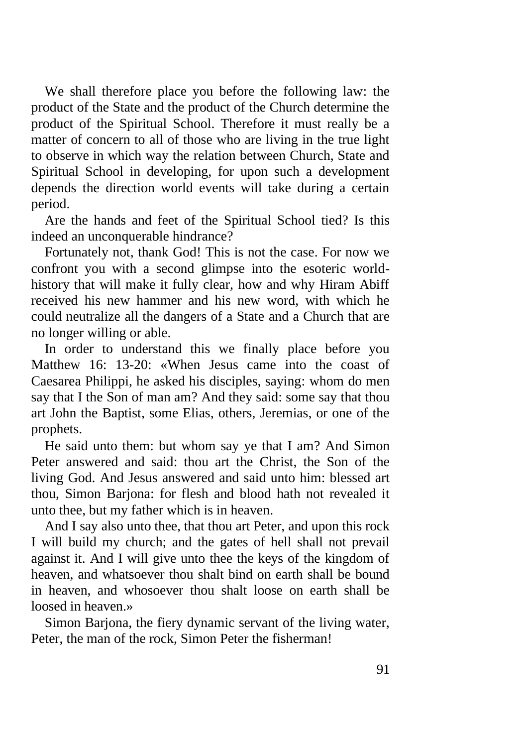We shall therefore place you before the following law: the product of the State and the product of the Church determine the product of the Spiritual School. Therefore it must really be a matter of concern to all of those who are living in the true light to observe in which way the relation between Church, State and Spiritual School in developing, for upon such a development depends the direction world events will take during a certain period.

Are the hands and feet of the Spiritual School tied? Is this indeed an unconquerable hindrance?

Fortunately not, thank God! This is not the case. For now we confront you with a second glimpse into the esoteric worldhistory that will make it fully clear, how and why Hiram Abiff received his new hammer and his new word, with which he could neutralize all the dangers of a State and a Church that are no longer willing or able.

In order to understand this we finally place before you Matthew 16: 13-20: «When Jesus came into the coast of Caesarea Philippi, he asked his disciples, saying: whom do men say that I the Son of man am? And they said: some say that thou art John the Baptist, some Elias, others, Jeremias, or one of the prophets.

He said unto them: but whom say ye that I am? And Simon Peter answered and said: thou art the Christ, the Son of the living God. And Jesus answered and said unto him: blessed art thou, Simon Barjona: for flesh and blood hath not revealed it unto thee, but my father which is in heaven.

And I say also unto thee, that thou art Peter, and upon this rock I will build my church; and the gates of hell shall not prevail against it. And I will give unto thee the keys of the kingdom of heaven, and whatsoever thou shalt bind on earth shall be bound in heaven, and whosoever thou shalt loose on earth shall be loosed in heaven.»

Simon Barjona, the fiery dynamic servant of the living water, Peter, the man of the rock, Simon Peter the fisherman!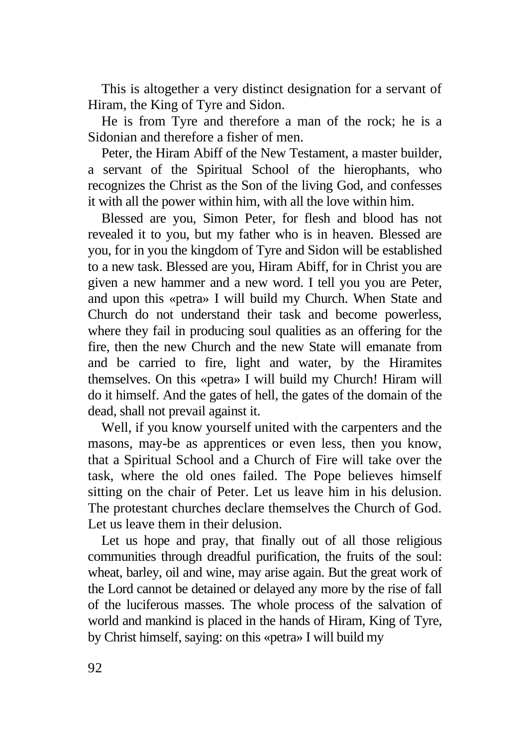This is altogether a very distinct designation for a servant of Hiram, the King of Tyre and Sidon.

He is from Tyre and therefore a man of the rock; he is a Sidonian and therefore a fisher of men.

Peter, the Hiram Abiff of the New Testament, a master builder, a servant of the Spiritual School of the hierophants, who recognizes the Christ as the Son of the living God, and confesses it with all the power within him, with all the love within him.

Blessed are you, Simon Peter, for flesh and blood has not revealed it to you, but my father who is in heaven. Blessed are you, for in you the kingdom of Tyre and Sidon will be established to a new task. Blessed are you, Hiram Abiff, for in Christ you are given a new hammer and a new word. I tell you you are Peter, and upon this «petra» I will build my Church. When State and Church do not understand their task and become powerless, where they fail in producing soul qualities as an offering for the fire, then the new Church and the new State will emanate from and be carried to fire, light and water, by the Hiramites themselves. On this «petra» I will build my Church! Hiram will do it himself. And the gates of hell, the gates of the domain of the dead, shall not prevail against it.

Well, if you know yourself united with the carpenters and the masons, may-be as apprentices or even less, then you know, that a Spiritual School and a Church of Fire will take over the task, where the old ones failed. The Pope believes himself sitting on the chair of Peter. Let us leave him in his delusion. The protestant churches declare themselves the Church of God. Let us leave them in their delusion.

Let us hope and pray, that finally out of all those religious communities through dreadful purification, the fruits of the soul: wheat, barley, oil and wine, may arise again. But the great work of the Lord cannot be detained or delayed any more by the rise of fall of the luciferous masses. The whole process of the salvation of world and mankind is placed in the hands of Hiram, King of Tyre, by Christ himself, saying: on this «petra» I will build my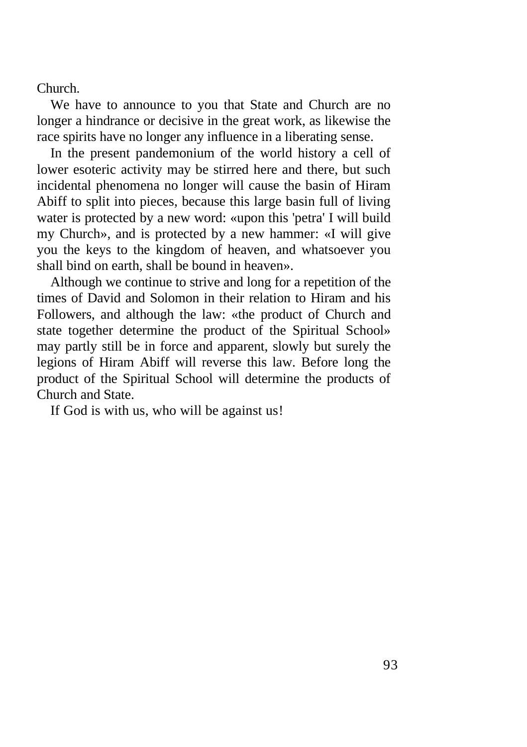Church.

We have to announce to you that State and Church are no longer a hindrance or decisive in the great work, as likewise the race spirits have no longer any influence in a liberating sense.

In the present pandemonium of the world history a cell of lower esoteric activity may be stirred here and there, but such incidental phenomena no longer will cause the basin of Hiram Abiff to split into pieces, because this large basin full of living water is protected by a new word: «upon this 'petra' I will build my Church», and is protected by a new hammer: «I will give you the keys to the kingdom of heaven, and whatsoever you shall bind on earth, shall be bound in heaven».

Although we continue to strive and long for a repetition of the times of David and Solomon in their relation to Hiram and his Followers, and although the law: «the product of Church and state together determine the product of the Spiritual School» may partly still be in force and apparent, slowly but surely the legions of Hiram Abiff will reverse this law. Before long the product of the Spiritual School will determine the products of Church and State.

If God is with us, who will be against us!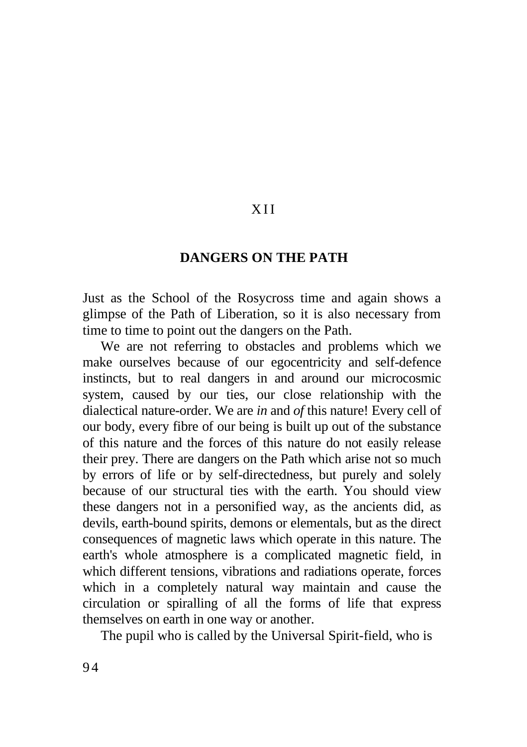## X I I

### **DANGERS ON THE PATH**

Just as the School of the Rosycross time and again shows a glimpse of the Path of Liberation, so it is also necessary from time to time to point out the dangers on the Path.

We are not referring to obstacles and problems which we make ourselves because of our egocentricity and self-defence instincts, but to real dangers in and around our microcosmic system, caused by our ties, our close relationship with the dialectical nature-order. We are *in* and *of* this nature! Every cell of our body, every fibre of our being is built up out of the substance of this nature and the forces of this nature do not easily release their prey. There are dangers on the Path which arise not so much by errors of life or by self-directedness, but purely and solely because of our structural ties with the earth. You should view these dangers not in a personified way, as the ancients did, as devils, earth-bound spirits, demons or elementals, but as the direct consequences of magnetic laws which operate in this nature. The earth's whole atmosphere is a complicated magnetic field, in which different tensions, vibrations and radiations operate, forces which in a completely natural way maintain and cause the circulation or spiralling of all the forms of life that express themselves on earth in one way or another.

The pupil who is called by the Universal Spirit-field, who is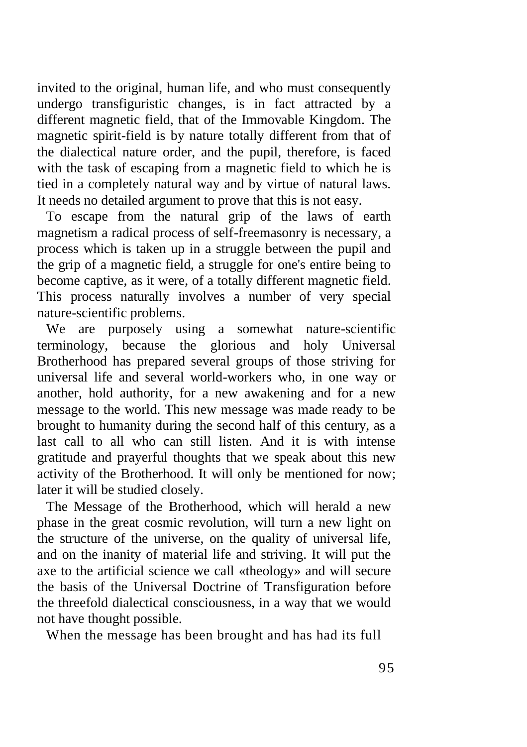invited to the original, human life, and who must consequently undergo transfiguristic changes, is in fact attracted by a different magnetic field, that of the Immovable Kingdom. The magnetic spirit-field is by nature totally different from that of the dialectical nature order, and the pupil, therefore, is faced with the task of escaping from a magnetic field to which he is tied in a completely natural way and by virtue of natural laws. It needs no detailed argument to prove that this is not easy.

To escape from the natural grip of the laws of earth magnetism a radical process of self-freemasonry is necessary, a process which is taken up in a struggle between the pupil and the grip of a magnetic field, a struggle for one's entire being to become captive, as it were, of a totally different magnetic field. This process naturally involves a number of very special nature-scientific problems.

We are purposely using a somewhat nature-scientific terminology, because the glorious and holy Universal Brotherhood has prepared several groups of those striving for universal life and several world-workers who, in one way or another, hold authority, for a new awakening and for a new message to the world. This new message was made ready to be brought to humanity during the second half of this century, as a last call to all who can still listen. And it is with intense gratitude and prayerful thoughts that we speak about this new activity of the Brotherhood. It will only be mentioned for now; later it will be studied closely.

The Message of the Brotherhood, which will herald a new phase in the great cosmic revolution, will turn a new light on the structure of the universe, on the quality of universal life, and on the inanity of material life and striving. It will put the axe to the artificial science we call «theology» and will secure the basis of the Universal Doctrine of Transfiguration before the threefold dialectical consciousness, in a way that we would not have thought possible.

When the message has been brought and has had its full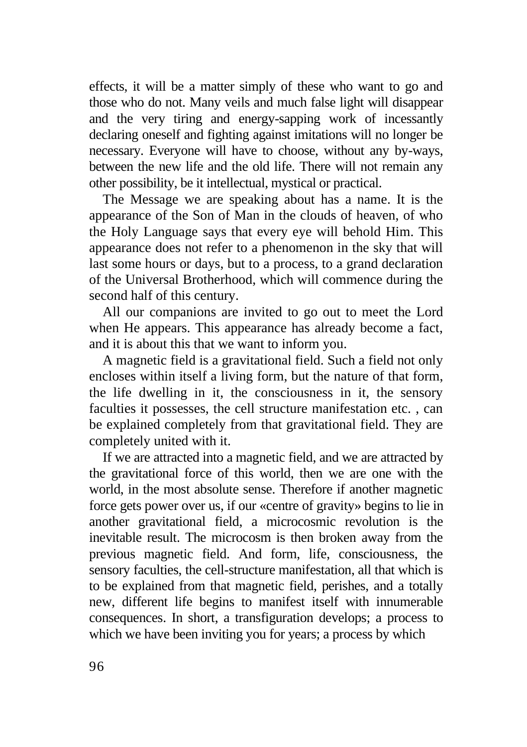effects, it will be a matter simply of these who want to go and those who do not. Many veils and much false light will disappear and the very tiring and energy-sapping work of incessantly declaring oneself and fighting against imitations will no longer be necessary. Everyone will have to choose, without any by-ways, between the new life and the old life. There will not remain any other possibility, be it intellectual, mystical or practical.

The Message we are speaking about has a name. It is the appearance of the Son of Man in the clouds of heaven, of who the Holy Language says that every eye will behold Him. This appearance does not refer to a phenomenon in the sky that will last some hours or days, but to a process, to a grand declaration of the Universal Brotherhood, which will commence during the second half of this century.

All our companions are invited to go out to meet the Lord when He appears. This appearance has already become a fact, and it is about this that we want to inform you.

A magnetic field is a gravitational field. Such a field not only encloses within itself a living form, but the nature of that form, the life dwelling in it, the consciousness in it, the sensory faculties it possesses, the cell structure manifestation etc. , can be explained completely from that gravitational field. They are completely united with it.

If we are attracted into a magnetic field, and we are attracted by the gravitational force of this world, then we are one with the world, in the most absolute sense. Therefore if another magnetic force gets power over us, if our «centre of gravity» begins to lie in another gravitational field, a microcosmic revolution is the inevitable result. The microcosm is then broken away from the previous magnetic field. And form, life, consciousness, the sensory faculties, the cell-structure manifestation, all that which is to be explained from that magnetic field, perishes, and a totally new, different life begins to manifest itself with innumerable consequences. In short, a transfiguration develops; a process to which we have been inviting you for years; a process by which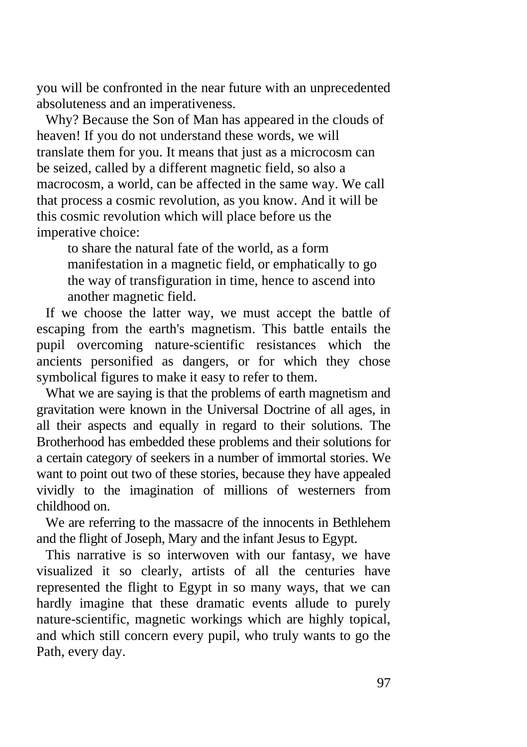you will be confronted in the near future with an unprecedented absoluteness and an imperativeness.

Why? Because the Son of Man has appeared in the clouds of heaven! If you do not understand these words, we will translate them for you. It means that just as a microcosm can be seized, called by a different magnetic field, so also a macrocosm, a world, can be affected in the same way. We call that process a cosmic revolution, as you know. And it will be this cosmic revolution which will place before us the imperative choice:

to share the natural fate of the world, as a form manifestation in a magnetic field, or emphatically to go the way of transfiguration in time, hence to ascend into another magnetic field.

If we choose the latter way, we must accept the battle of escaping from the earth's magnetism. This battle entails the pupil overcoming nature-scientific resistances which the ancients personified as dangers, or for which they chose symbolical figures to make it easy to refer to them.

What we are saying is that the problems of earth magnetism and gravitation were known in the Universal Doctrine of all ages, in all their aspects and equally in regard to their solutions. The Brotherhood has embedded these problems and their solutions for a certain category of seekers in a number of immortal stories. We want to point out two of these stories, because they have appealed vividly to the imagination of millions of westerners from childhood on.

We are referring to the massacre of the innocents in Bethlehem and the flight of Joseph, Mary and the infant Jesus to Egypt.

This narrative is so interwoven with our fantasy, we have visualized it so clearly, artists of all the centuries have represented the flight to Egypt in so many ways, that we can hardly imagine that these dramatic events allude to purely nature-scientific, magnetic workings which are highly topical, and which still concern every pupil, who truly wants to go the Path, every day.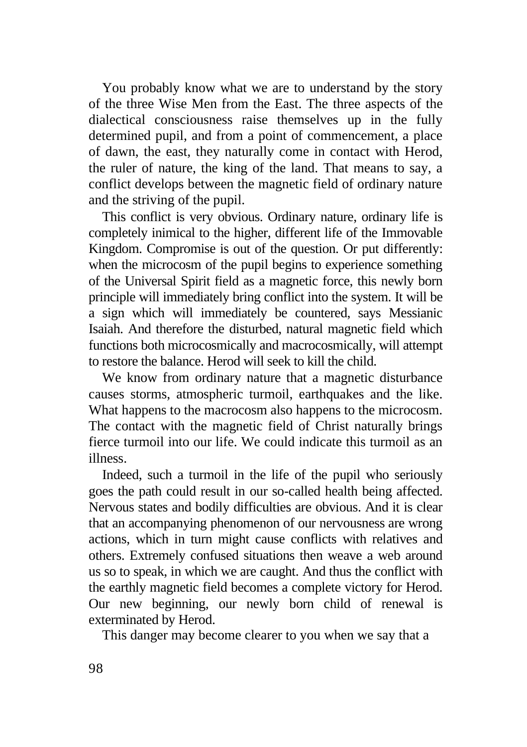You probably know what we are to understand by the story of the three Wise Men from the East. The three aspects of the dialectical consciousness raise themselves up in the fully determined pupil, and from a point of commencement, a place of dawn, the east, they naturally come in contact with Herod, the ruler of nature, the king of the land. That means to say, a conflict develops between the magnetic field of ordinary nature and the striving of the pupil.

This conflict is very obvious. Ordinary nature, ordinary life is completely inimical to the higher, different life of the Immovable Kingdom. Compromise is out of the question. Or put differently: when the microcosm of the pupil begins to experience something of the Universal Spirit field as a magnetic force, this newly born principle will immediately bring conflict into the system. It will be a sign which will immediately be countered, says Messianic Isaiah. And therefore the disturbed, natural magnetic field which functions both microcosmically and macrocosmically, will attempt to restore the balance. Herod will seek to kill the child.

We know from ordinary nature that a magnetic disturbance causes storms, atmospheric turmoil, earthquakes and the like. What happens to the macrocosm also happens to the microcosm. The contact with the magnetic field of Christ naturally brings fierce turmoil into our life. We could indicate this turmoil as an illness.

Indeed, such a turmoil in the life of the pupil who seriously goes the path could result in our so-called health being affected. Nervous states and bodily difficulties are obvious. And it is clear that an accompanying phenomenon of our nervousness are wrong actions, which in turn might cause conflicts with relatives and others. Extremely confused situations then weave a web around us so to speak, in which we are caught. And thus the conflict with the earthly magnetic field becomes a complete victory for Herod. Our new beginning, our newly born child of renewal is exterminated by Herod.

This danger may become clearer to you when we say that a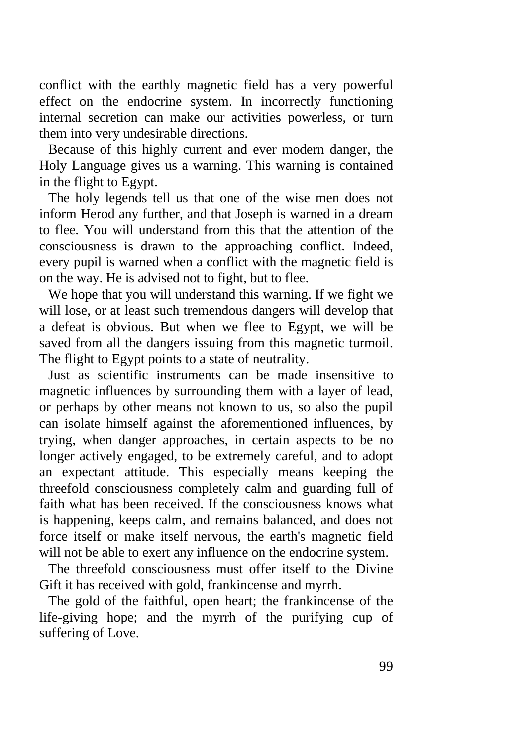conflict with the earthly magnetic field has a very powerful effect on the endocrine system. In incorrectly functioning internal secretion can make our activities powerless, or turn them into very undesirable directions.

Because of this highly current and ever modern danger, the Holy Language gives us a warning. This warning is contained in the flight to Egypt.

The holy legends tell us that one of the wise men does not inform Herod any further, and that Joseph is warned in a dream to flee. You will understand from this that the attention of the consciousness is drawn to the approaching conflict. Indeed, every pupil is warned when a conflict with the magnetic field is on the way. He is advised not to fight, but to flee.

We hope that you will understand this warning. If we fight we will lose, or at least such tremendous dangers will develop that a defeat is obvious. But when we flee to Egypt, we will be saved from all the dangers issuing from this magnetic turmoil. The flight to Egypt points to a state of neutrality.

Just as scientific instruments can be made insensitive to magnetic influences by surrounding them with a layer of lead, or perhaps by other means not known to us, so also the pupil can isolate himself against the aforementioned influences, by trying, when danger approaches, in certain aspects to be no longer actively engaged, to be extremely careful, and to adopt an expectant attitude. This especially means keeping the threefold consciousness completely calm and guarding full of faith what has been received. If the consciousness knows what is happening, keeps calm, and remains balanced, and does not force itself or make itself nervous, the earth's magnetic field will not be able to exert any influence on the endocrine system.

The threefold consciousness must offer itself to the Divine Gift it has received with gold, frankincense and myrrh.

The gold of the faithful, open heart; the frankincense of the life-giving hope; and the myrrh of the purifying cup of suffering of Love.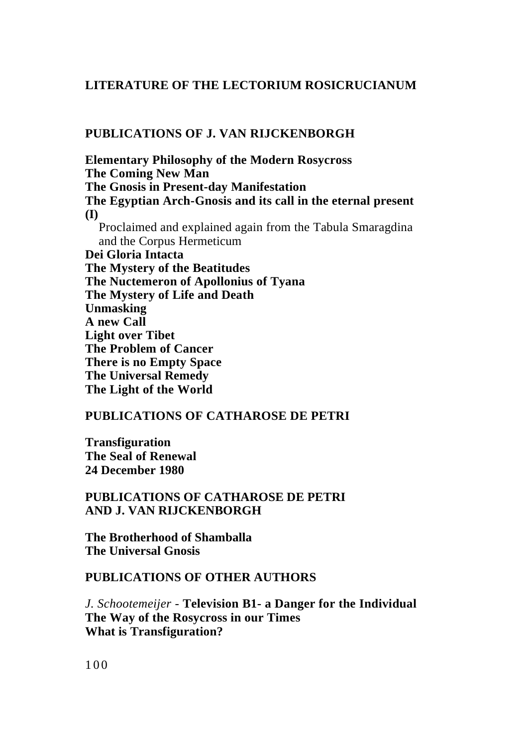#### **LITERATURE OF THE LECTORIUM ROSICRUCIANUM**

#### **PUBLICATIONS OF J. VAN RIJCKENBORGH**

**Elementary Philosophy of the Modern Rosycross The Coming New Man The Gnosis in Present-day Manifestation The Egyptian Arch-Gnosis and its call in the eternal present (I)** Proclaimed and explained again from the Tabula Smaragdina and the Corpus Hermeticum **Dei Gloria Intacta The Mystery of the Beatitudes The Nuctemeron of Apollonius of Tyana The Mystery of Life and Death Unmasking A new Call Light over Tibet The Problem of Cancer There is no Empty Space The Universal Remedy The Light of the World**

#### **PUBLICATIONS OF CATHAROSE DE PETRI**

**Transfiguration The Seal of Renewal 24 December 1980**

#### **PUBLICATIONS OF CATHAROSE DE PETRI AND J. VAN RIJCKENBORGH**

**The Brotherhood of Shamballa The Universal Gnosis**

#### **PUBLICATIONS OF OTHER AUTHORS**

*J. Schootemeijer -* **Television B1- a Danger for the Individual The Way of the Rosycross in our Times What is Transfiguration?**

100